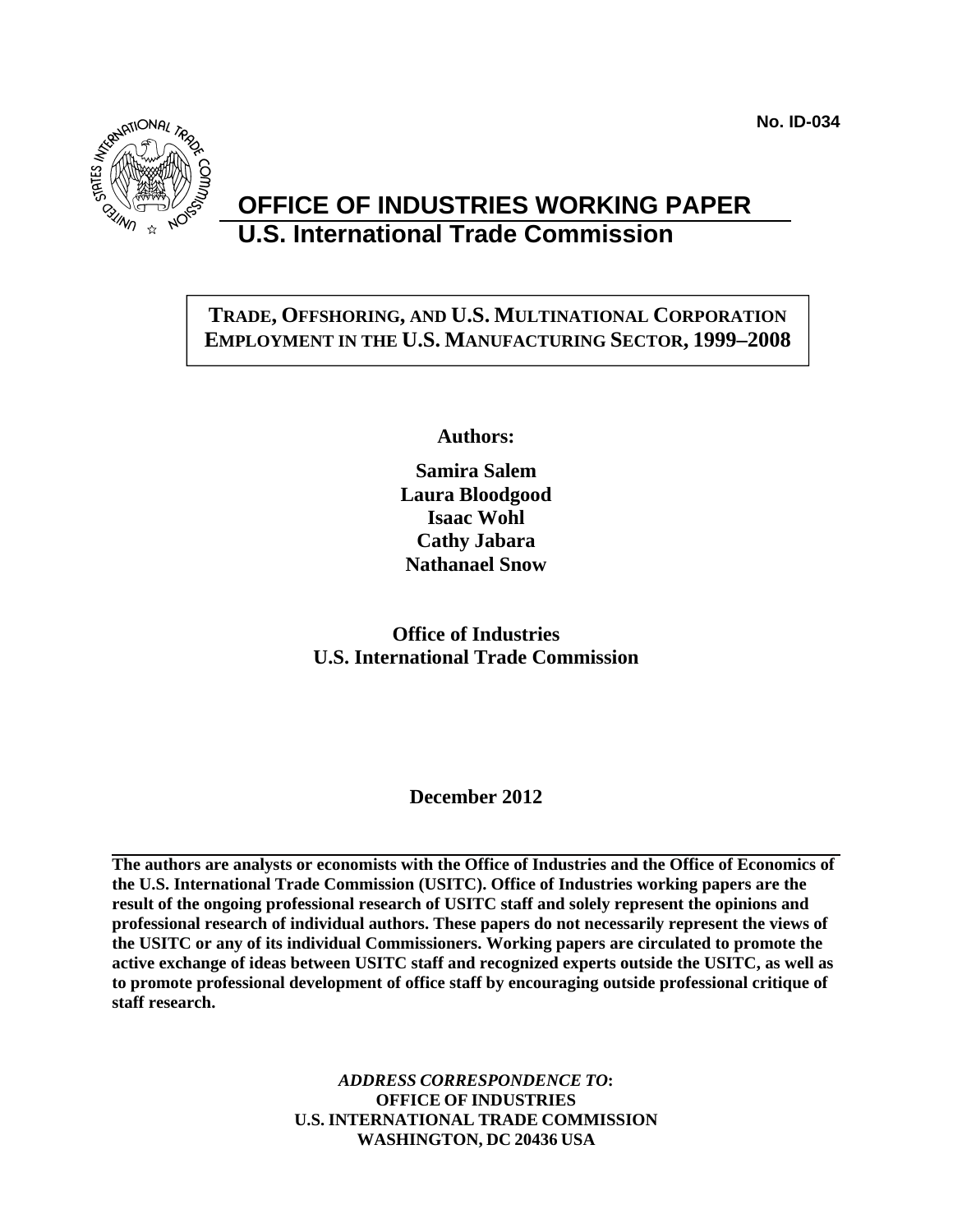**No. ID-034** 



# **OFFICE OF INDUSTRIES WORKING PAPER U.S. International Trade Commission**

# **TRADE, OFFSHORING, AND U.S. MULTINATIONAL CORPORATION EMPLOYMENT IN THE U.S. MANUFACTURING SECTOR, 1999–2008**

**Authors:** 

**Samira Salem Laura Bloodgood Isaac Wohl Cathy Jabara Nathanael Snow** 

**Office of Industries U.S. International Trade Commission** 

**December 2012** 

**The authors are analysts or economists with the Office of Industries and the Office of Economics of the U.S. International Trade Commission (USITC). Office of Industries working papers are the result of the ongoing professional research of USITC staff and solely represent the opinions and professional research of individual authors. These papers do not necessarily represent the views of the USITC or any of its individual Commissioners. Working papers are circulated to promote the active exchange of ideas between USITC staff and recognized experts outside the USITC, as well as to promote professional development of office staff by encouraging outside professional critique of staff research.** 

> *ADDRESS CORRESPONDENCE TO***: OFFICE OF INDUSTRIES U.S. INTERNATIONAL TRADE COMMISSION WASHINGTON, DC 20436 USA**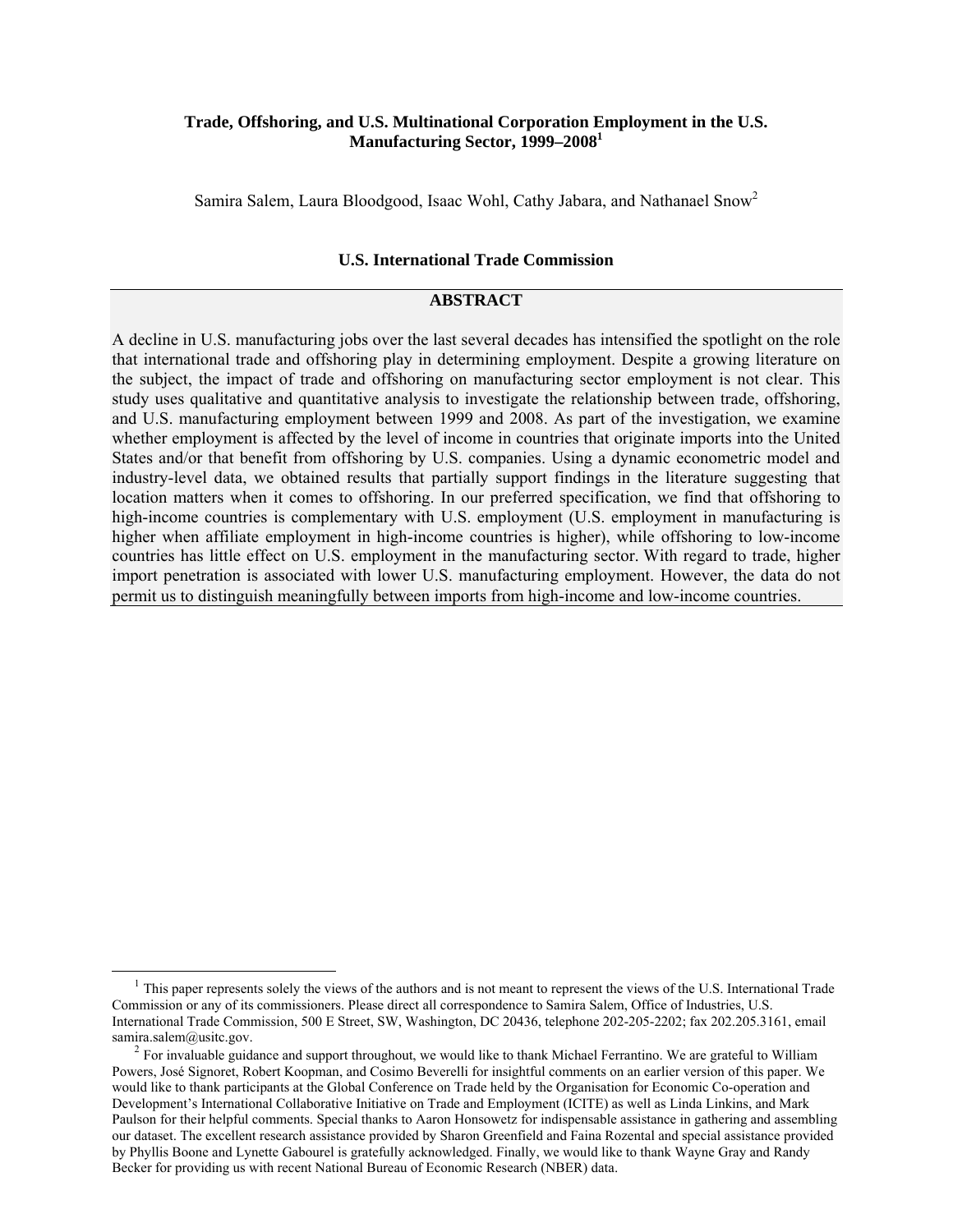#### **Trade, Offshoring, and U.S. Multinational Corporation Employment in the U.S. Manufacturing Sector, 1999–20081**

Samira Salem, Laura Bloodgood, Isaac Wohl, Cathy Jabara, and Nathanael Snow2

#### **U.S. International Trade Commission**

#### **ABSTRACT**

A decline in U.S. manufacturing jobs over the last several decades has intensified the spotlight on the role that international trade and offshoring play in determining employment. Despite a growing literature on the subject, the impact of trade and offshoring on manufacturing sector employment is not clear. This study uses qualitative and quantitative analysis to investigate the relationship between trade, offshoring, and U.S. manufacturing employment between 1999 and 2008. As part of the investigation, we examine whether employment is affected by the level of income in countries that originate imports into the United States and/or that benefit from offshoring by U.S. companies. Using a dynamic econometric model and industry-level data, we obtained results that partially support findings in the literature suggesting that location matters when it comes to offshoring. In our preferred specification, we find that offshoring to high-income countries is complementary with U.S. employment (U.S. employment in manufacturing is higher when affiliate employment in high-income countries is higher), while offshoring to low-income countries has little effect on U.S. employment in the manufacturing sector. With regard to trade, higher import penetration is associated with lower U.S. manufacturing employment. However, the data do not permit us to distinguish meaningfully between imports from high-income and low-income countries.

 $<sup>1</sup>$  This paper represents solely the views of the authors and is not meant to represent the views of the U.S. International Trade</sup> Commission or any of its commissioners. Please direct all correspondence to Samira Salem, Office of Industries, U.S. International Trade Commission, 500 E Street, SW, Washington, DC 20436, telephone 202-205-2202; fax 202.205.3161, email samira.salem@usitc.gov.<br><sup>2</sup> For invaluable guidance and support throughout, we would like to thank Michael Ferrantino. We are grateful to William

Powers, José Signoret, Robert Koopman, and Cosimo Beverelli for insightful comments on an earlier version of this paper. We would like to thank participants at the Global Conference on Trade held by the Organisation for Economic Co-operation and Development's International Collaborative Initiative on Trade and Employment (ICITE) as well as Linda Linkins, and Mark Paulson for their helpful comments. Special thanks to Aaron Honsowetz for indispensable assistance in gathering and assembling our dataset. The excellent research assistance provided by Sharon Greenfield and Faina Rozental and special assistance provided by Phyllis Boone and Lynette Gabourel is gratefully acknowledged. Finally, we would like to thank Wayne Gray and Randy Becker for providing us with recent National Bureau of Economic Research (NBER) data.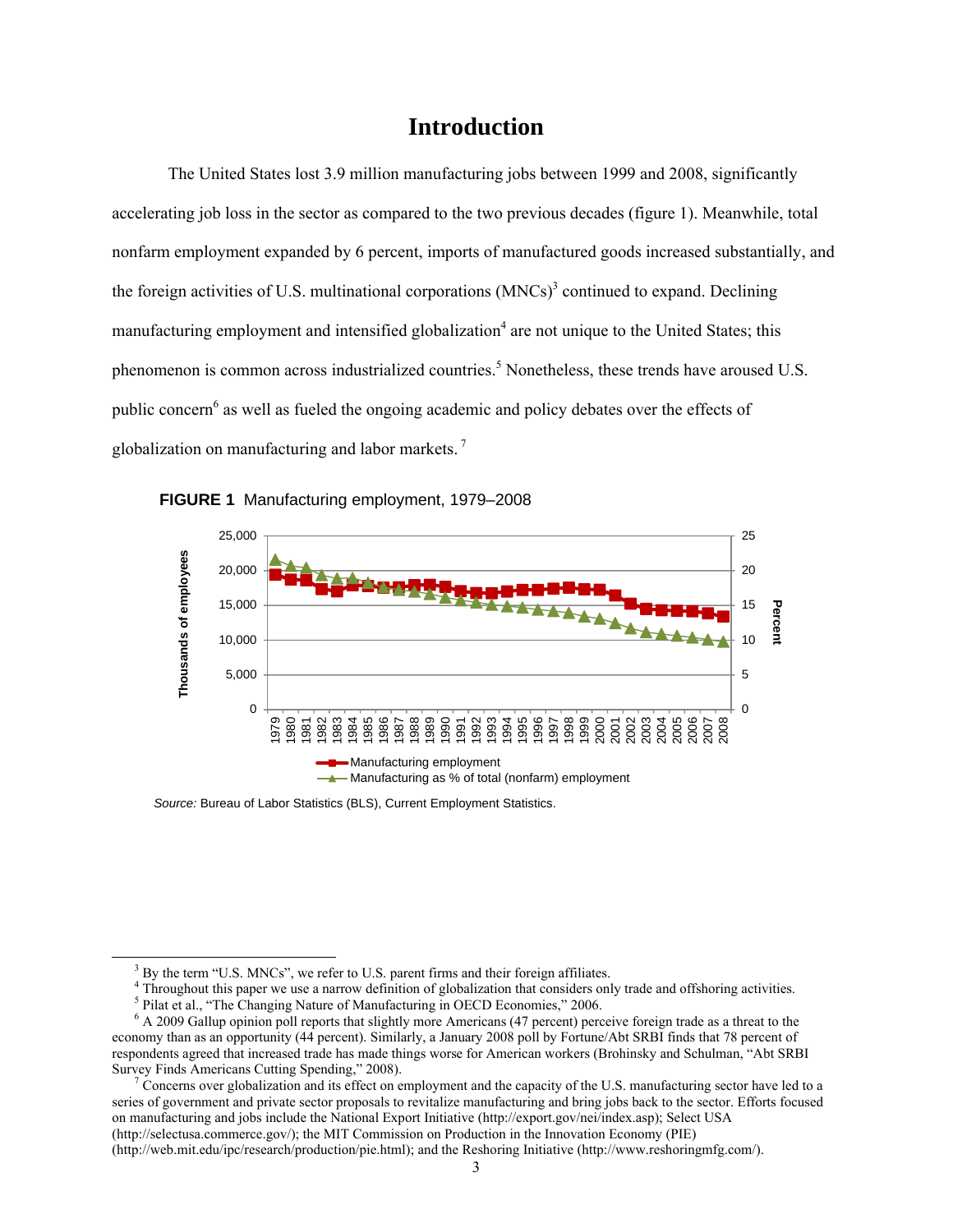# **Introduction**

The United States lost 3.9 million manufacturing jobs between 1999 and 2008, significantly accelerating job loss in the sector as compared to the two previous decades (figure 1). Meanwhile, total nonfarm employment expanded by 6 percent, imports of manufactured goods increased substantially, and the foreign activities of U.S. multinational corporations  $(MNCs)^3$  continued to expand. Declining manufacturing employment and intensified globalization<sup>4</sup> are not unique to the United States; this phenomenon is common across industrialized countries.<sup>5</sup> Nonetheless, these trends have aroused U.S. public concern<sup>6</sup> as well as fueled the ongoing academic and policy debates over the effects of globalization on manufacturing and labor markets. 7



**FIGURE 1** Manufacturing employment, 1979–2008

*Source:* Bureau of Labor Statistics (BLS), Current Employment Statistics.

 Concerns over globalization and its effect on employment and the capacity of the U.S. manufacturing sector have led to a series of government and private sector proposals to revitalize manufacturing and bring jobs back to the sector. Efforts focused on manufacturing and jobs include the National Export Initiative (http://export.gov/nei/index.asp); Select USA (http://selectusa.commerce.gov/); the MIT Commission on Production in the Innovation Economy (PIE)

(http://web.mit.edu/ipc/research/production/pie.html); and the Reshoring Initiative (http://www.reshoringmfg.com/).

 $\frac{1}{3}$  $3$  By the term "U.S. MNCs", we refer to U.S. parent firms and their foreign affiliates.

 $<sup>4</sup>$  Throughout this paper we use a narrow definition of globalization that considers only trade and offshoring activities.</sup> <sup>5</sup> Pilat et al., "The Changing Nature of Manufacturing in OECD Economies," 2006.

<sup>&</sup>lt;sup>6</sup> A 2009 Gallup opinion poll reports that slightly more Americans (47 percent) perceive foreign trade as a threat to the economy than as an opportunity (44 percent). Similarly, a January 2008 poll by Fortune/Abt SRBI finds that 78 percent of respondents agreed that increased trade has made things worse for American workers (Brohinsky and Schulman, "Abt SRBI Survey Finds Americans Cutting Spending," 2008).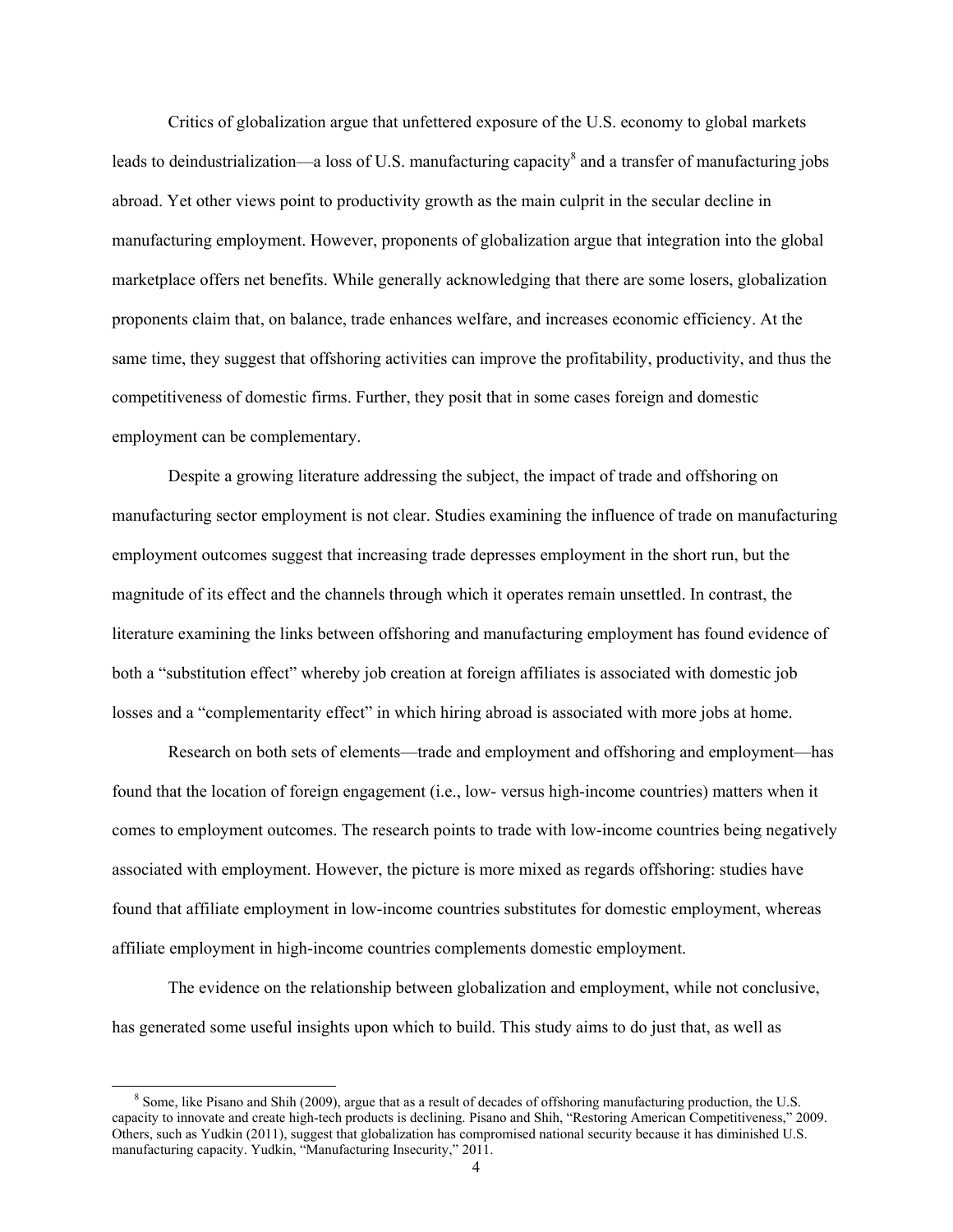Critics of globalization argue that unfettered exposure of the U.S. economy to global markets leads to deindustrialization—a loss of U.S. manufacturing capacity<sup>8</sup> and a transfer of manufacturing jobs abroad. Yet other views point to productivity growth as the main culprit in the secular decline in manufacturing employment. However, proponents of globalization argue that integration into the global marketplace offers net benefits. While generally acknowledging that there are some losers, globalization proponents claim that, on balance, trade enhances welfare, and increases economic efficiency. At the same time, they suggest that offshoring activities can improve the profitability, productivity, and thus the competitiveness of domestic firms. Further, they posit that in some cases foreign and domestic employment can be complementary.

Despite a growing literature addressing the subject, the impact of trade and offshoring on manufacturing sector employment is not clear. Studies examining the influence of trade on manufacturing employment outcomes suggest that increasing trade depresses employment in the short run, but the magnitude of its effect and the channels through which it operates remain unsettled. In contrast, the literature examining the links between offshoring and manufacturing employment has found evidence of both a "substitution effect" whereby job creation at foreign affiliates is associated with domestic job losses and a "complementarity effect" in which hiring abroad is associated with more jobs at home.

Research on both sets of elements—trade and employment and offshoring and employment—has found that the location of foreign engagement (i.e., low- versus high-income countries) matters when it comes to employment outcomes. The research points to trade with low-income countries being negatively associated with employment. However, the picture is more mixed as regards offshoring: studies have found that affiliate employment in low-income countries substitutes for domestic employment, whereas affiliate employment in high-income countries complements domestic employment.

The evidence on the relationship between globalization and employment, while not conclusive, has generated some useful insights upon which to build. This study aims to do just that, as well as

 <sup>8</sup> Some, like Pisano and Shih (2009), argue that as a result of decades of offshoring manufacturing production, the U.S. capacity to innovate and create high-tech products is declining. Pisano and Shih, "Restoring American Competitiveness," 2009. Others, such as Yudkin (2011), suggest that globalization has compromised national security because it has diminished U.S. manufacturing capacity. Yudkin, "Manufacturing Insecurity," 2011.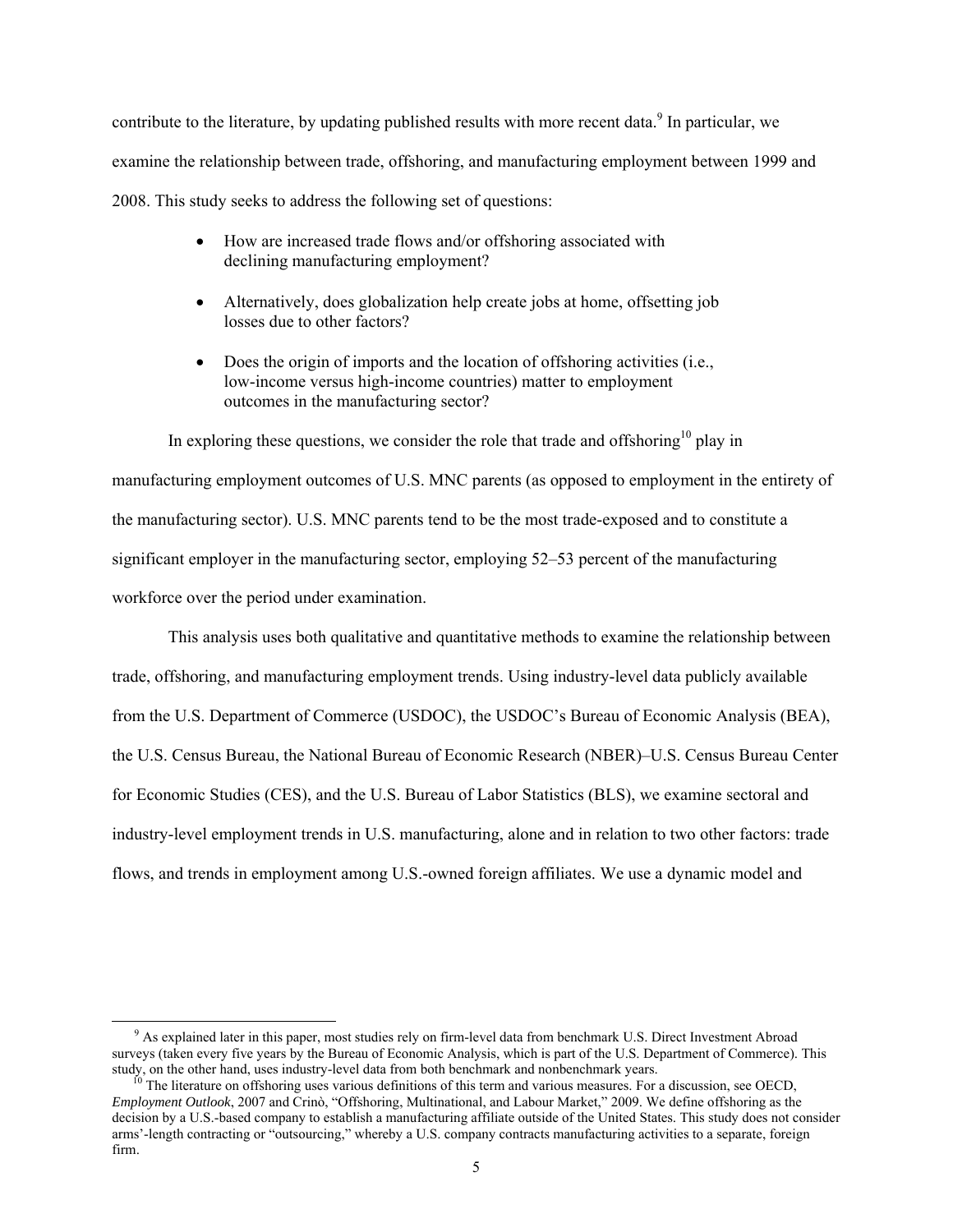contribute to the literature, by updating published results with more recent data.<sup>9</sup> In particular, we examine the relationship between trade, offshoring, and manufacturing employment between 1999 and 2008. This study seeks to address the following set of questions:

- How are increased trade flows and/or offshoring associated with declining manufacturing employment?
- Alternatively, does globalization help create jobs at home, offsetting job losses due to other factors?
- Does the origin of imports and the location of offshoring activities (i.e., low-income versus high-income countries) matter to employment outcomes in the manufacturing sector?

In exploring these questions, we consider the role that trade and offshoring<sup>10</sup> play in manufacturing employment outcomes of U.S. MNC parents (as opposed to employment in the entirety of the manufacturing sector). U.S. MNC parents tend to be the most trade-exposed and to constitute a significant employer in the manufacturing sector, employing 52–53 percent of the manufacturing workforce over the period under examination.

This analysis uses both qualitative and quantitative methods to examine the relationship between trade, offshoring, and manufacturing employment trends. Using industry-level data publicly available from the U.S. Department of Commerce (USDOC), the USDOC's Bureau of Economic Analysis (BEA), the U.S. Census Bureau, the National Bureau of Economic Research (NBER)–U.S. Census Bureau Center for Economic Studies (CES), and the U.S. Bureau of Labor Statistics (BLS), we examine sectoral and industry-level employment trends in U.S. manufacturing, alone and in relation to two other factors: trade flows, and trends in employment among U.S.-owned foreign affiliates. We use a dynamic model and

 $\frac{1}{\sqrt{9}}$ <sup>9</sup> As explained later in this paper, most studies rely on firm-level data from benchmark U.S. Direct Investment Abroad surveys (taken every five years by the Bureau of Economic Analysis, which is part of the U.S. Department of Commerce). This study, on the other hand, uses industry-level data from both benchmark and nonbenchmark years.

The literature on offshoring uses various definitions of this term and various measures. For a discussion, see OECD, *Employment Outlook*, 2007 and Crinò, "Offshoring, Multinational, and Labour Market," 2009. We define offshoring as the decision by a U.S.-based company to establish a manufacturing affiliate outside of the United States. This study does not consider arms'-length contracting or "outsourcing," whereby a U.S. company contracts manufacturing activities to a separate, foreign firm.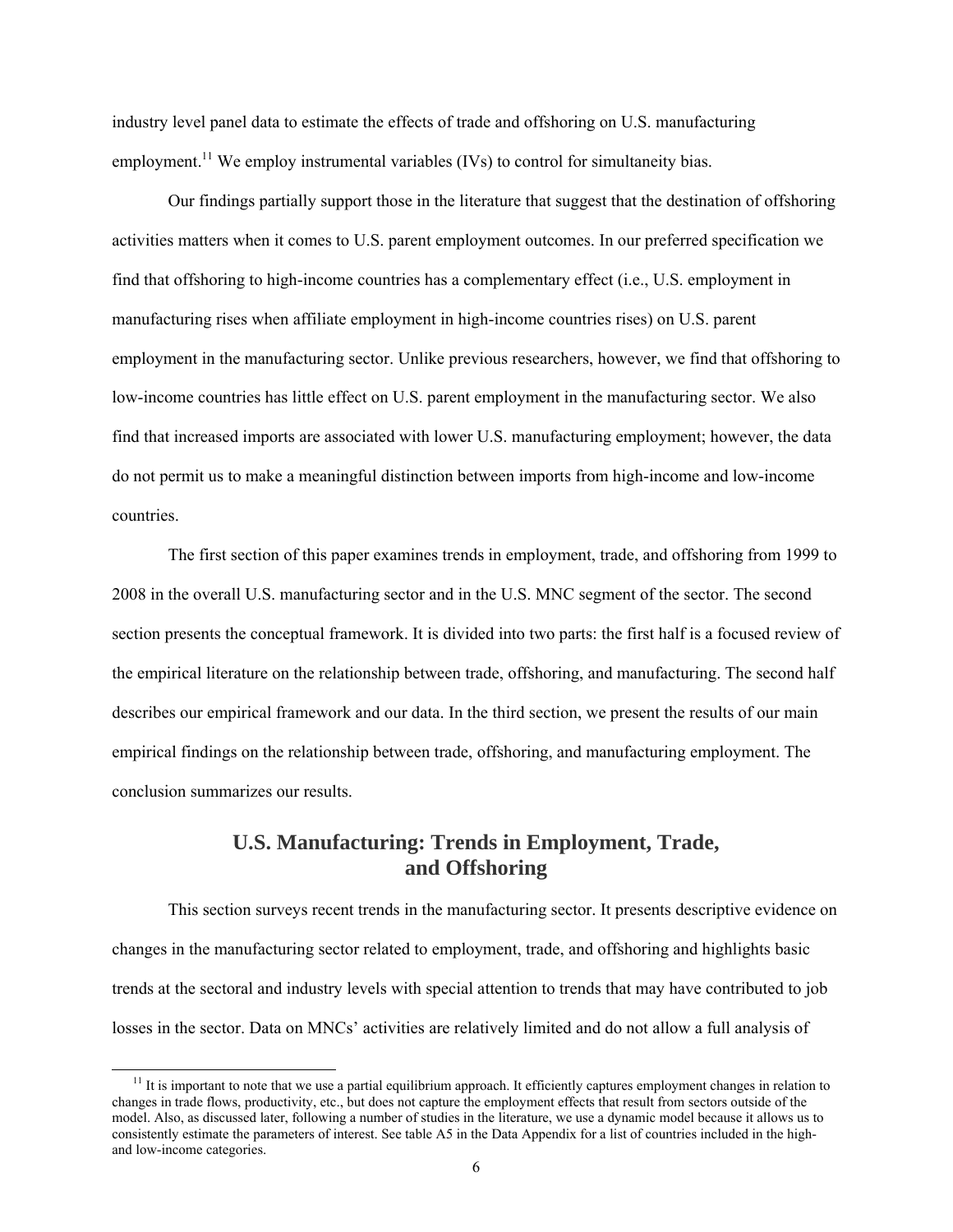industry level panel data to estimate the effects of trade and offshoring on U.S. manufacturing employment.<sup>11</sup> We employ instrumental variables (IVs) to control for simultaneity bias.

 Our findings partially support those in the literature that suggest that the destination of offshoring activities matters when it comes to U.S. parent employment outcomes. In our preferred specification we find that offshoring to high-income countries has a complementary effect (i.e., U.S. employment in manufacturing rises when affiliate employment in high-income countries rises) on U.S. parent employment in the manufacturing sector. Unlike previous researchers, however, we find that offshoring to low-income countries has little effect on U.S. parent employment in the manufacturing sector. We also find that increased imports are associated with lower U.S. manufacturing employment; however, the data do not permit us to make a meaningful distinction between imports from high-income and low-income countries.

The first section of this paper examines trends in employment, trade, and offshoring from 1999 to 2008 in the overall U.S. manufacturing sector and in the U.S. MNC segment of the sector. The second section presents the conceptual framework. It is divided into two parts: the first half is a focused review of the empirical literature on the relationship between trade, offshoring, and manufacturing. The second half describes our empirical framework and our data. In the third section, we present the results of our main empirical findings on the relationship between trade, offshoring, and manufacturing employment. The conclusion summarizes our results.

## **U.S. Manufacturing: Trends in Employment, Trade, and Offshoring**

This section surveys recent trends in the manufacturing sector. It presents descriptive evidence on changes in the manufacturing sector related to employment, trade, and offshoring and highlights basic trends at the sectoral and industry levels with special attention to trends that may have contributed to job losses in the sector. Data on MNCs' activities are relatively limited and do not allow a full analysis of

 $11$  It is important to note that we use a partial equilibrium approach. It efficiently captures employment changes in relation to changes in trade flows, productivity, etc., but does not capture the employment effects that result from sectors outside of the model. Also, as discussed later, following a number of studies in the literature, we use a dynamic model because it allows us to consistently estimate the parameters of interest. See table A5 in the Data Appendix for a list of countries included in the highand low-income categories.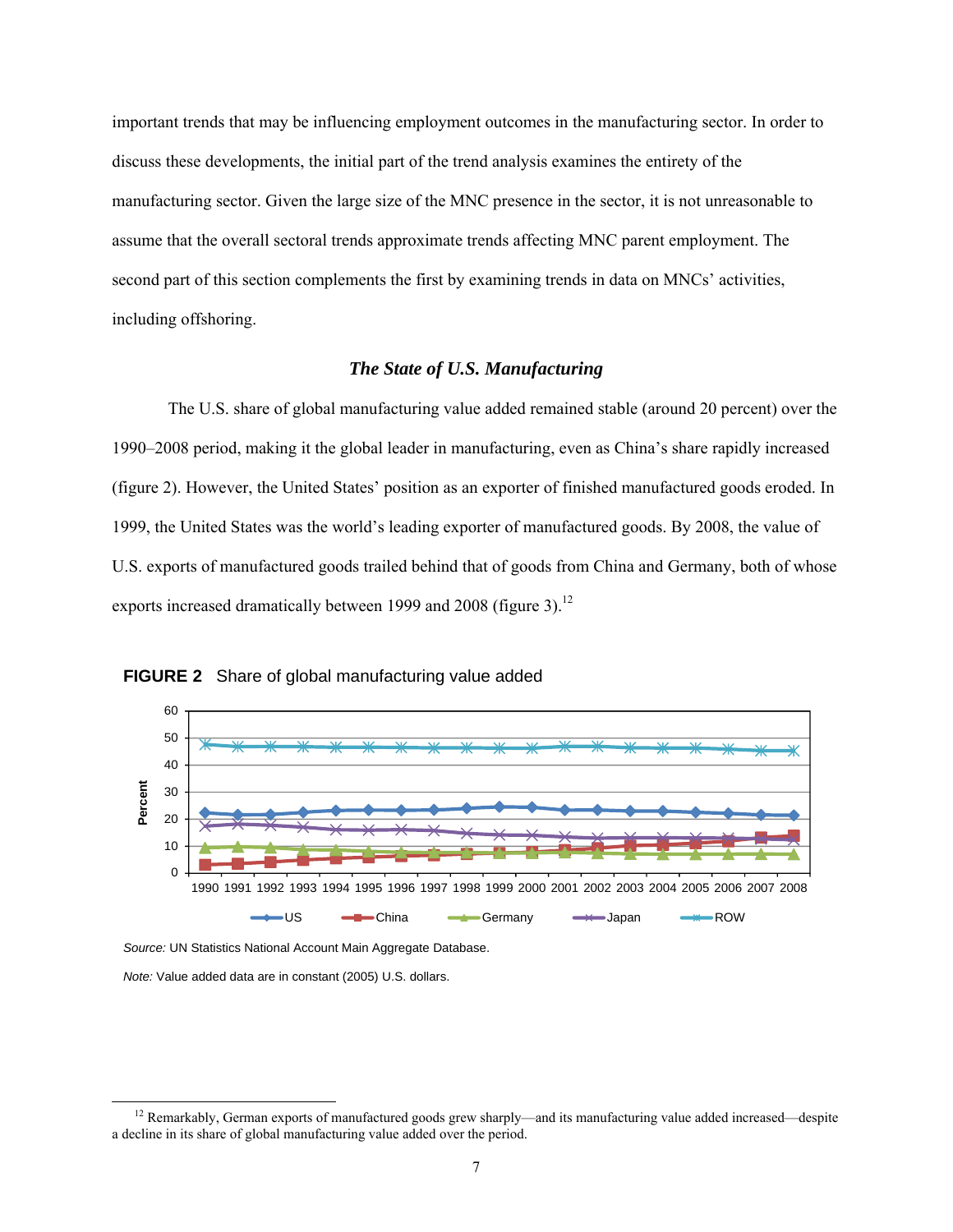important trends that may be influencing employment outcomes in the manufacturing sector. In order to discuss these developments, the initial part of the trend analysis examines the entirety of the manufacturing sector. Given the large size of the MNC presence in the sector, it is not unreasonable to assume that the overall sectoral trends approximate trends affecting MNC parent employment. The second part of this section complements the first by examining trends in data on MNCs' activities, including offshoring.

#### *The State of U.S. Manufacturing*

The U.S. share of global manufacturing value added remained stable (around 20 percent) over the 1990–2008 period, making it the global leader in manufacturing, even as China's share rapidly increased (figure 2). However, the United States' position as an exporter of finished manufactured goods eroded. In 1999, the United States was the world's leading exporter of manufactured goods. By 2008, the value of U.S. exports of manufactured goods trailed behind that of goods from China and Germany, both of whose exports increased dramatically between 1999 and 2008 (figure 3).<sup>12</sup>





*Source:* UN Statistics National Account Main Aggregate Database.

*Note:* Value added data are in constant (2005) U.S. dollars.

 $12$  Remarkably, German exports of manufactured goods grew sharply—and its manufacturing value added increased—despite a decline in its share of global manufacturing value added over the period.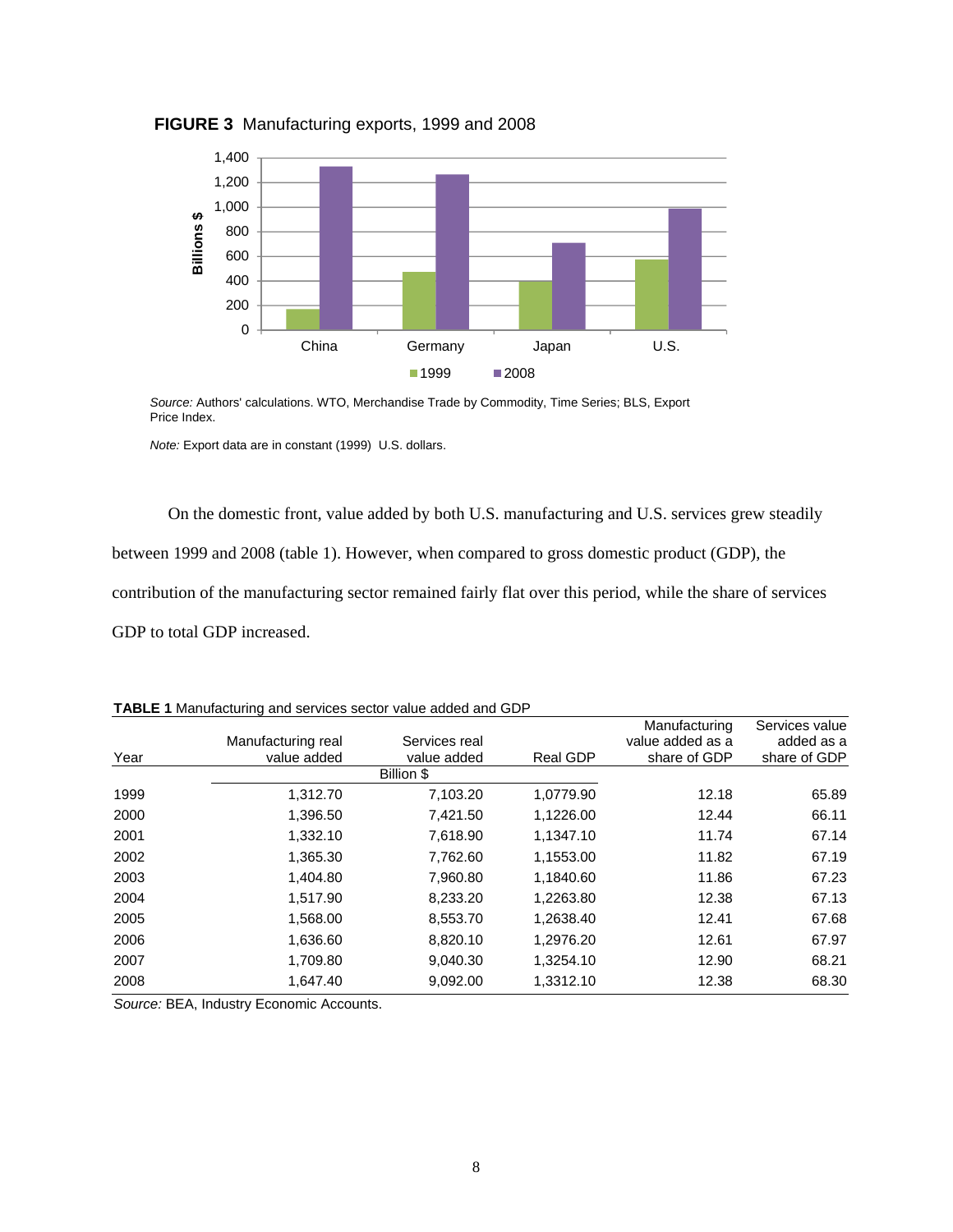

**FIGURE 3** Manufacturing exports, 1999 and 2008

*Source:* Authors' calculations. WTO, Merchandise Trade by Commodity, Time Series; BLS, Export Price Index.

*Note:* Export data are in constant (1999) U.S. dollars.

On the domestic front, value added by both U.S. manufacturing and U.S. services grew steadily between 1999 and 2008 (table 1). However, when compared to gross domestic product (GDP), the contribution of the manufacturing sector remained fairly flat over this period, while the share of services GDP to total GDP increased.

|      |                    |               |           | Manufacturing    | Services value |
|------|--------------------|---------------|-----------|------------------|----------------|
|      | Manufacturing real | Services real |           | value added as a | added as a     |
| Year | value added        | value added   | Real GDP  | share of GDP     | share of GDP   |
|      |                    | Billion \$    |           |                  |                |
| 1999 | 1,312.70           | 7,103.20      | 1,0779.90 | 12.18            | 65.89          |
| 2000 | 1,396.50           | 7.421.50      | 1,1226.00 | 12.44            | 66.11          |
| 2001 | 1,332.10           | 7,618.90      | 1,1347.10 | 11.74            | 67.14          |
| 2002 | 1,365.30           | 7,762.60      | 1,1553.00 | 11.82            | 67.19          |
| 2003 | 1,404.80           | 7,960.80      | 1,1840.60 | 11.86            | 67.23          |
| 2004 | 1,517.90           | 8,233.20      | 1,2263.80 | 12.38            | 67.13          |
| 2005 | 1,568.00           | 8,553.70      | 1,2638.40 | 12.41            | 67.68          |
| 2006 | 1,636.60           | 8,820.10      | 1,2976.20 | 12.61            | 67.97          |
| 2007 | 1,709.80           | 9,040.30      | 1,3254.10 | 12.90            | 68.21          |
| 2008 | 1,647.40           | 9,092.00      | 1,3312.10 | 12.38            | 68.30          |

**TABLE 1** Manufacturing and services sector value added and GDP

*Source:* BEA, Industry Economic Accounts.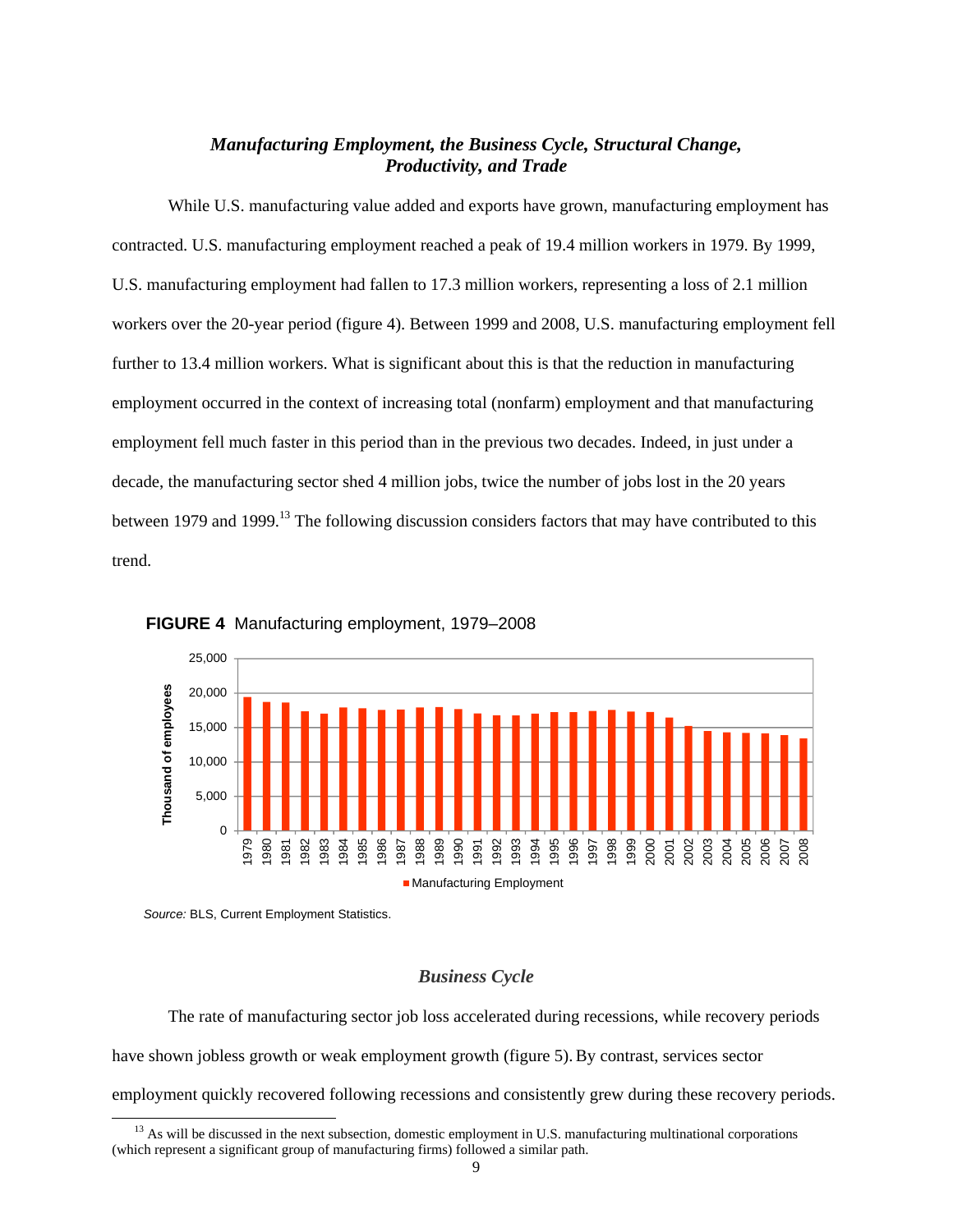## *Manufacturing Employment, the Business Cycle, Structural Change, Productivity, and Trade*

 While U.S. manufacturing value added and exports have grown, manufacturing employment has contracted. U.S. manufacturing employment reached a peak of 19.4 million workers in 1979. By 1999, U.S. manufacturing employment had fallen to 17.3 million workers, representing a loss of 2.1 million workers over the 20-year period (figure 4). Between 1999 and 2008, U.S. manufacturing employment fell further to 13.4 million workers. What is significant about this is that the reduction in manufacturing employment occurred in the context of increasing total (nonfarm) employment and that manufacturing employment fell much faster in this period than in the previous two decades. Indeed, in just under a decade, the manufacturing sector shed 4 million jobs, twice the number of jobs lost in the 20 years between 1979 and 1999.<sup>13</sup> The following discussion considers factors that may have contributed to this trend.





#### *Business Cycle*

The rate of manufacturing sector job loss accelerated during recessions, while recovery periods have shown jobless growth or weak employment growth (figure 5).By contrast, services sector employment quickly recovered following recessions and consistently grew during these recovery periods.

*Source:* BLS, Current Employment Statistics.

 $13$  As will be discussed in the next subsection, domestic employment in U.S. manufacturing multinational corporations (which represent a significant group of manufacturing firms) followed a similar path.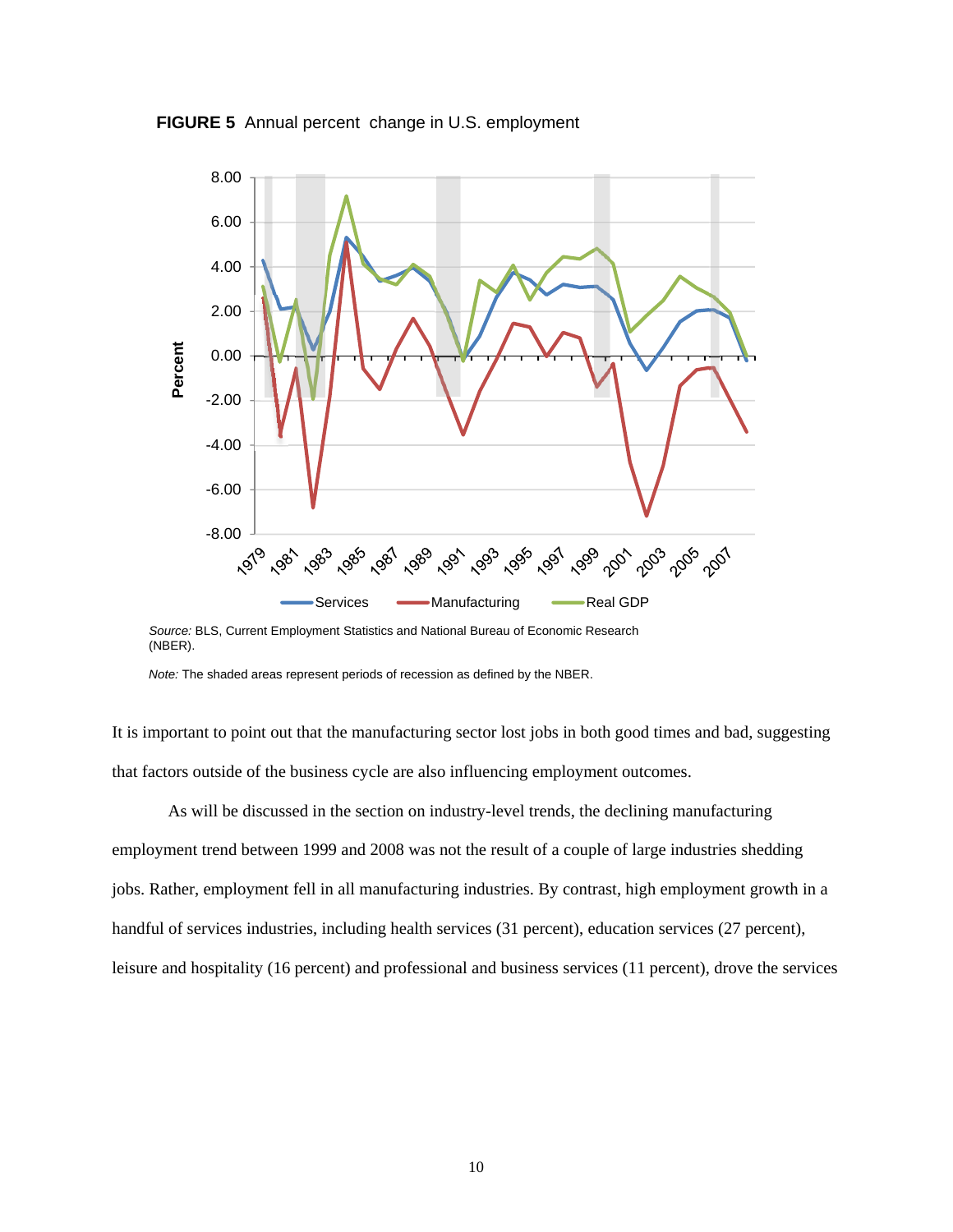



*Source:* BLS, Current Employment Statistics and National Bureau of Economic Research (NBER).

It is important to point out that the manufacturing sector lost jobs in both good times and bad, suggesting that factors outside of the business cycle are also influencing employment outcomes.

As will be discussed in the section on industry-level trends, the declining manufacturing employment trend between 1999 and 2008 was not the result of a couple of large industries shedding jobs. Rather, employment fell in all manufacturing industries. By contrast, high employment growth in a handful of services industries, including health services (31 percent), education services (27 percent), leisure and hospitality (16 percent) and professional and business services (11 percent), drove the services

*Note:* The shaded areas represent periods of recession as defined by the NBER.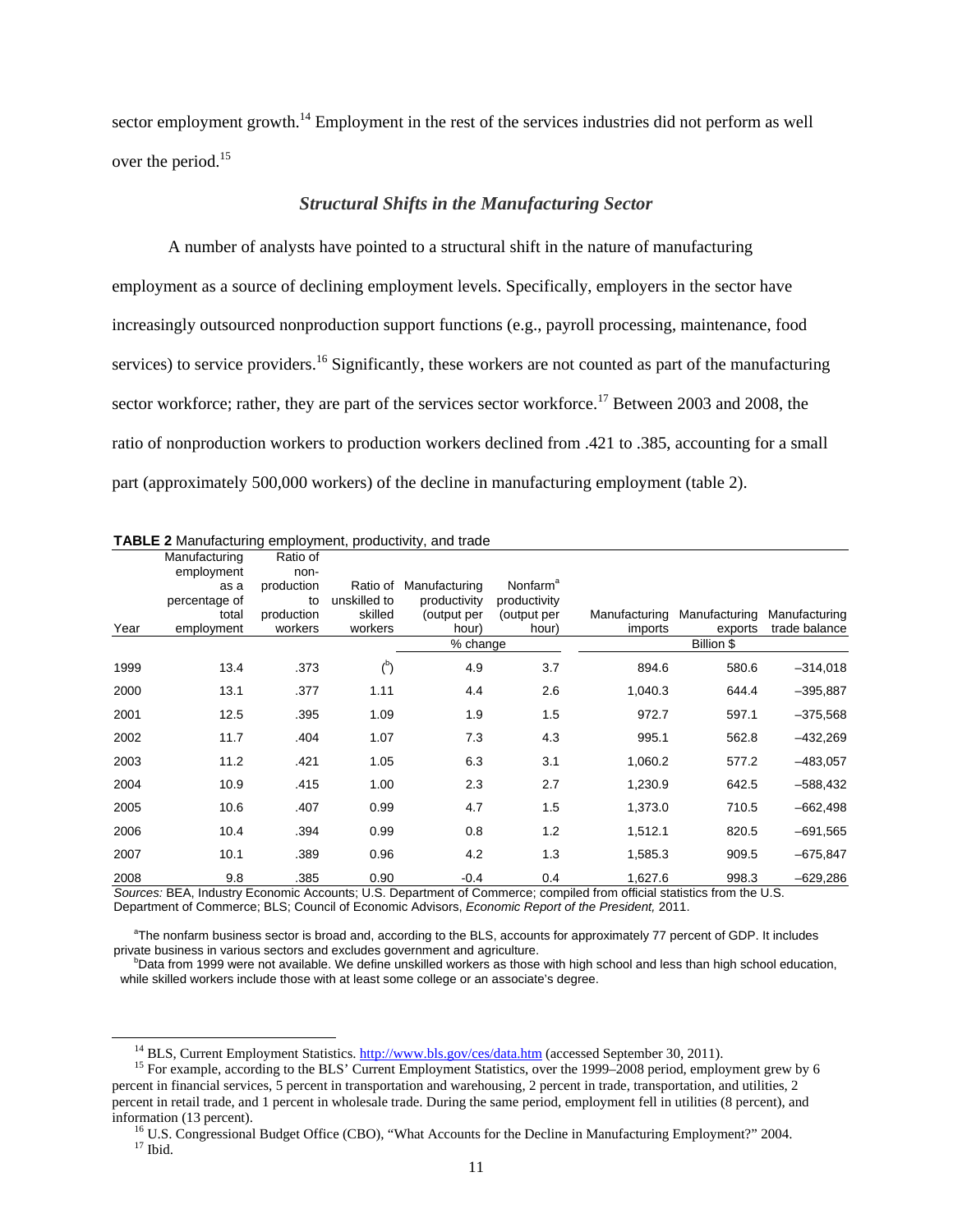sector employment growth.<sup>14</sup> Employment in the rest of the services industries did not perform as well over the period.<sup>15</sup>

#### *Structural Shifts in the Manufacturing Sector*

A number of analysts have pointed to a structural shift in the nature of manufacturing employment as a source of declining employment levels. Specifically, employers in the sector have increasingly outsourced nonproduction support functions (e.g., payroll processing, maintenance, food services) to service providers.<sup>16</sup> Significantly, these workers are not counted as part of the manufacturing sector workforce; rather, they are part of the services sector workforce.<sup>17</sup> Between 2003 and 2008, the ratio of nonproduction workers to production workers declined from .421 to .385, accounting for a small part (approximately 500,000 workers) of the decline in manufacturing employment (table 2).

|      | Manufacturing<br>employment | Ratio of<br>non- |                          |                               |                                      |               |               |               |
|------|-----------------------------|------------------|--------------------------|-------------------------------|--------------------------------------|---------------|---------------|---------------|
|      | as a<br>percentage of       | production<br>to | Ratio of<br>unskilled to | Manufacturing<br>productivity | Nonfarm <sup>a</sup><br>productivity |               |               |               |
|      | total                       | production       | skilled                  | (output per                   | (output per                          | Manufacturing | Manufacturing | Manufacturing |
| Year | employment                  | workers          | workers                  | hour)                         | hour)                                | imports       | exports       | trade balance |
|      |                             |                  |                          | % change                      |                                      |               | Billion \$    |               |
| 1999 | 13.4                        | .373             | $^{\circ}$               | 4.9                           | 3.7                                  | 894.6         | 580.6         | $-314,018$    |
| 2000 | 13.1                        | .377             | 1.11                     | 4.4                           | 2.6                                  | 1,040.3       | 644.4         | $-395,887$    |
| 2001 | 12.5                        | .395             | 1.09                     | 1.9                           | 1.5                                  | 972.7         | 597.1         | $-375,568$    |
| 2002 | 11.7                        | .404             | 1.07                     | 7.3                           | 4.3                                  | 995.1         | 562.8         | $-432,269$    |
| 2003 | 11.2                        | .421             | 1.05                     | 6.3                           | 3.1                                  | 1,060.2       | 577.2         | $-483,057$    |
| 2004 | 10.9                        | .415             | 1.00                     | 2.3                           | 2.7                                  | 1,230.9       | 642.5         | $-588,432$    |
| 2005 | 10.6                        | .407             | 0.99                     | 4.7                           | 1.5                                  | 1,373.0       | 710.5         | $-662,498$    |
| 2006 | 10.4                        | .394             | 0.99                     | 0.8                           | 1.2                                  | 1,512.1       | 820.5         | $-691,565$    |
| 2007 | 10.1                        | .389             | 0.96                     | 4.2                           | 1.3                                  | 1,585.3       | 909.5         | $-675,847$    |
| 2008 | 9.8                         | .385             | 0.90                     | $-0.4$                        | 0.4                                  | 1,627.6       | 998.3         | $-629,286$    |

#### **TABLE 2** Manufacturing employment, productivity, and trade

*Sources:* BEA, Industry Economic Accounts; U.S. Department of Commerce; compiled from official statistics from the U.S. Department of Commerce; BLS; Council of Economic Advisors, *Economic Report of the President,* 2011.

<sup>a</sup>The nonfarm business sector is broad and, according to the BLS, accounts for approximately 77 percent of GDP. It includes private business in various sectors and excludes government and agriculture.

<sup>b</sup>Data from 1999 were not available. We define unskilled workers as those with high school and less than high school education, while skilled workers include those with at least some college or an associate's degree.

<sup>&</sup>lt;sup>14</sup> BLS, Current Employment Statistics. http://www.bls.gov/ces/data.htm (accessed September 30, 2011).<br><sup>15</sup> For example, according to the BLS' Current Employment Statistics, over the 1999–2008 period, employment grew by percent in financial services, 5 percent in transportation and warehousing, 2 percent in trade, transportation, and utilities, 2 percent in retail trade, and 1 percent in wholesale trade. During the same period, employment fell in utilities (8 percent), and

information (13 percent).<br><sup>16</sup> U.S. Congressional Budget Office (CBO), "What Accounts for the Decline in Manufacturing Employment?" 2004.<br><sup>17</sup> Ibid.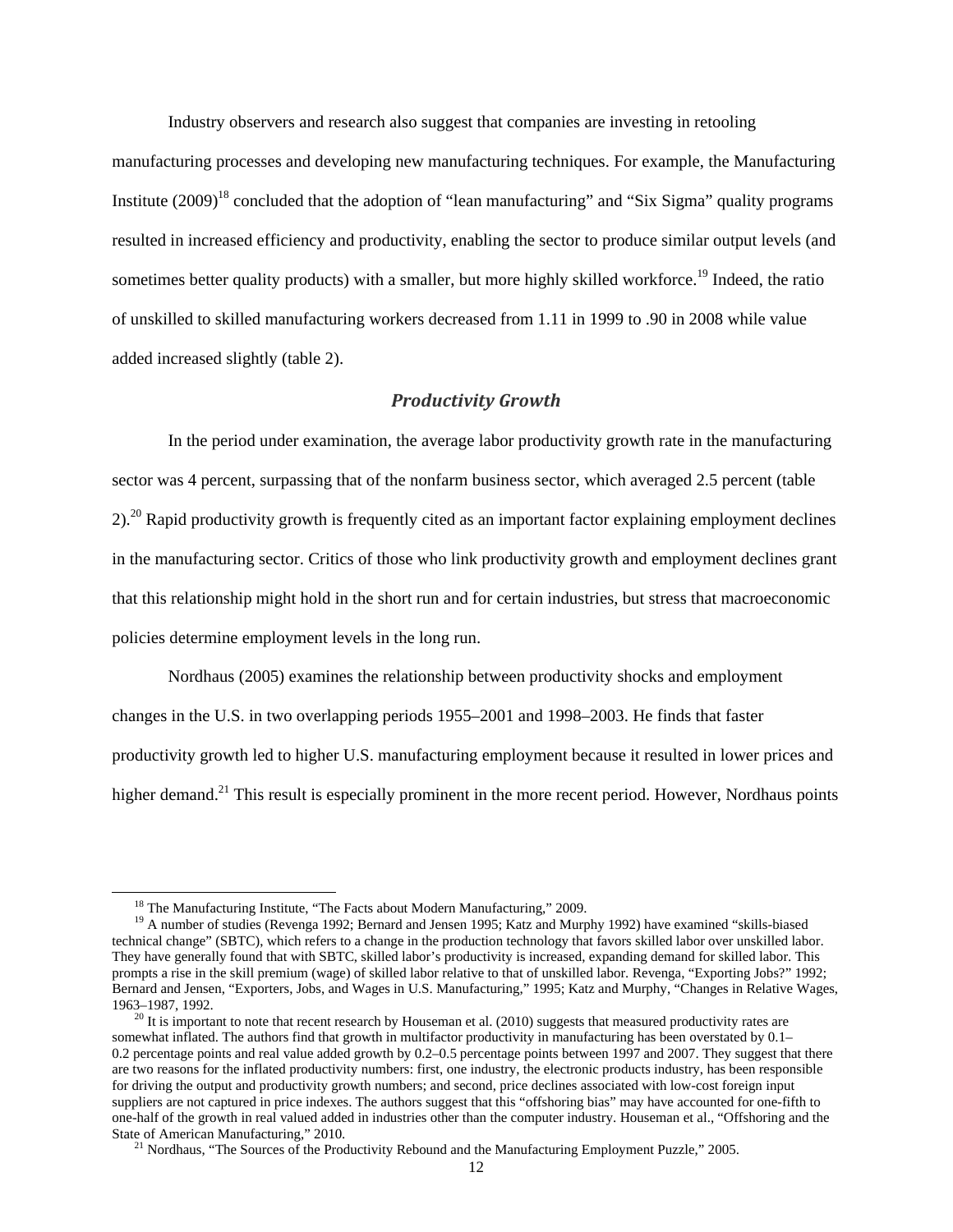Industry observers and research also suggest that companies are investing in retooling

manufacturing processes and developing new manufacturing techniques. For example, the Manufacturing Institute (2009)<sup>18</sup> concluded that the adoption of "lean manufacturing" and "Six Sigma" quality programs resulted in increased efficiency and productivity, enabling the sector to produce similar output levels (and sometimes better quality products) with a smaller, but more highly skilled workforce.<sup>19</sup> Indeed, the ratio of unskilled to skilled manufacturing workers decreased from 1.11 in 1999 to .90 in 2008 while value added increased slightly (table 2).

#### *Productivity Growth*

In the period under examination, the average labor productivity growth rate in the manufacturing sector was 4 percent, surpassing that of the nonfarm business sector, which averaged 2.5 percent (table 2).<sup>20</sup> Rapid productivity growth is frequently cited as an important factor explaining employment declines in the manufacturing sector. Critics of those who link productivity growth and employment declines grant that this relationship might hold in the short run and for certain industries, but stress that macroeconomic policies determine employment levels in the long run.

Nordhaus (2005) examines the relationship between productivity shocks and employment changes in the U.S. in two overlapping periods 1955–2001 and 1998–2003. He finds that faster productivity growth led to higher U.S. manufacturing employment because it resulted in lower prices and higher demand.<sup>21</sup> This result is especially prominent in the more recent period. However, Nordhaus points

<sup>&</sup>lt;sup>18</sup> The Manufacturing Institute, "The Facts about Modern Manufacturing," 2009.<br><sup>19</sup> A number of studies (Revenga 1992; Bernard and Jensen 1995; Katz and Murphy 1992) have examined "skills-biased technical change" (SBTC), which refers to a change in the production technology that favors skilled labor over unskilled labor. They have generally found that with SBTC, skilled labor's productivity is increased, expanding demand for skilled labor. This prompts a rise in the skill premium (wage) of skilled labor relative to that of unskilled labor. Revenga, "Exporting Jobs?" 1992; Bernard and Jensen, "Exporters, Jobs, and Wages in U.S. Manufacturing," 1995; Katz and Murphy, "Changes in Relative Wages, 1963–1987, 1992.<br><sup>20</sup> It is important to note that recent research by Houseman et al. (2010) suggests that measured productivity rates are

somewhat inflated. The authors find that growth in multifactor productivity in manufacturing has been overstated by 0.1– 0.2 percentage points and real value added growth by 0.2–0.5 percentage points between 1997 and 2007. They suggest that there are two reasons for the inflated productivity numbers: first, one industry, the electronic products industry, has been responsible for driving the output and productivity growth numbers; and second, price declines associated with low-cost foreign input suppliers are not captured in price indexes. The authors suggest that this "offshoring bias" may have accounted for one-fifth to one-half of the growth in real valued added in industries other than the computer industry. Houseman et al., "Offshoring and the State of American Manufacturing," 2010.<br><sup>21</sup> Nordhaus, "The Sources of the Productivity Rebound and the Manufacturing Employment Puzzle," 2005.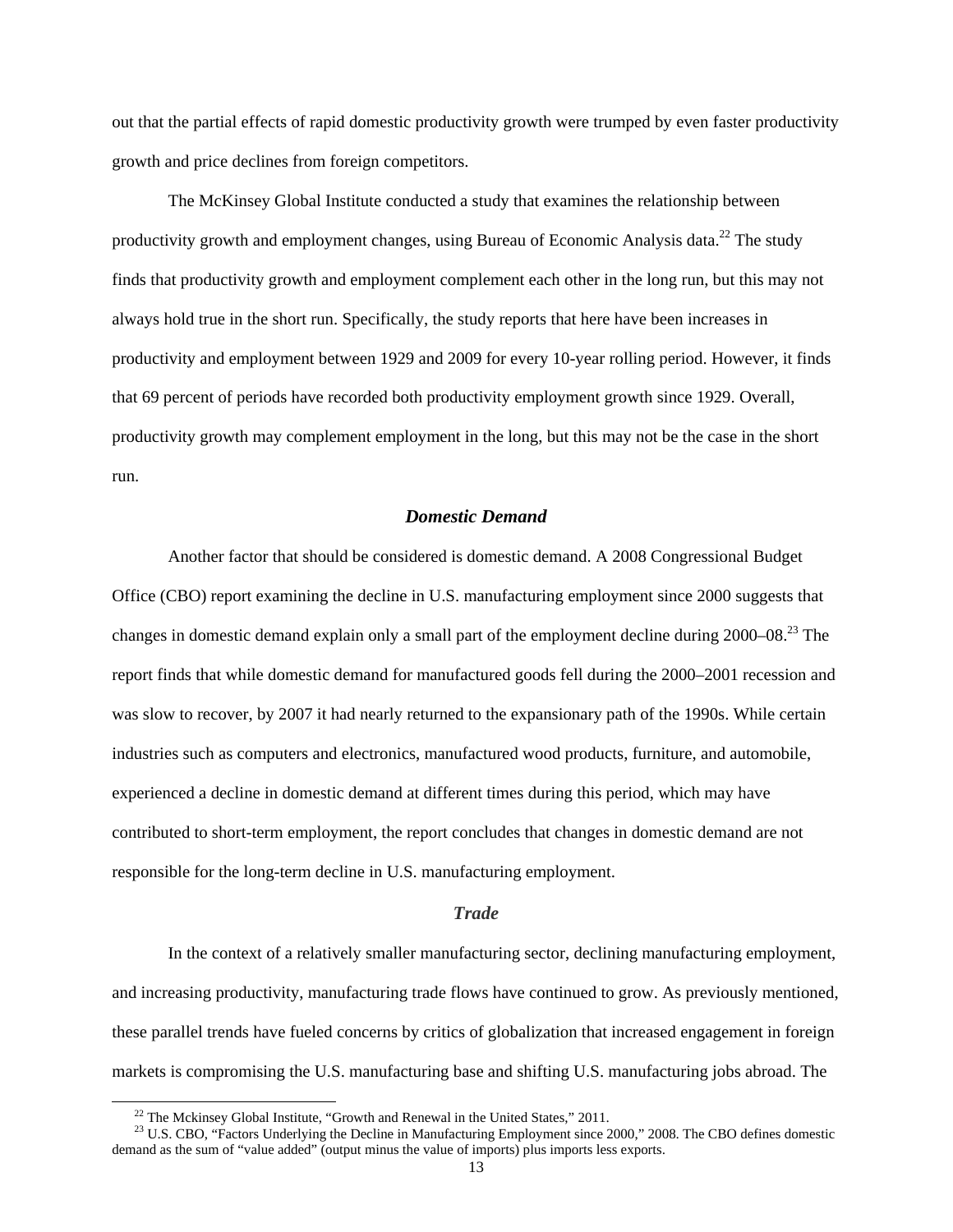out that the partial effects of rapid domestic productivity growth were trumped by even faster productivity growth and price declines from foreign competitors.

The McKinsey Global Institute conducted a study that examines the relationship between productivity growth and employment changes, using Bureau of Economic Analysis data.<sup>22</sup> The study finds that productivity growth and employment complement each other in the long run, but this may not always hold true in the short run. Specifically, the study reports that here have been increases in productivity and employment between 1929 and 2009 for every 10-year rolling period. However, it finds that 69 percent of periods have recorded both productivity employment growth since 1929. Overall, productivity growth may complement employment in the long, but this may not be the case in the short run.

## *Domestic Demand*

 Another factor that should be considered is domestic demand. A 2008 Congressional Budget Office (CBO) report examining the decline in U.S. manufacturing employment since 2000 suggests that changes in domestic demand explain only a small part of the employment decline during 2000–08.<sup>23</sup> The report finds that while domestic demand for manufactured goods fell during the 2000–2001 recession and was slow to recover, by 2007 it had nearly returned to the expansionary path of the 1990s. While certain industries such as computers and electronics, manufactured wood products, furniture, and automobile, experienced a decline in domestic demand at different times during this period, which may have contributed to short-term employment, the report concludes that changes in domestic demand are not responsible for the long-term decline in U.S. manufacturing employment.

#### *Trade*

In the context of a relatively smaller manufacturing sector, declining manufacturing employment, and increasing productivity, manufacturing trade flows have continued to grow. As previously mentioned, these parallel trends have fueled concerns by critics of globalization that increased engagement in foreign markets is compromising the U.S. manufacturing base and shifting U.S. manufacturing jobs abroad. The

<sup>&</sup>lt;sup>22</sup> The Mckinsey Global Institute, "Growth and Renewal in the United States," 2011.<br><sup>23</sup> U.S. CBO, "Factors Underlying the Decline in Manufacturing Employment since 2000," 2008. The CBO defines domestic demand as the sum of "value added" (output minus the value of imports) plus imports less exports.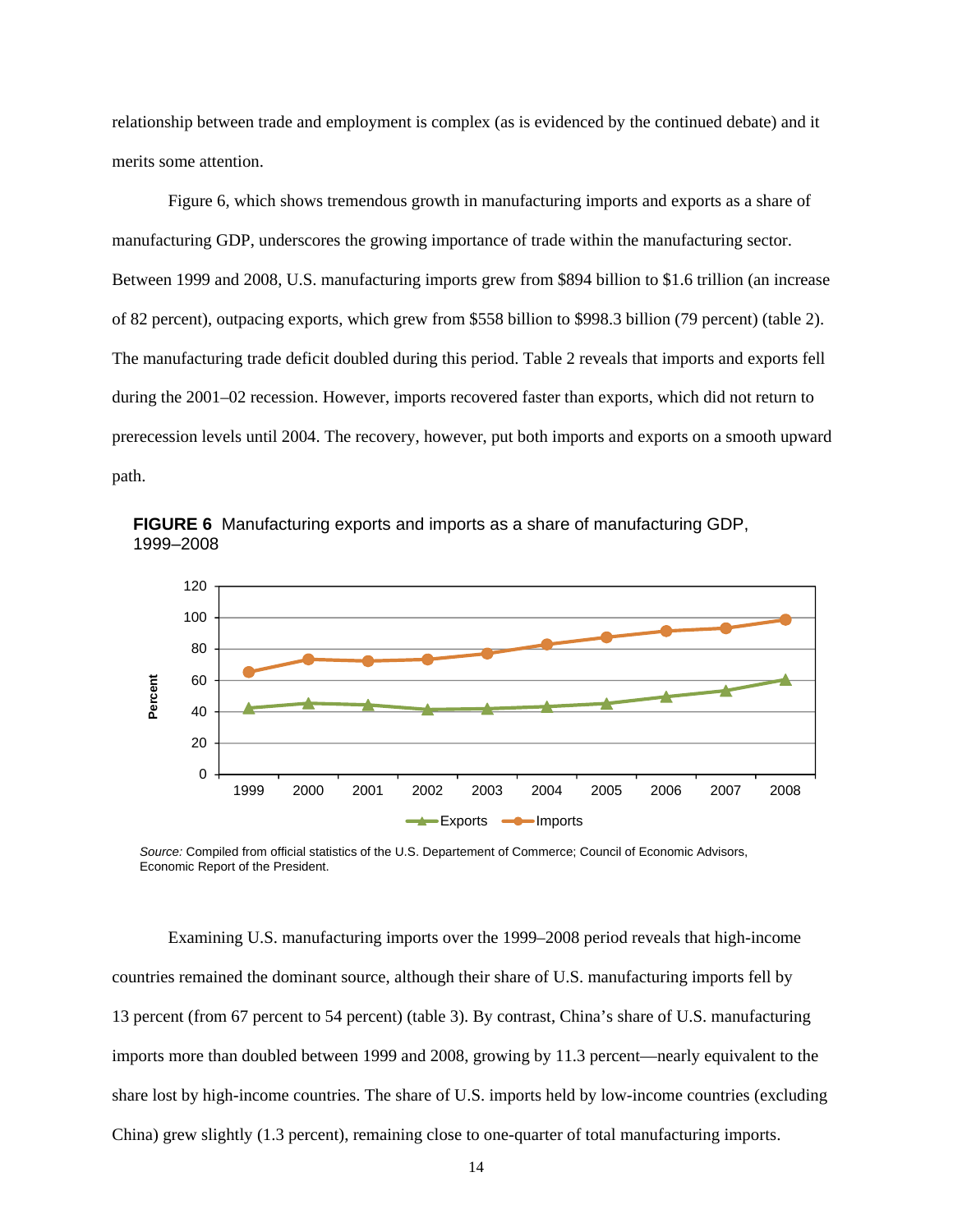relationship between trade and employment is complex (as is evidenced by the continued debate) and it merits some attention.

 Figure 6, which shows tremendous growth in manufacturing imports and exports as a share of manufacturing GDP, underscores the growing importance of trade within the manufacturing sector. Between 1999 and 2008, U.S. manufacturing imports grew from \$894 billion to \$1.6 trillion (an increase of 82 percent), outpacing exports, which grew from \$558 billion to \$998.3 billion (79 percent) (table 2). The manufacturing trade deficit doubled during this period. Table 2 reveals that imports and exports fell during the 2001–02 recession. However, imports recovered faster than exports, which did not return to prerecession levels until 2004. The recovery, however, put both imports and exports on a smooth upward path.



**FIGURE 6** Manufacturing exports and imports as a share of manufacturing GDP, 1999–2008

*Source:* Compiled from official statistics of the U.S. Departement of Commerce; Council of Economic Advisors, Economic Report of the President.

 Examining U.S. manufacturing imports over the 1999–2008 period reveals that high-income countries remained the dominant source, although their share of U.S. manufacturing imports fell by 13 percent (from 67 percent to 54 percent) (table 3). By contrast, China's share of U.S. manufacturing imports more than doubled between 1999 and 2008, growing by 11.3 percent—nearly equivalent to the share lost by high-income countries. The share of U.S. imports held by low-income countries (excluding China) grew slightly (1.3 percent), remaining close to one-quarter of total manufacturing imports.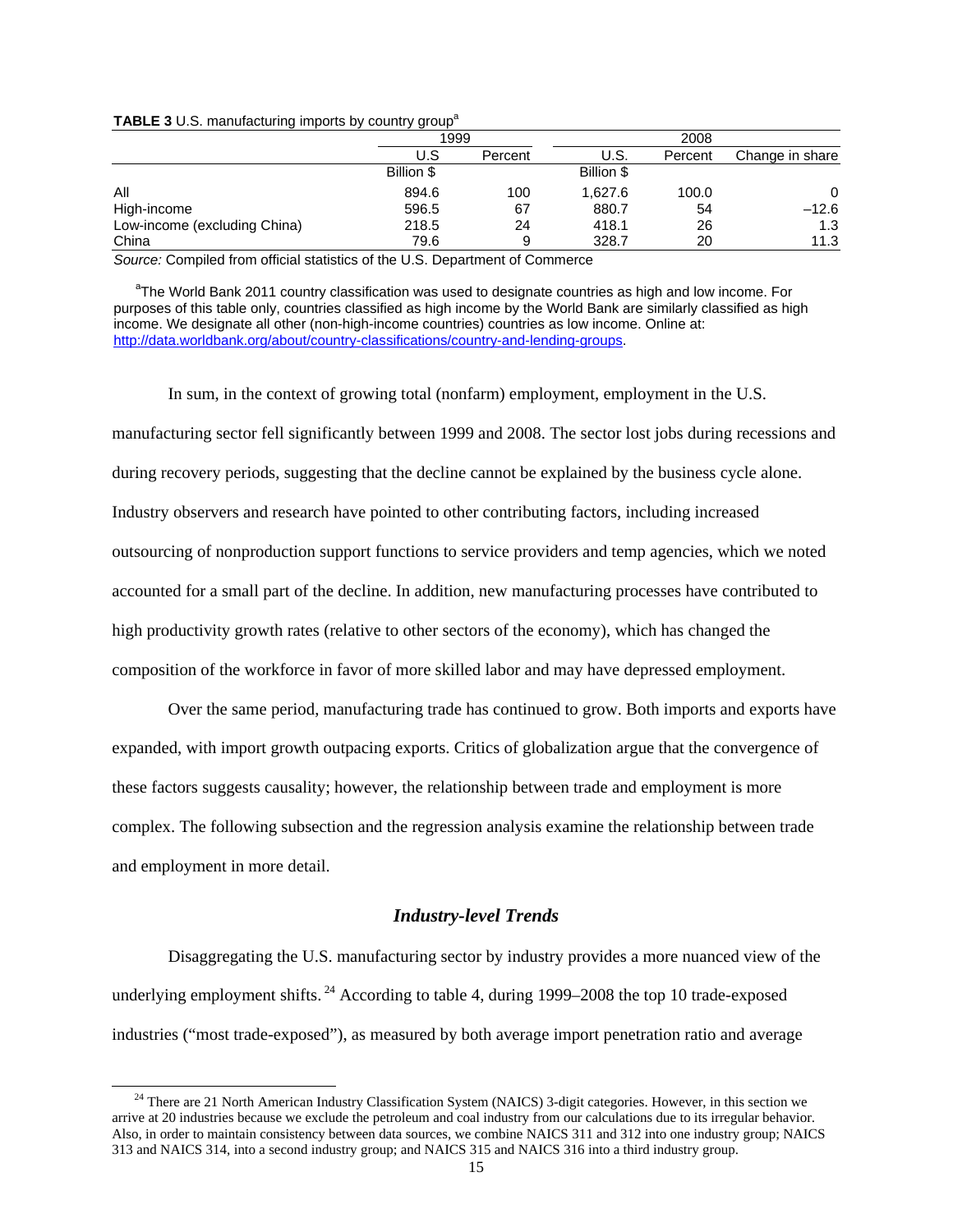**TABLE 3** U.S. manufacturing imports by country group<sup>a</sup>

|                              | 1999       |         |            |         |                 |
|------------------------------|------------|---------|------------|---------|-----------------|
|                              | U.S        | Percent | U.S.       | Percent | Change in share |
|                              | Billion \$ |         | Billion \$ |         |                 |
| All                          | 894.6      | 100     | 1.627.6    | 100.0   | 0               |
| High-income                  | 596.5      | 67      | 880.7      | 54      | $-12.6$         |
| Low-income (excluding China) | 218.5      | 24      | 418.1      | 26      | 1.3             |
| China                        | 79.6       | 9       | 328.7      | 20      | 11.3            |

*Source:* Compiled from official statistics of the U.S. Department of Commerce

<sup>a</sup>The World Bank 2011 country classification was used to designate countries as high and low income. For purposes of this table only, countries classified as high income by the World Bank are similarly classified as high income. We designate all other (non-high-income countries) countries as low income. Online at: http://data.worldbank.org/about/country-classifications/country-and-lending-groups.

 In sum, in the context of growing total (nonfarm) employment, employment in the U.S. manufacturing sector fell significantly between 1999 and 2008. The sector lost jobs during recessions and during recovery periods, suggesting that the decline cannot be explained by the business cycle alone. Industry observers and research have pointed to other contributing factors, including increased outsourcing of nonproduction support functions to service providers and temp agencies, which we noted accounted for a small part of the decline. In addition, new manufacturing processes have contributed to high productivity growth rates (relative to other sectors of the economy), which has changed the composition of the workforce in favor of more skilled labor and may have depressed employment.

Over the same period, manufacturing trade has continued to grow. Both imports and exports have expanded, with import growth outpacing exports. Critics of globalization argue that the convergence of these factors suggests causality; however, the relationship between trade and employment is more complex. The following subsection and the regression analysis examine the relationship between trade and employment in more detail.

#### *Industry-level Trends*

 Disaggregating the U.S. manufacturing sector by industry provides a more nuanced view of the underlying employment shifts.  $^{24}$  According to table 4, during 1999–2008 the top 10 trade-exposed industries ("most trade-exposed"), as measured by both average import penetration ratio and average

<sup>&</sup>lt;sup>24</sup> There are 21 North American Industry Classification System (NAICS) 3-digit categories. However, in this section we arrive at 20 industries because we exclude the petroleum and coal industry from our calculations due to its irregular behavior. Also, in order to maintain consistency between data sources, we combine NAICS 311 and 312 into one industry group; NAICS 313 and NAICS 314, into a second industry group; and NAICS 315 and NAICS 316 into a third industry group.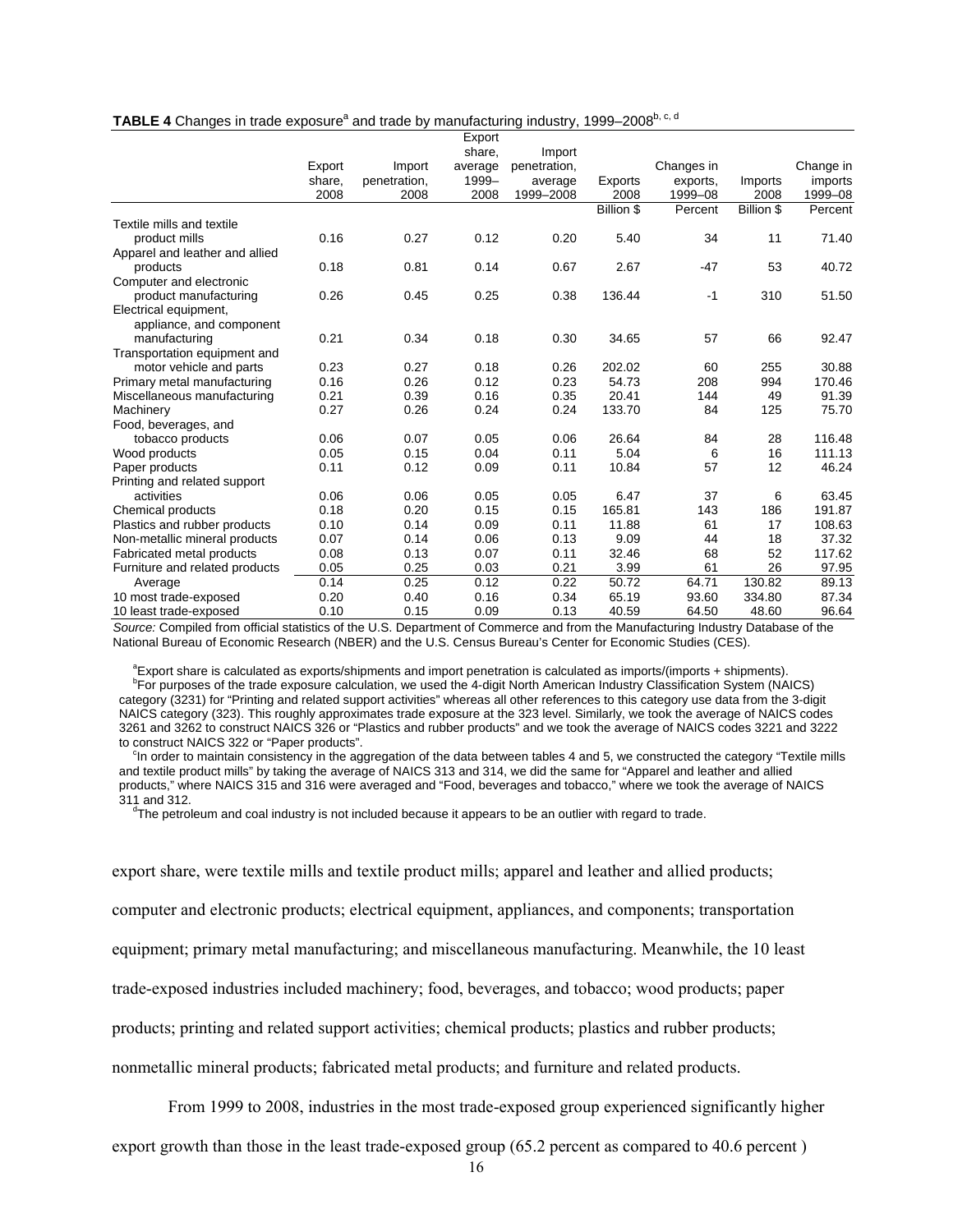| TABLE 4 Changes in trade exposure <sup>a</sup> and trade by manufacturing industry, 1999–2008 <sup>b, c, d</sup> |
|------------------------------------------------------------------------------------------------------------------|
|------------------------------------------------------------------------------------------------------------------|

|                                |        |              | Export  |              |            |            |            |           |
|--------------------------------|--------|--------------|---------|--------------|------------|------------|------------|-----------|
|                                |        |              | share,  | Import       |            |            |            |           |
|                                | Export | Import       | average | penetration, |            | Changes in |            | Change in |
|                                | share, | penetration, | 1999-   | average      | Exports    | exports.   | Imports    | imports   |
|                                | 2008   | 2008         | 2008    | 1999-2008    | 2008       | 1999-08    | 2008       | 1999-08   |
|                                |        |              |         |              | Billion \$ | Percent    | Billion \$ | Percent   |
| Textile mills and textile      |        |              |         |              |            |            |            |           |
| product mills                  | 0.16   | 0.27         | 0.12    | 0.20         | 5.40       | 34         | 11         | 71.40     |
| Apparel and leather and allied |        |              |         |              |            |            |            |           |
| products                       | 0.18   | 0.81         | 0.14    | 0.67         | 2.67       | $-47$      | 53         | 40.72     |
| Computer and electronic        |        |              |         |              |            |            |            |           |
| product manufacturing          | 0.26   | 0.45         | 0.25    | 0.38         | 136.44     | $-1$       | 310        | 51.50     |
| Electrical equipment,          |        |              |         |              |            |            |            |           |
| appliance, and component       |        |              |         |              |            |            |            |           |
| manufacturing                  | 0.21   | 0.34         | 0.18    | 0.30         | 34.65      | 57         | 66         | 92.47     |
| Transportation equipment and   |        |              |         |              |            |            |            |           |
| motor vehicle and parts        | 0.23   | 0.27         | 0.18    | 0.26         | 202.02     | 60         | 255        | 30.88     |
| Primary metal manufacturing    | 0.16   | 0.26         | 0.12    | 0.23         | 54.73      | 208        | 994        | 170.46    |
| Miscellaneous manufacturing    | 0.21   | 0.39         | 0.16    | 0.35         | 20.41      | 144        | 49         | 91.39     |
| Machinery                      | 0.27   | 0.26         | 0.24    | 0.24         | 133.70     | 84         | 125        | 75.70     |
| Food, beverages, and           |        |              |         |              |            |            |            |           |
| tobacco products               | 0.06   | 0.07         | 0.05    | 0.06         | 26.64      | 84         | 28         | 116.48    |
| Wood products                  | 0.05   | 0.15         | 0.04    | 0.11         | 5.04       | 6          | 16         | 111.13    |
| Paper products                 | 0.11   | 0.12         | 0.09    | 0.11         | 10.84      | 57         | 12         | 46.24     |
| Printing and related support   |        |              |         |              |            |            |            |           |
| activities                     | 0.06   | 0.06         | 0.05    | 0.05         | 6.47       | 37         | 6          | 63.45     |
| Chemical products              | 0.18   | 0.20         | 0.15    | 0.15         | 165.81     | 143        | 186        | 191.87    |
| Plastics and rubber products   | 0.10   | 0.14         | 0.09    | 0.11         | 11.88      | 61         | 17         | 108.63    |
| Non-metallic mineral products  | 0.07   | 0.14         | 0.06    | 0.13         | 9.09       | 44         | 18         | 37.32     |
| Fabricated metal products      | 0.08   | 0.13         | 0.07    | 0.11         | 32.46      | 68         | 52         | 117.62    |
| Furniture and related products | 0.05   | 0.25         | 0.03    | 0.21         | 3.99       | 61         | 26         | 97.95     |
| Average                        | 0.14   | 0.25         | 0.12    | 0.22         | 50.72      | 64.71      | 130.82     | 89.13     |
| 10 most trade-exposed          | 0.20   | 0.40         | 0.16    | 0.34         | 65.19      | 93.60      | 334.80     | 87.34     |
| 10 least trade-exposed         | 0.10   | 0.15         | 0.09    | 0.13         | 40.59      | 64.50      | 48.60      | 96.64     |

*Source:* Compiled from official statistics of the U.S. Department of Commerce and from the Manufacturing Industry Database of the National Bureau of Economic Research (NBER) and the U.S. Census Bureau's Center for Economic Studies (CES).

<sup>a</sup> Export share is calculated as exports/shipments and import penetration is calculated as imports/(imports + shipments).<br><sup>b</sup>For purposes of the trade exposure calculation, we used the 4-digit North American Industry Clas category (3231) for "Printing and related support activities" whereas all other references to this category use data from the 3-digit NAICS category (323). This roughly approximates trade exposure at the 323 level. Similarly, we took the average of NAICS codes 3261 and 3262 to construct NAICS 326 or "Plastics and rubber products" and we took the average of NAICS codes 3221 and 3222 to construct NAICS 322 or "Paper products".

<sup>c</sup>In order to maintain consistency in the aggregation of the data between tables 4 and 5, we constructed the category "Textile mills and textile product mills" by taking the average of NAICS 313 and 314, we did the same for "Apparel and leather and allied products," where NAICS 315 and 316 were averaged and "Food, beverages and tobacco," where we took the average of NAICS 311 and 312.

 $d$ The petroleum and coal industry is not included because it appears to be an outlier with regard to trade.

export share, were textile mills and textile product mills; apparel and leather and allied products; computer and electronic products; electrical equipment, appliances, and components; transportation equipment; primary metal manufacturing; and miscellaneous manufacturing. Meanwhile, the 10 least trade-exposed industries included machinery; food, beverages, and tobacco; wood products; paper products; printing and related support activities; chemical products; plastics and rubber products; nonmetallic mineral products; fabricated metal products; and furniture and related products.

From 1999 to 2008, industries in the most trade-exposed group experienced significantly higher

export growth than those in the least trade-exposed group (65.2 percent as compared to 40.6 percent )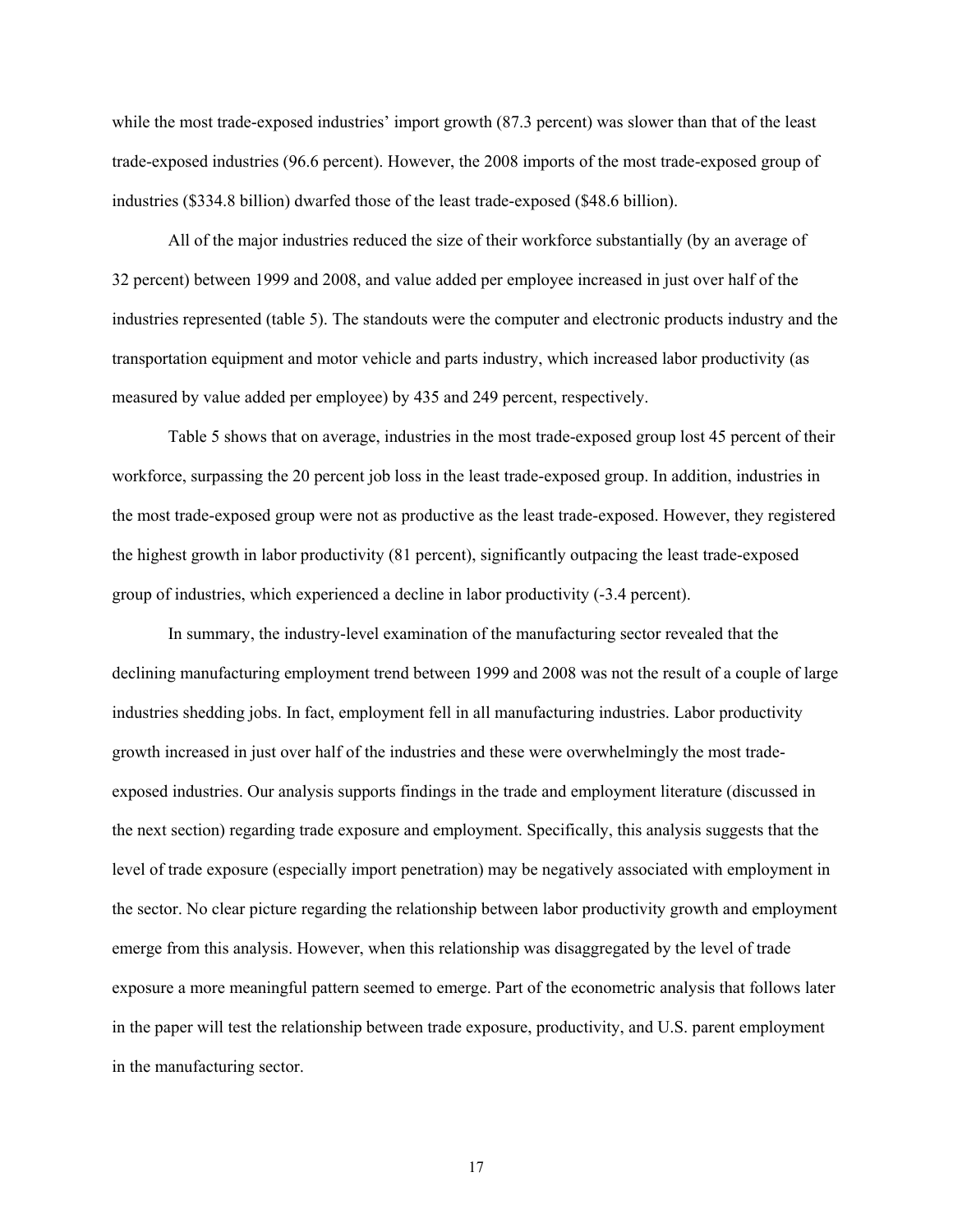while the most trade-exposed industries' import growth (87.3 percent) was slower than that of the least trade-exposed industries (96.6 percent). However, the 2008 imports of the most trade-exposed group of industries (\$334.8 billion) dwarfed those of the least trade-exposed (\$48.6 billion).

All of the major industries reduced the size of their workforce substantially (by an average of 32 percent) between 1999 and 2008, and value added per employee increased in just over half of the industries represented (table 5). The standouts were the computer and electronic products industry and the transportation equipment and motor vehicle and parts industry, which increased labor productivity (as measured by value added per employee) by 435 and 249 percent, respectively.

 Table 5 shows that on average, industries in the most trade-exposed group lost 45 percent of their workforce, surpassing the 20 percent job loss in the least trade-exposed group. In addition, industries in the most trade-exposed group were not as productive as the least trade-exposed. However, they registered the highest growth in labor productivity (81 percent), significantly outpacing the least trade-exposed group of industries, which experienced a decline in labor productivity (-3.4 percent).

 In summary, the industry-level examination of the manufacturing sector revealed that the declining manufacturing employment trend between 1999 and 2008 was not the result of a couple of large industries shedding jobs. In fact, employment fell in all manufacturing industries. Labor productivity growth increased in just over half of the industries and these were overwhelmingly the most tradeexposed industries. Our analysis supports findings in the trade and employment literature (discussed in the next section) regarding trade exposure and employment. Specifically, this analysis suggests that the level of trade exposure (especially import penetration) may be negatively associated with employment in the sector. No clear picture regarding the relationship between labor productivity growth and employment emerge from this analysis. However, when this relationship was disaggregated by the level of trade exposure a more meaningful pattern seemed to emerge. Part of the econometric analysis that follows later in the paper will test the relationship between trade exposure, productivity, and U.S. parent employment in the manufacturing sector.

17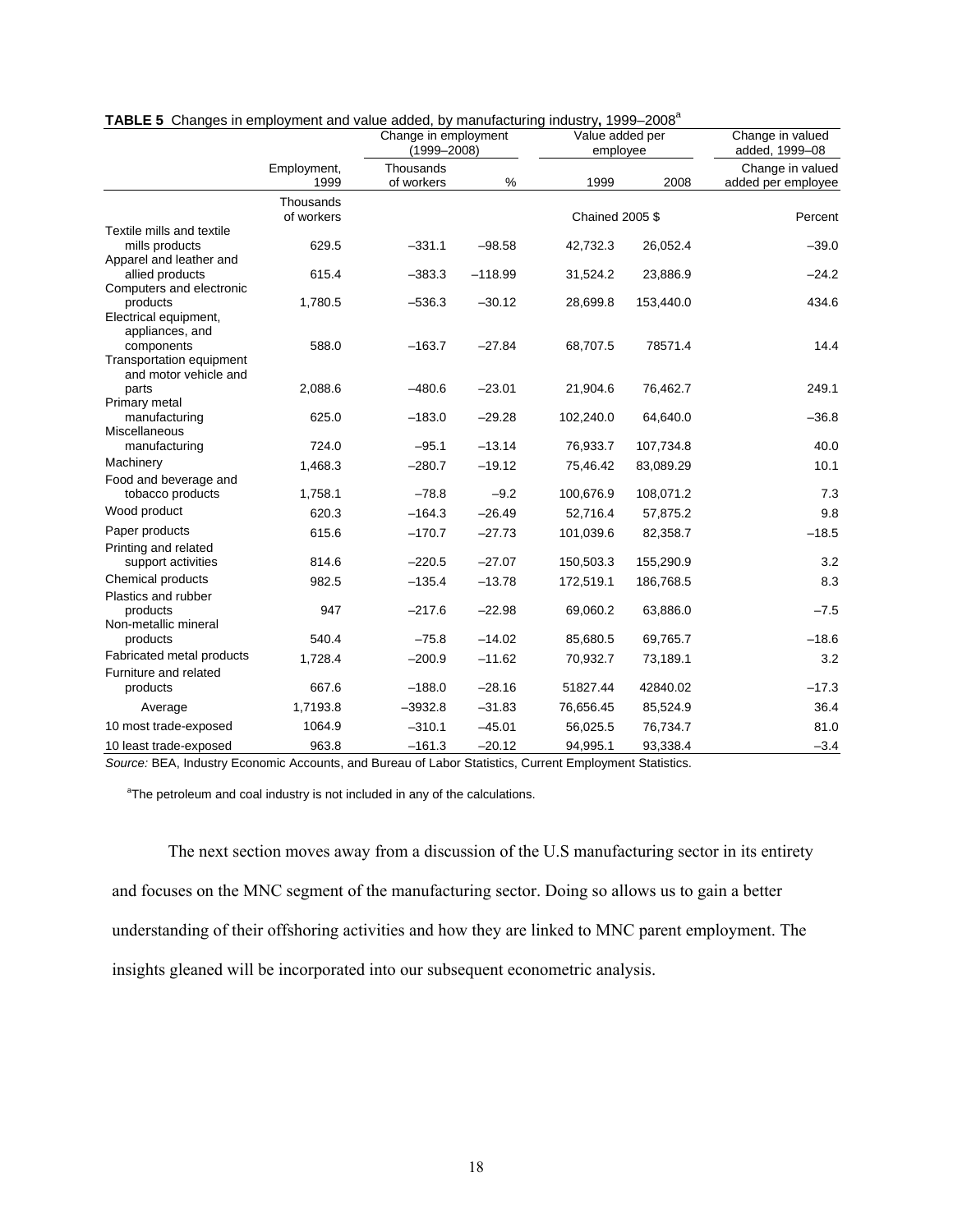|                                                               |                         | Change in employment<br>$(1999 - 2008)$ |           |                        | Value added per<br>employee | Change in valued<br>added, 1999-08     |
|---------------------------------------------------------------|-------------------------|-----------------------------------------|-----------|------------------------|-----------------------------|----------------------------------------|
|                                                               | Employment,<br>1999     | Thousands<br>of workers                 | %         | 1999                   | 2008                        | Change in valued<br>added per employee |
|                                                               | Thousands<br>of workers |                                         |           | <b>Chained 2005 \$</b> |                             | Percent                                |
| Textile mills and textile<br>mills products                   | 629.5                   | $-331.1$                                | $-98.58$  | 42,732.3               | 26,052.4                    | $-39.0$                                |
| Apparel and leather and<br>allied products                    | 615.4                   | $-383.3$                                | $-118.99$ | 31,524.2               | 23,886.9                    | $-24.2$                                |
| Computers and electronic<br>products<br>Electrical equipment, | 1,780.5                 | $-536.3$                                | $-30.12$  | 28,699.8               | 153,440.0                   | 434.6                                  |
| appliances, and<br>components<br>Transportation equipment     | 588.0                   | $-163.7$                                | $-27.84$  | 68,707.5               | 78571.4                     | 14.4                                   |
| and motor vehicle and<br>parts<br>Primary metal               | 2,088.6                 | $-480.6$                                | $-23.01$  | 21,904.6               | 76,462.7                    | 249.1                                  |
| manufacturing<br>Miscellaneous                                | 625.0                   | $-183.0$                                | $-29.28$  | 102,240.0              | 64,640.0                    | $-36.8$                                |
| manufacturing                                                 | 724.0                   | $-95.1$                                 | $-13.14$  | 76,933.7               | 107,734.8                   | 40.0                                   |
| Machinery                                                     | 1,468.3                 | $-280.7$                                | $-19.12$  | 75,46.42               | 83,089.29                   | 10.1                                   |
| Food and beverage and                                         |                         |                                         |           |                        |                             |                                        |
| tobacco products                                              | 1,758.1                 | $-78.8$                                 | $-9.2$    | 100,676.9              | 108,071.2                   | 7.3                                    |
| Wood product                                                  | 620.3                   | $-164.3$                                | $-26.49$  | 52,716.4               | 57,875.2                    | 9.8                                    |
| Paper products                                                | 615.6                   | $-170.7$                                | $-27.73$  | 101,039.6              | 82,358.7                    | $-18.5$                                |
| Printing and related<br>support activities                    | 814.6                   | $-220.5$                                | $-27.07$  | 150,503.3              | 155,290.9                   | 3.2                                    |
| Chemical products                                             | 982.5                   | $-135.4$                                | $-13.78$  | 172,519.1              | 186,768.5                   | 8.3                                    |
| Plastics and rubber<br>products<br>Non-metallic mineral       | 947                     | $-217.6$                                | $-22.98$  | 69,060.2               | 63,886.0                    | $-7.5$                                 |
| products                                                      | 540.4                   | $-75.8$                                 | $-14.02$  | 85,680.5               | 69,765.7                    | $-18.6$                                |
| Fabricated metal products                                     | 1,728.4                 | $-200.9$                                | $-11.62$  | 70,932.7               | 73,189.1                    | 3.2                                    |
| Furniture and related<br>products                             | 667.6                   | $-188.0$                                | $-28.16$  | 51827.44               | 42840.02                    | $-17.3$                                |
| Average                                                       | 1,7193.8                | $-3932.8$                               | $-31.83$  | 76,656.45              | 85,524.9                    | 36.4                                   |
| 10 most trade-exposed                                         | 1064.9                  | $-310.1$                                | $-45.01$  | 56,025.5               | 76,734.7                    | 81.0                                   |
| 10 least trade-exposed                                        | 963.8                   | $-161.3$                                | $-20.12$  | 94,995.1               | 93,338.4                    | $-3.4$                                 |

| TABLE 5 Changes in employment and value added, by manufacturing industry, 1999-2008 <sup>a</sup> |  |
|--------------------------------------------------------------------------------------------------|--|
|--------------------------------------------------------------------------------------------------|--|

*Source:* BEA, Industry Economic Accounts, and Bureau of Labor Statistics, Current Employment Statistics.

<sup>a</sup>The petroleum and coal industry is not included in any of the calculations.

The next section moves away from a discussion of the U.S manufacturing sector in its entirety and focuses on the MNC segment of the manufacturing sector. Doing so allows us to gain a better understanding of their offshoring activities and how they are linked to MNC parent employment. The insights gleaned will be incorporated into our subsequent econometric analysis.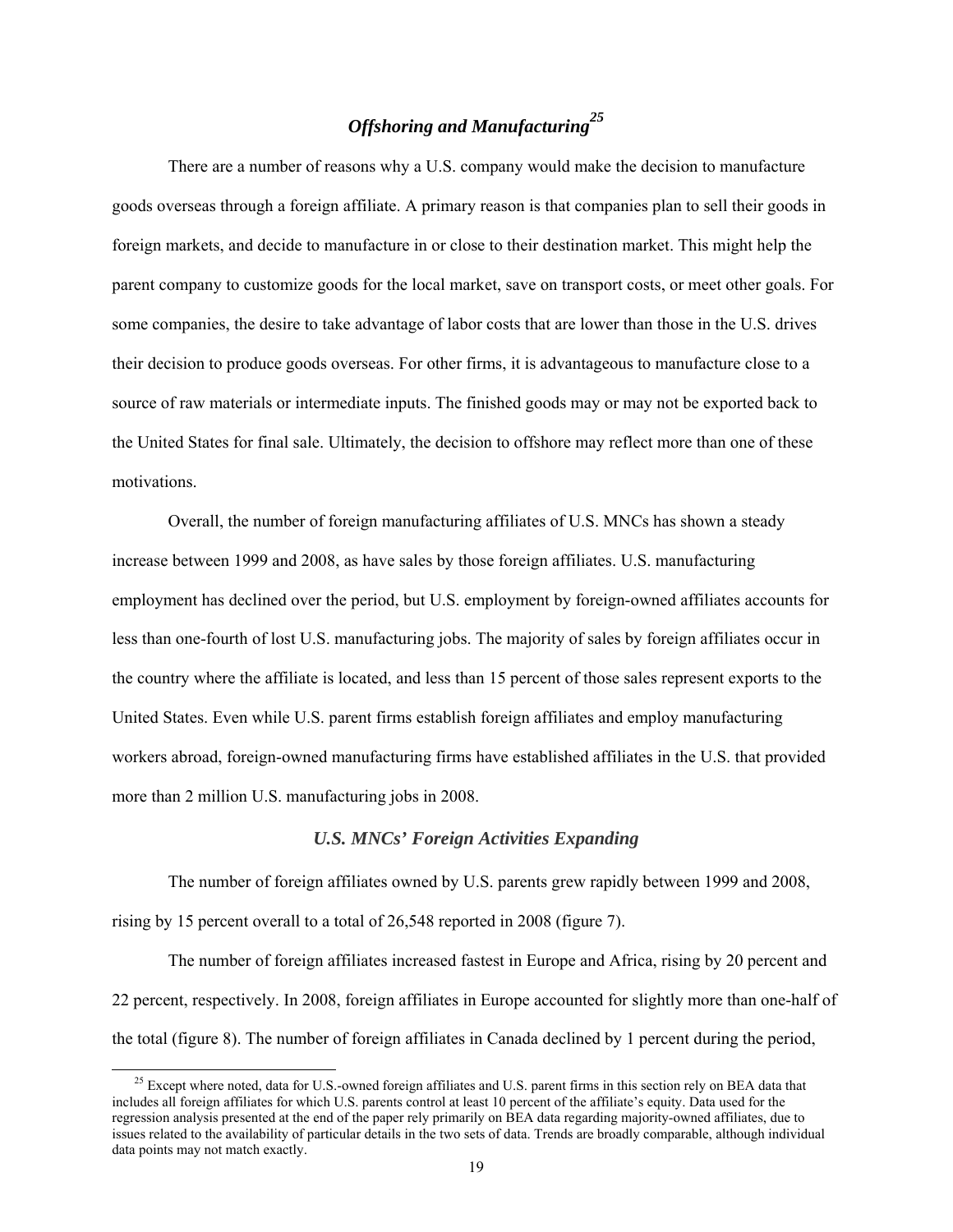## *Offshoring and Manufacturing<sup>25</sup>*

There are a number of reasons why a U.S. company would make the decision to manufacture goods overseas through a foreign affiliate. A primary reason is that companies plan to sell their goods in foreign markets, and decide to manufacture in or close to their destination market. This might help the parent company to customize goods for the local market, save on transport costs, or meet other goals. For some companies, the desire to take advantage of labor costs that are lower than those in the U.S. drives their decision to produce goods overseas. For other firms, it is advantageous to manufacture close to a source of raw materials or intermediate inputs. The finished goods may or may not be exported back to the United States for final sale. Ultimately, the decision to offshore may reflect more than one of these motivations.

Overall, the number of foreign manufacturing affiliates of U.S. MNCs has shown a steady increase between 1999 and 2008, as have sales by those foreign affiliates. U.S. manufacturing employment has declined over the period, but U.S. employment by foreign-owned affiliates accounts for less than one-fourth of lost U.S. manufacturing jobs. The majority of sales by foreign affiliates occur in the country where the affiliate is located, and less than 15 percent of those sales represent exports to the United States. Even while U.S. parent firms establish foreign affiliates and employ manufacturing workers abroad, foreign-owned manufacturing firms have established affiliates in the U.S. that provided more than 2 million U.S. manufacturing jobs in 2008.

#### *U.S. MNCs' Foreign Activities Expanding*

The number of foreign affiliates owned by U.S. parents grew rapidly between 1999 and 2008, rising by 15 percent overall to a total of 26,548 reported in 2008 (figure 7).

The number of foreign affiliates increased fastest in Europe and Africa, rising by 20 percent and 22 percent, respectively. In 2008, foreign affiliates in Europe accounted for slightly more than one-half of the total (figure 8). The number of foreign affiliates in Canada declined by 1 percent during the period,

<sup>&</sup>lt;sup>25</sup> Except where noted, data for U.S.-owned foreign affiliates and U.S. parent firms in this section rely on BEA data that includes all foreign affiliates for which U.S. parents control at least 10 percent of the affiliate's equity. Data used for the regression analysis presented at the end of the paper rely primarily on BEA data regarding majority-owned affiliates, due to issues related to the availability of particular details in the two sets of data. Trends are broadly comparable, although individual data points may not match exactly.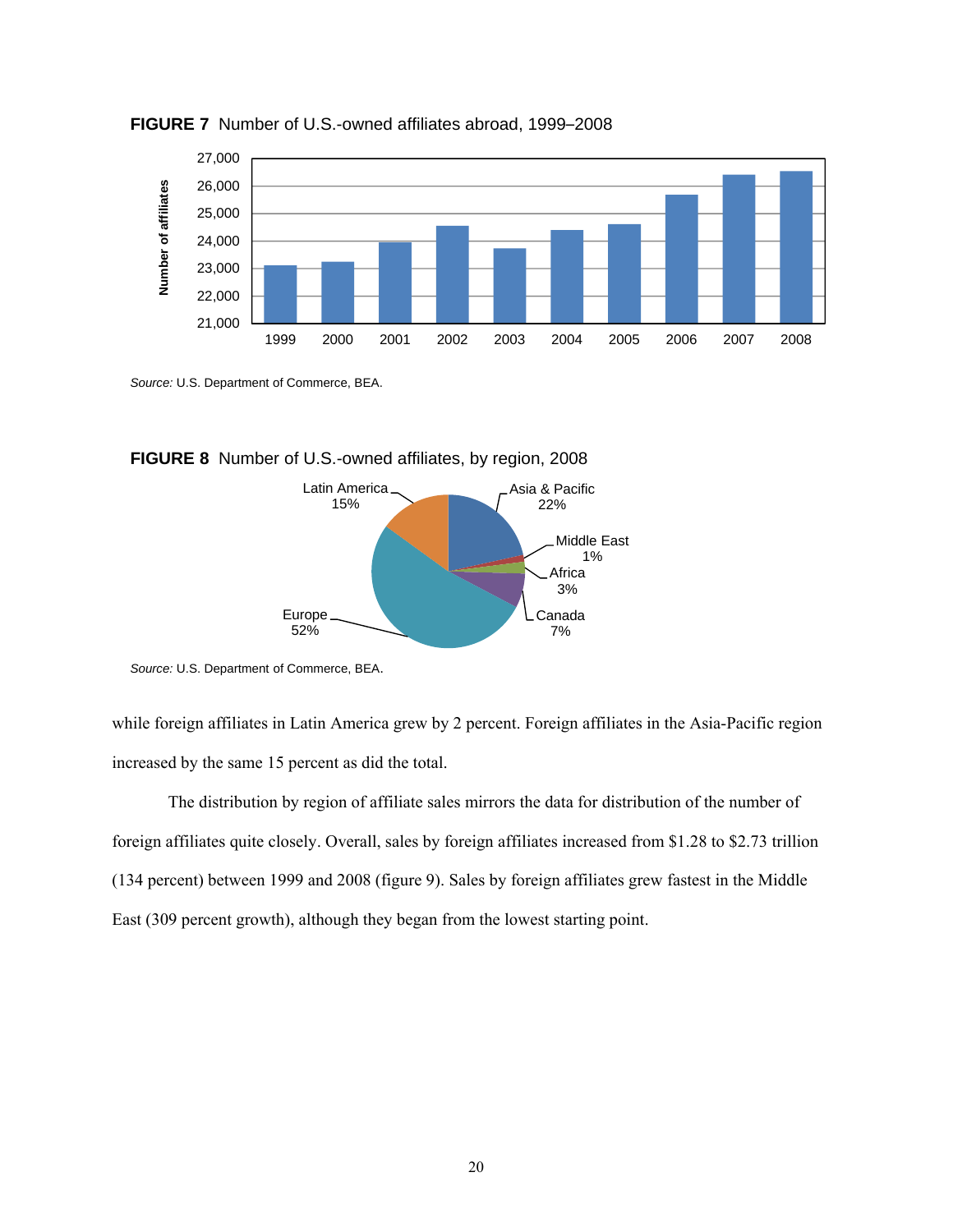

**FIGURE 7** Number of U.S.-owned affiliates abroad, 1999–2008

*Source:* U.S. Department of Commerce, BEA.





*Source:* U.S. Department of Commerce, BEA.

while foreign affiliates in Latin America grew by 2 percent. Foreign affiliates in the Asia-Pacific region increased by the same 15 percent as did the total.

The distribution by region of affiliate sales mirrors the data for distribution of the number of foreign affiliates quite closely. Overall, sales by foreign affiliates increased from \$1.28 to \$2.73 trillion (134 percent) between 1999 and 2008 (figure 9). Sales by foreign affiliates grew fastest in the Middle East (309 percent growth), although they began from the lowest starting point.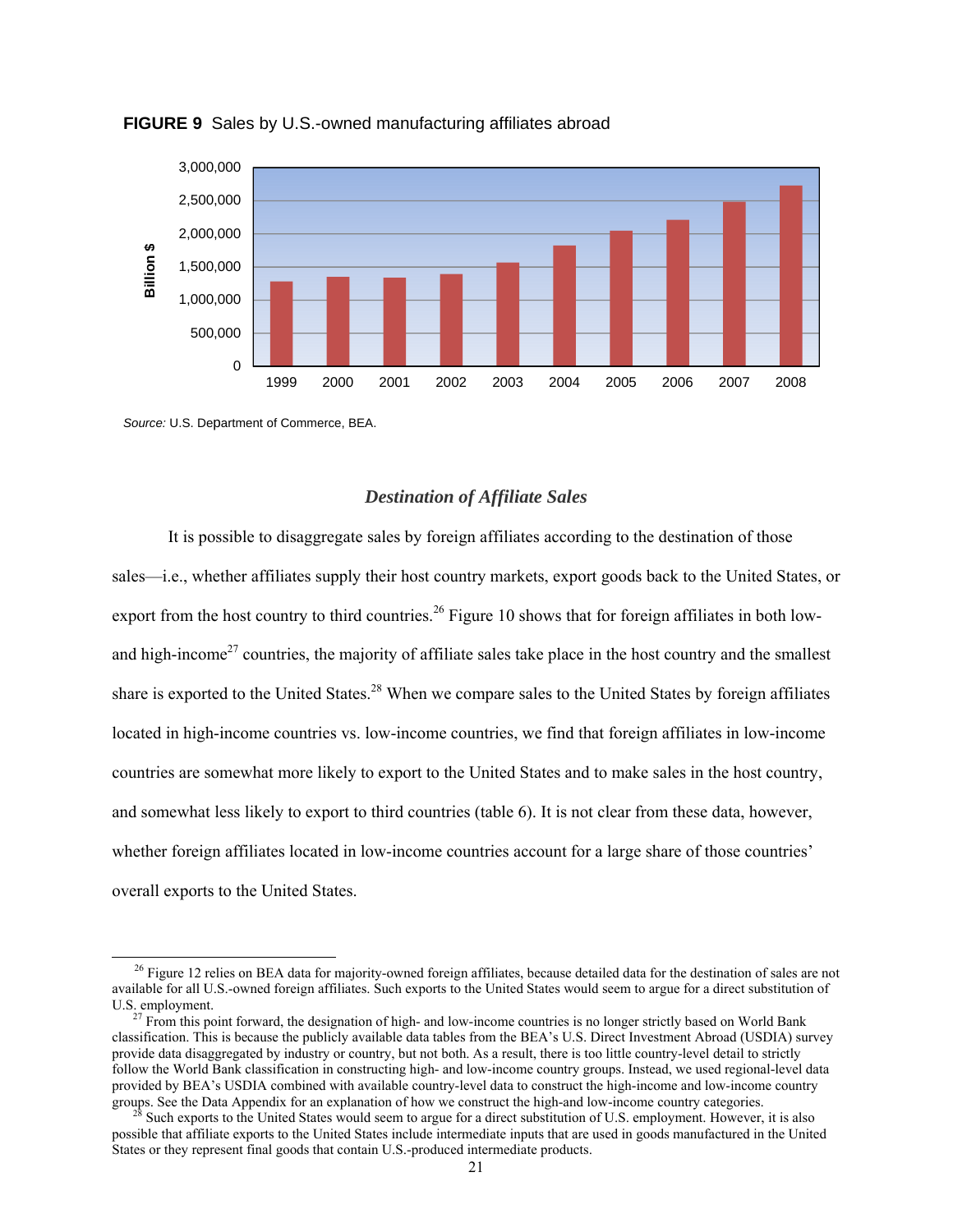

**FIGURE 9** Sales by U.S.-owned manufacturing affiliates abroad

*Source:* U.S. Department of Commerce, BEA.

#### *Destination of Affiliate Sales*

 It is possible to disaggregate sales by foreign affiliates according to the destination of those sales—i.e., whether affiliates supply their host country markets, export goods back to the United States, or export from the host country to third countries.<sup>26</sup> Figure 10 shows that for foreign affiliates in both lowand high-income<sup>27</sup> countries, the majority of affiliate sales take place in the host country and the smallest share is exported to the United States.<sup>28</sup> When we compare sales to the United States by foreign affiliates located in high-income countries vs. low-income countries, we find that foreign affiliates in low-income countries are somewhat more likely to export to the United States and to make sales in the host country, and somewhat less likely to export to third countries (table 6). It is not clear from these data, however, whether foreign affiliates located in low-income countries account for a large share of those countries' overall exports to the United States. States or the United States or the United States or the United States or they represent final goods that contain U.S.-produced intermediate products. The system of the United States or the United States. The Container of t

<sup>&</sup>lt;sup>26</sup> Figure 12 relies on BEA data for majority-owned foreign affiliates, because detailed data for the destination of sales are not available for all U.S.-owned foreign affiliates. Such exports to the United States would seem to argue for a direct substitution of U.S. employment.<br><sup>27</sup> From this point forward, the designation of high- and low-income countries is no longer strictly based on World Bank

classification. This is because the publicly available data tables from the BEA's U.S. Direct Investment Abroad (USDIA) survey provide data disaggregated by industry or country, but not both. As a result, there is too little country-level detail to strictly follow the World Bank classification in constructing high- and low-income country groups. Instead, we used regional-level data provided by BEA's USDIA combined with available country-level data to construct the high-income and low-income country groups. See the Data Appendix for an explanation of how we construct the high-and low-income country categories.<br><sup>28</sup> Such exports to the United States would seem to argue for a direct substitution of U.S. employment. Howe

possible that affiliate exports to the United States include intermediate inputs that are used in goods manufactured in the United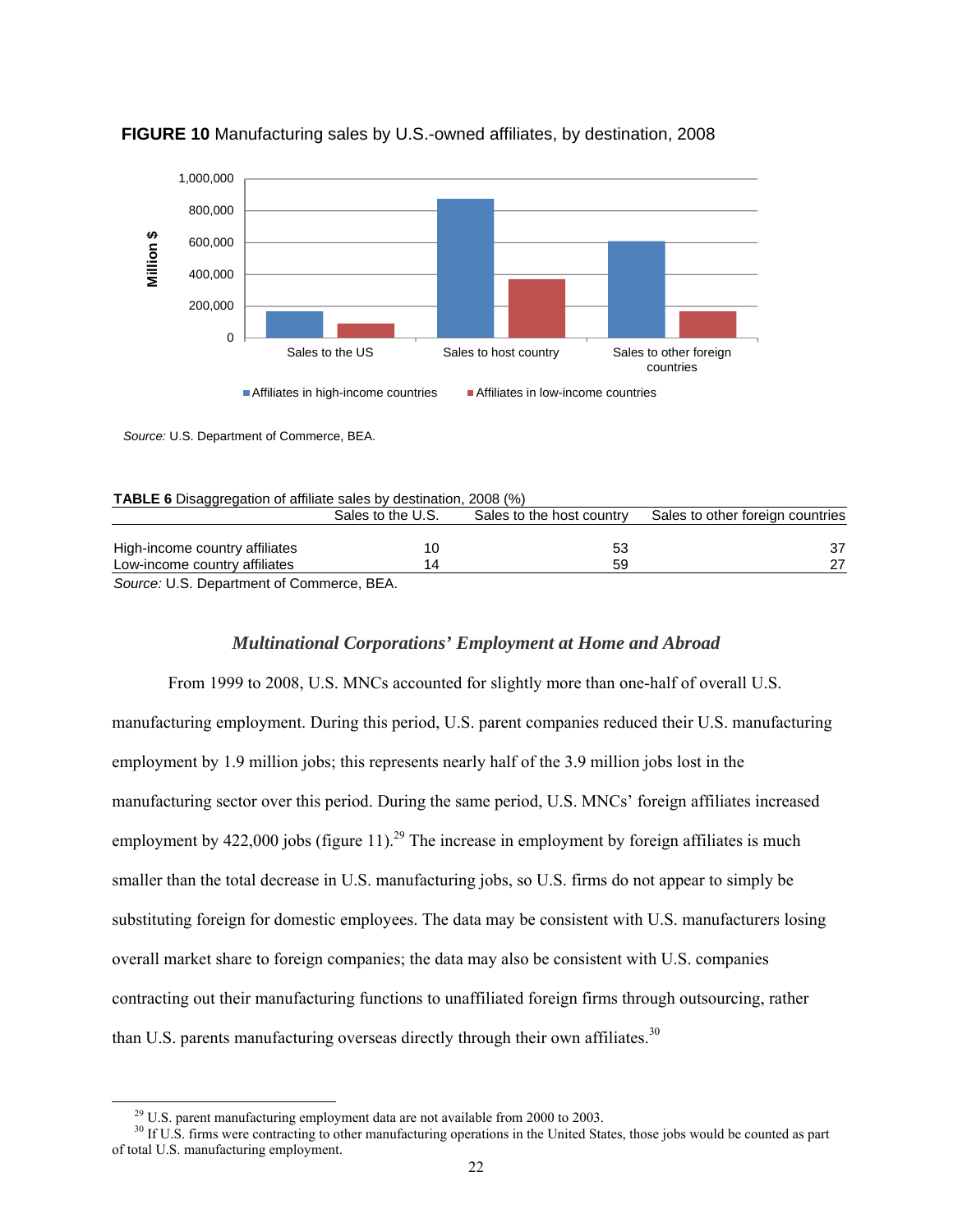

#### **FIGURE 10** Manufacturing sales by U.S.-owned affiliates, by destination, 2008

*Source:* U.S. Department of Commerce, BEA.

|  | <b>TABLE 6</b> Disaggregation of affiliate sales by destination, 2008 (%) |  |
|--|---------------------------------------------------------------------------|--|
|  |                                                                           |  |

|                                                           | Sales to the U.S. | Sales to the host country | Sales to other foreign countries |
|-----------------------------------------------------------|-------------------|---------------------------|----------------------------------|
|                                                           |                   |                           |                                  |
| High-income country affiliates                            |                   |                           |                                  |
| Low-income country affiliates                             |                   | 59                        |                                  |
| $O_{\text{source}}$ . II.O. Department of Orman case. DEA |                   |                           |                                  |

*Source:* U.S. Department of Commerce, BEA.

#### *Multinational Corporations' Employment at Home and Abroad*

 From 1999 to 2008, U.S. MNCs accounted for slightly more than one-half of overall U.S. manufacturing employment. During this period, U.S. parent companies reduced their U.S. manufacturing employment by 1.9 million jobs; this represents nearly half of the 3.9 million jobs lost in the manufacturing sector over this period. During the same period, U.S. MNCs' foreign affiliates increased employment by  $422,000$  jobs (figure 11).<sup>29</sup> The increase in employment by foreign affiliates is much smaller than the total decrease in U.S. manufacturing jobs, so U.S. firms do not appear to simply be substituting foreign for domestic employees. The data may be consistent with U.S. manufacturers losing overall market share to foreign companies; the data may also be consistent with U.S. companies contracting out their manufacturing functions to unaffiliated foreign firms through outsourcing, rather than U.S. parents manufacturing overseas directly through their own affiliates.<sup>30</sup>

<sup>&</sup>lt;sup>29</sup> U.S. parent manufacturing employment data are not available from 2000 to 2003.<br><sup>30</sup> If U.S. firms were contracting to other manufacturing operations in the United States, those jobs would be counted as part of total U.S. manufacturing employment.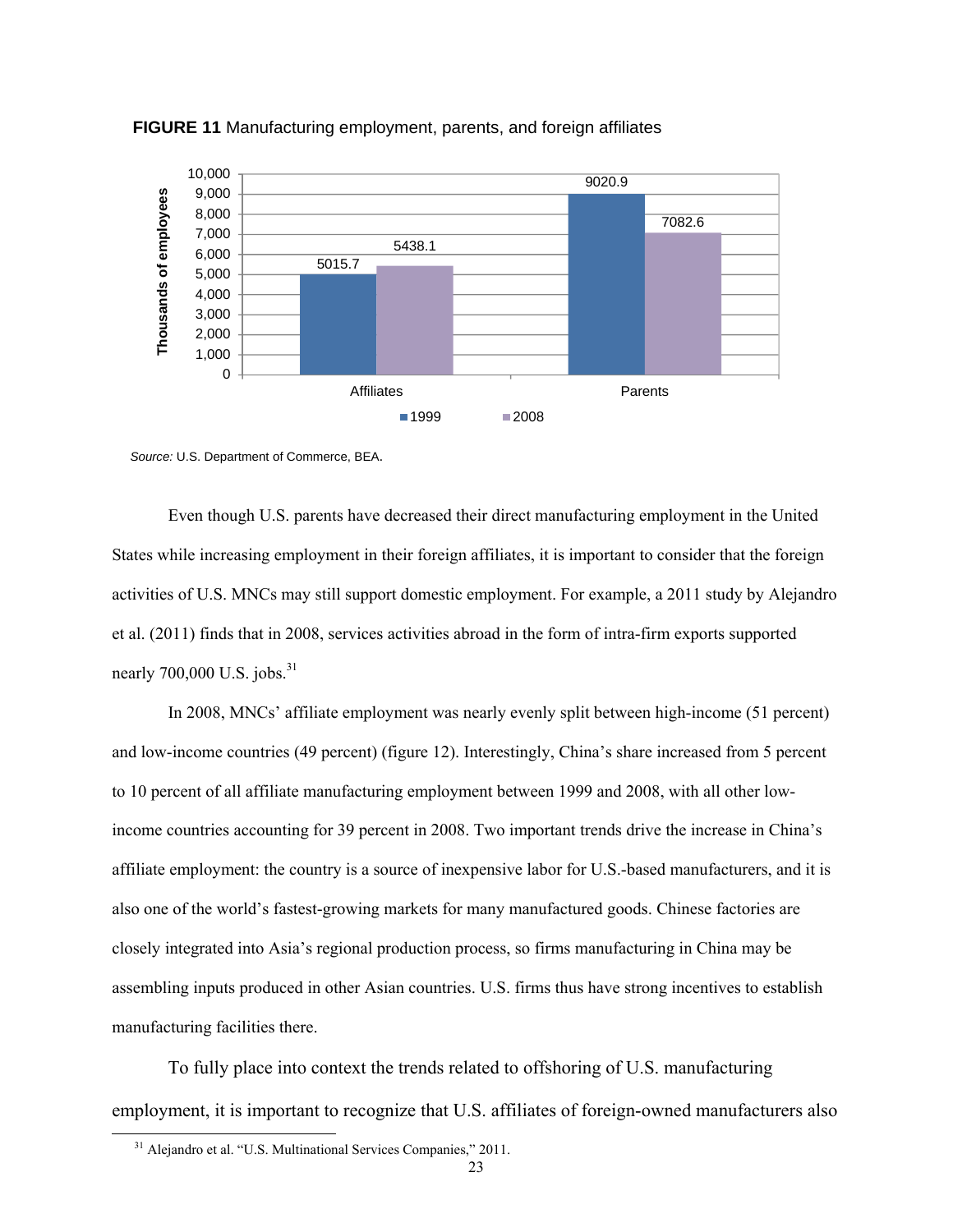

**FIGURE 11** Manufacturing employment, parents, and foreign affiliates

 Even though U.S. parents have decreased their direct manufacturing employment in the United States while increasing employment in their foreign affiliates, it is important to consider that the foreign activities of U.S. MNCs may still support domestic employment. For example, a 2011 study by Alejandro et al. (2011) finds that in 2008, services activities abroad in the form of intra-firm exports supported nearly  $700,000$  U.S. jobs. $31$ 

 In 2008, MNCs' affiliate employment was nearly evenly split between high-income (51 percent) and low-income countries (49 percent) (figure 12). Interestingly, China's share increased from 5 percent to 10 percent of all affiliate manufacturing employment between 1999 and 2008, with all other lowincome countries accounting for 39 percent in 2008. Two important trends drive the increase in China's affiliate employment: the country is a source of inexpensive labor for U.S.-based manufacturers, and it is also one of the world's fastest-growing markets for many manufactured goods. Chinese factories are closely integrated into Asia's regional production process, so firms manufacturing in China may be assembling inputs produced in other Asian countries. U.S. firms thus have strong incentives to establish manufacturing facilities there.

To fully place into context the trends related to offshoring of U.S. manufacturing employment, it is important to recognize that U.S. affiliates of foreign-owned manufacturers also

*Source:* U.S. Department of Commerce, BEA.

 <sup>31</sup> Alejandro et al. "U.S. Multinational Services Companies," 2011.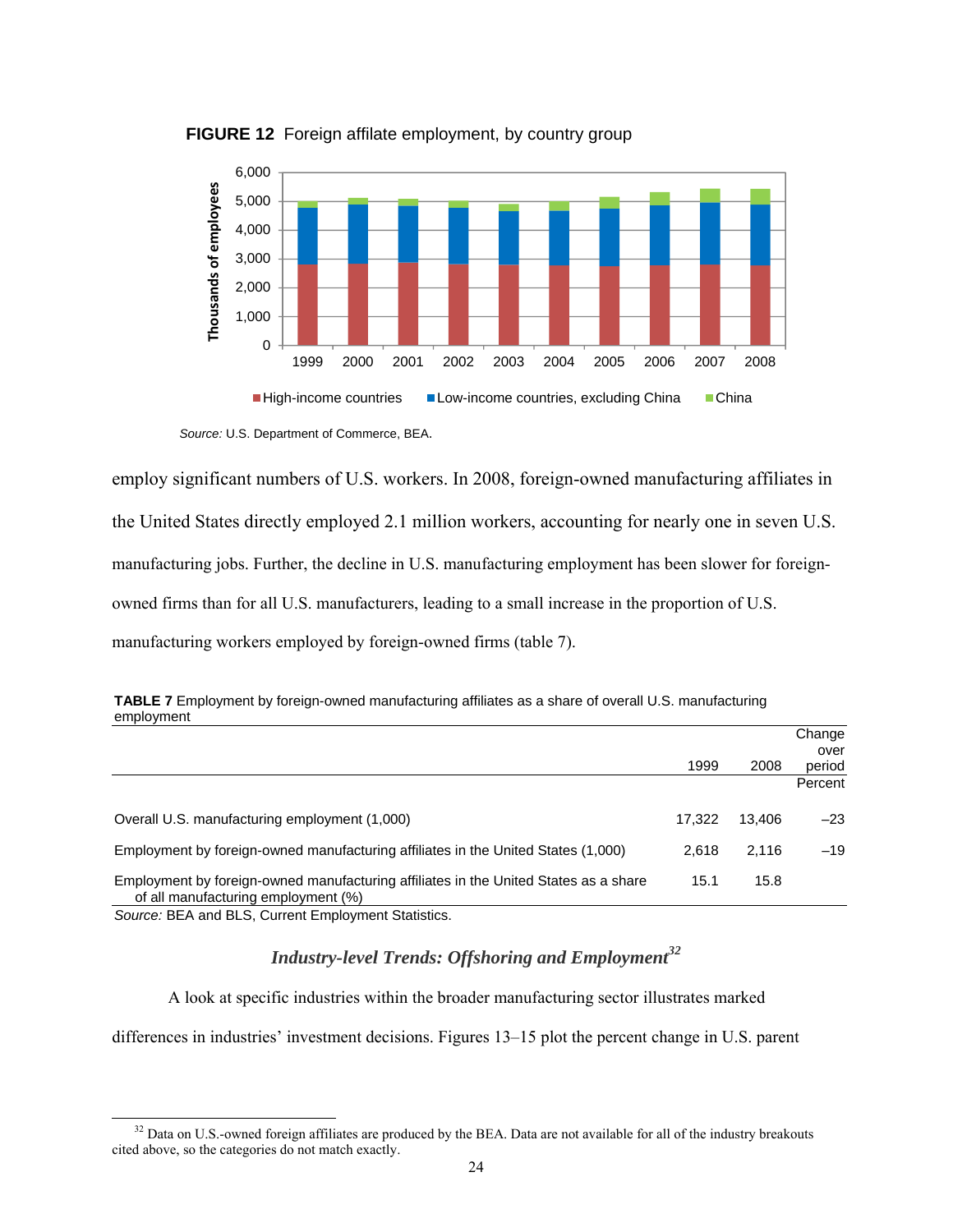

**FIGURE 12** Foreign affilate employment, by country group

employ significant numbers of U.S. workers. In 2008, foreign-owned manufacturing affiliates in the United States directly employed 2.1 million workers, accounting for nearly one in seven U.S. manufacturing jobs. Further, the decline in U.S. manufacturing employment has been slower for foreignowned firms than for all U.S. manufacturers, leading to a small increase in the proportion of U.S. manufacturing workers employed by foreign-owned firms (table 7).

| UIIIIVIVIIIIII                                                                                                              |        |        |         |
|-----------------------------------------------------------------------------------------------------------------------------|--------|--------|---------|
|                                                                                                                             |        |        | Change  |
|                                                                                                                             |        |        | over    |
|                                                                                                                             | 1999   | 2008   | period  |
|                                                                                                                             |        |        | Percent |
|                                                                                                                             |        |        |         |
| Overall U.S. manufacturing employment (1,000)                                                                               | 17.322 | 13.406 | $-23$   |
| Employment by foreign-owned manufacturing affiliates in the United States (1,000)                                           | 2.618  | 2.116  | $-19$   |
|                                                                                                                             |        |        |         |
| Employment by foreign-owned manufacturing affiliates in the United States as a share<br>of all manufacturing employment (%) | 15.1   | 15.8   |         |
| Source: BEA and BLS, Current Employment Statistics.                                                                         |        |        |         |

**TABLE 7** Employment by foreign-owned manufacturing affiliates as a share of overall U.S. manufacturing employment

# *Industry-level Trends: Offshoring and Employment<sup>32</sup>*

A look at specific industries within the broader manufacturing sector illustrates marked differences in industries' investment decisions. Figures 13–15 plot the percent change in U.S. parent

*Source:* U.S. Department of Commerce, BEA.

<sup>&</sup>lt;sup>32</sup> Data on U.S.-owned foreign affiliates are produced by the BEA. Data are not available for all of the industry breakouts cited above, so the categories do not match exactly.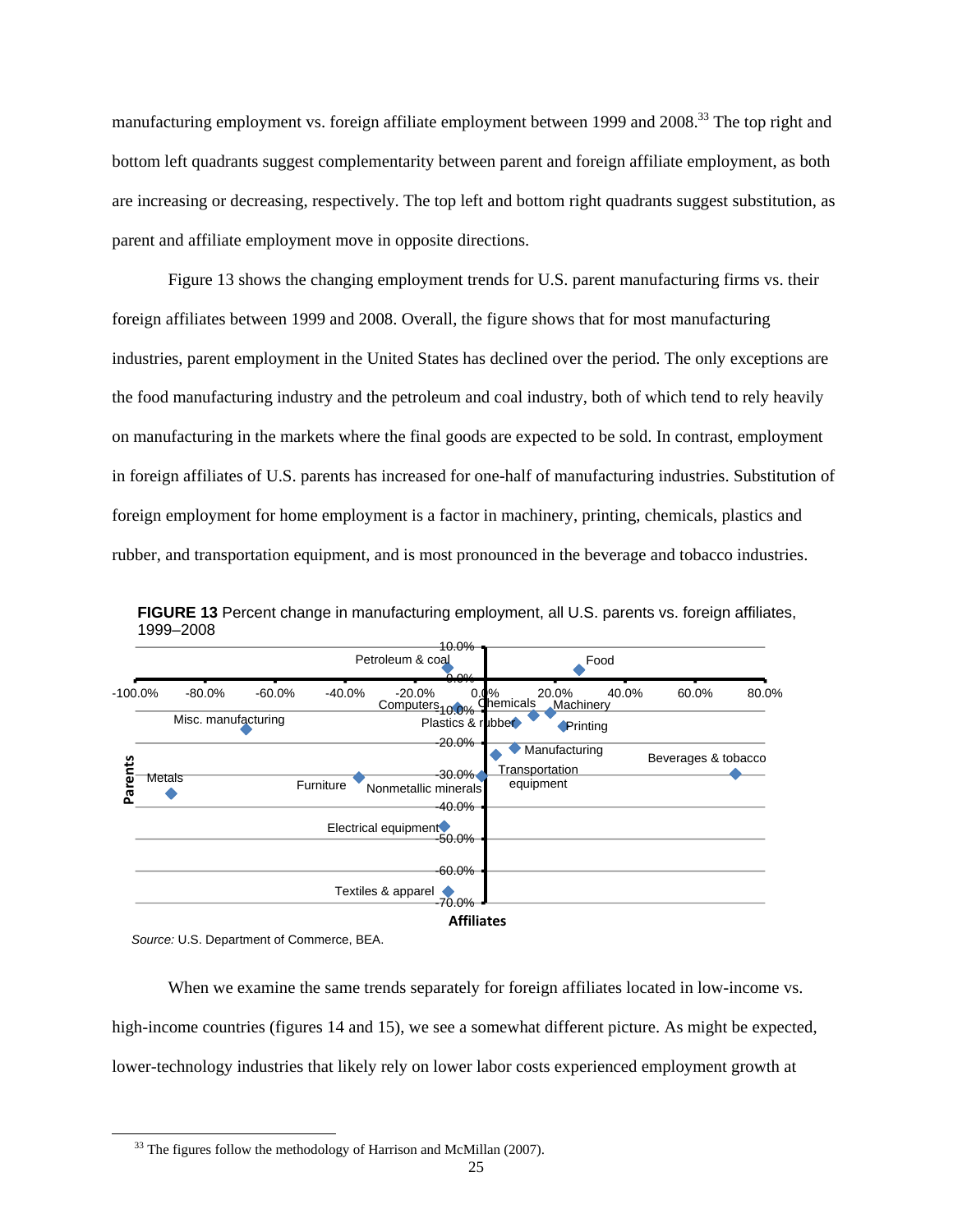manufacturing employment vs. foreign affiliate employment between 1999 and 2008.<sup>33</sup> The top right and bottom left quadrants suggest complementarity between parent and foreign affiliate employment, as both are increasing or decreasing, respectively. The top left and bottom right quadrants suggest substitution, as parent and affiliate employment move in opposite directions.

 Figure 13 shows the changing employment trends for U.S. parent manufacturing firms vs. their foreign affiliates between 1999 and 2008. Overall, the figure shows that for most manufacturing industries, parent employment in the United States has declined over the period. The only exceptions are the food manufacturing industry and the petroleum and coal industry, both of which tend to rely heavily on manufacturing in the markets where the final goods are expected to be sold. In contrast, employment in foreign affiliates of U.S. parents has increased for one-half of manufacturing industries. Substitution of foreign employment for home employment is a factor in machinery, printing, chemicals, plastics and rubber, and transportation equipment, and is most pronounced in the beverage and tobacco industries.



**FIGURE 13** Percent change in manufacturing employment, all U.S. parents vs. foreign affiliates, 1999–2008

*Source:* U.S. Department of Commerce, BEA.

When we examine the same trends separately for foreign affiliates located in low-income vs. high-income countries (figures 14 and 15), we see a somewhat different picture. As might be expected, lower-technology industries that likely rely on lower labor costs experienced employment growth at

<sup>&</sup>lt;sup>33</sup> The figures follow the methodology of Harrison and McMillan (2007).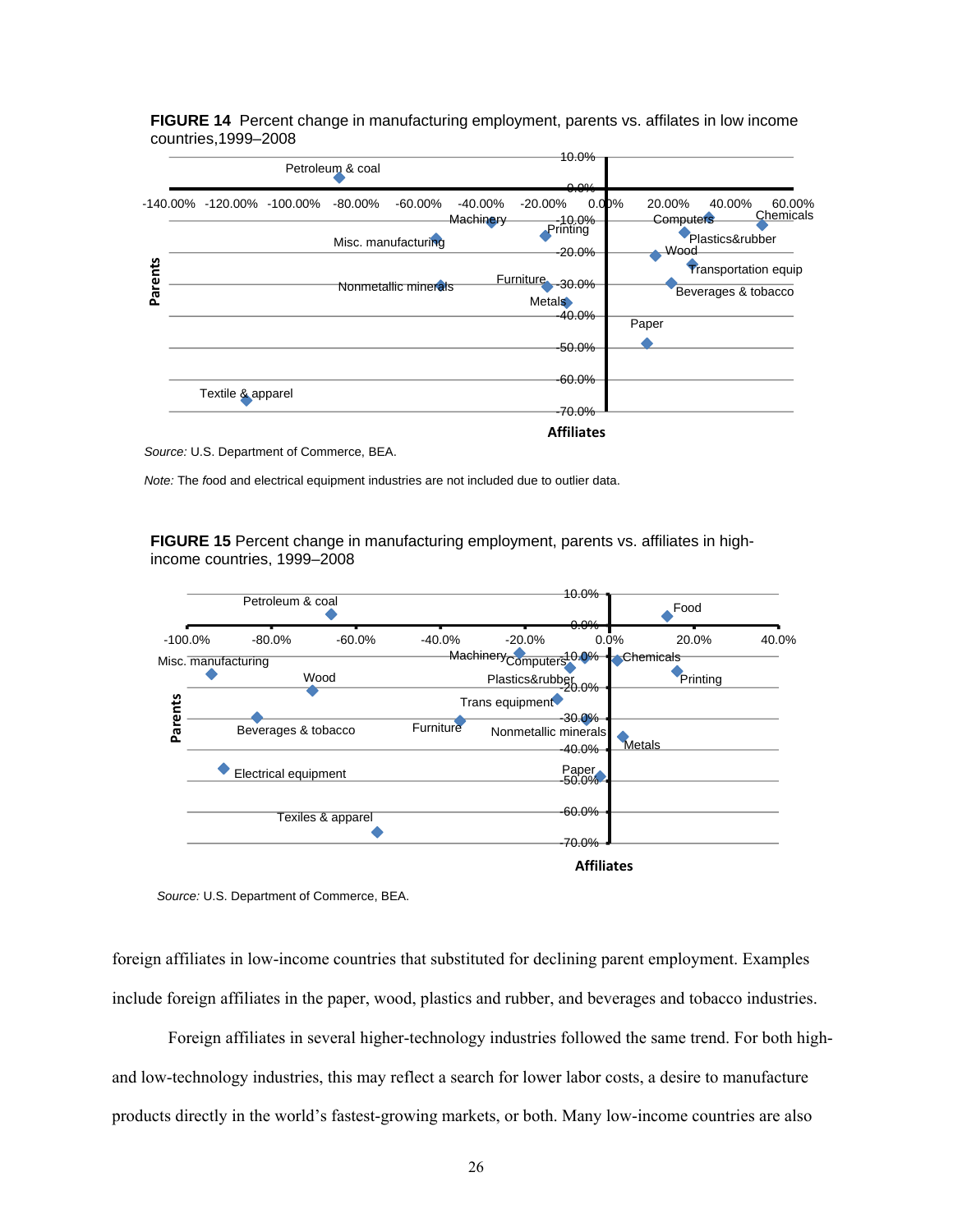**FIGURE 14** Percent change in manufacturing employment, parents vs. affilates in low income countries,1999–2008

|         |                            |  |                  |                     |            |                                   | 10.0%                     |                          |                                                    |
|---------|----------------------------|--|------------------|---------------------|------------|-----------------------------------|---------------------------|--------------------------|----------------------------------------------------|
|         |                            |  | Petroleum & coal |                     |            |                                   |                           |                          |                                                    |
|         |                            |  |                  |                     |            |                                   | 0.001<br><del>0.070</del> |                          |                                                    |
| Parents | -140.00% -120.00% -100.00% |  | $-80.00\%$       | $-60.00\%$          | $-40.00\%$ | $-20.00\%$                        | 0.00%                     | 20.00%                   | 40.00%<br>60.00%<br>Chemicals                      |
|         |                            |  |                  | Misc. manufacturing | Machinery  | Printing                          | $-10.0\%$<br>$-20.0\%$    | <b>Computers</b><br>Wood | Plastics&rubber                                    |
|         | Nonmetallic minerals       |  |                  |                     |            | Furniture -30.0%<br><b>Metals</b> |                           |                          | <b>Transportation equip</b><br>Beverages & tobacco |
|         |                            |  |                  |                     |            |                                   | -40.0%                    | Paper                    |                                                    |
|         |                            |  |                  |                     |            |                                   | $-50.0\%$                 |                          |                                                    |
|         | Textile & apparel          |  |                  |                     |            |                                   | $-60.0\%$                 |                          |                                                    |
|         |                            |  |                  |                     |            | $-70.0\%$                         |                           |                          |                                                    |
|         |                            |  |                  |                     |            |                                   | <b>Affiliates</b>         |                          |                                                    |

*Source:* U.S. Department of Commerce, BEA.

*Note:* The *f*ood and electrical equipment industries are not included due to outlier data.

**FIGURE 15** Percent change in manufacturing employment, parents vs. affiliates in highincome countries, 1999–2008



*Source:* U.S. Department of Commerce, BEA.

foreign affiliates in low-income countries that substituted for declining parent employment. Examples include foreign affiliates in the paper, wood, plastics and rubber, and beverages and tobacco industries.

Foreign affiliates in several higher-technology industries followed the same trend. For both highand low-technology industries, this may reflect a search for lower labor costs, a desire to manufacture products directly in the world's fastest-growing markets, or both. Many low-income countries are also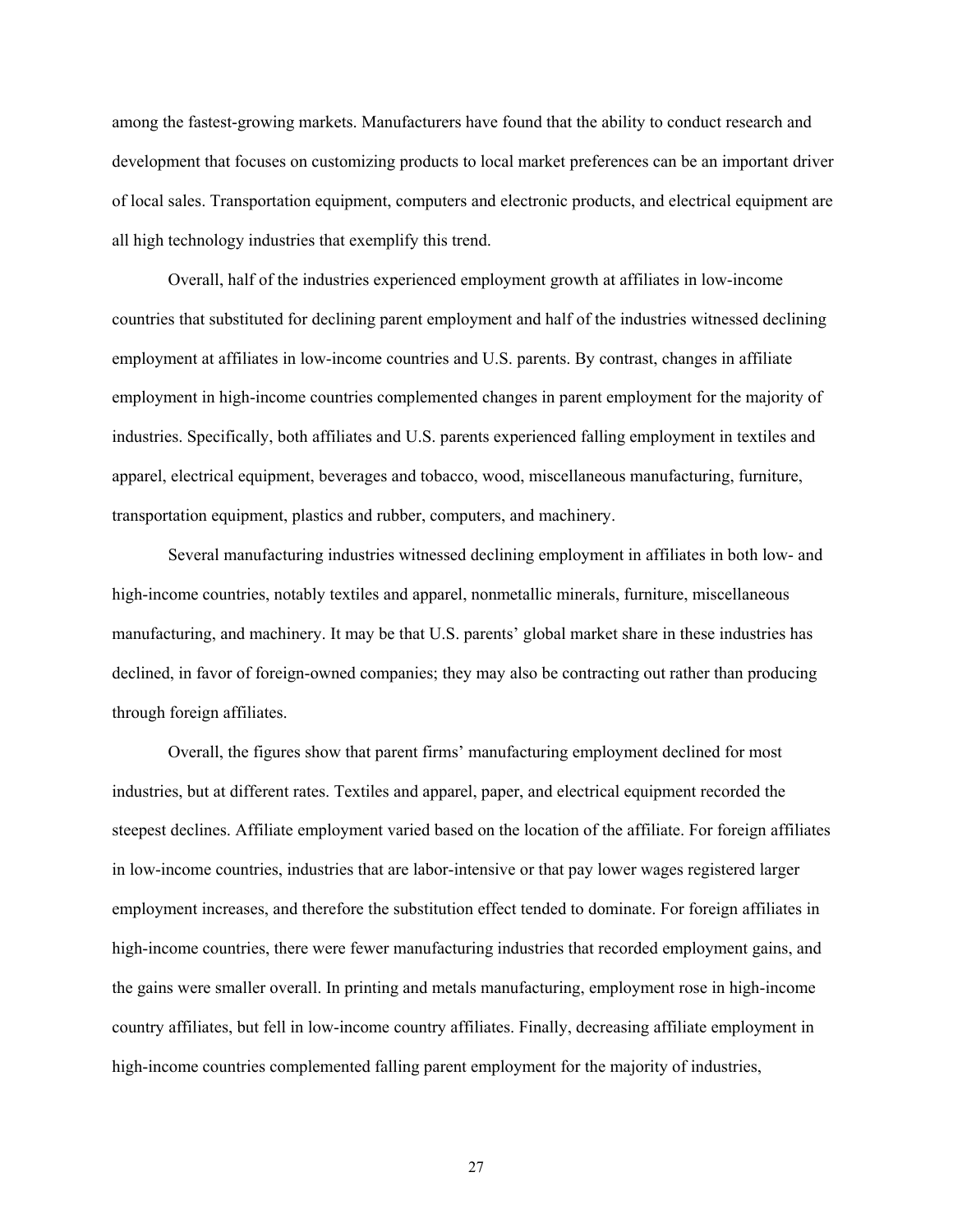among the fastest-growing markets. Manufacturers have found that the ability to conduct research and development that focuses on customizing products to local market preferences can be an important driver of local sales. Transportation equipment, computers and electronic products, and electrical equipment are all high technology industries that exemplify this trend.

Overall, half of the industries experienced employment growth at affiliates in low-income countries that substituted for declining parent employment and half of the industries witnessed declining employment at affiliates in low-income countries and U.S. parents. By contrast, changes in affiliate employment in high-income countries complemented changes in parent employment for the majority of industries. Specifically, both affiliates and U.S. parents experienced falling employment in textiles and apparel, electrical equipment, beverages and tobacco, wood, miscellaneous manufacturing, furniture, transportation equipment, plastics and rubber, computers, and machinery.

Several manufacturing industries witnessed declining employment in affiliates in both low- and high-income countries, notably textiles and apparel, nonmetallic minerals, furniture, miscellaneous manufacturing, and machinery. It may be that U.S. parents' global market share in these industries has declined, in favor of foreign-owned companies; they may also be contracting out rather than producing through foreign affiliates.

Overall, the figures show that parent firms' manufacturing employment declined for most industries, but at different rates. Textiles and apparel, paper, and electrical equipment recorded the steepest declines. Affiliate employment varied based on the location of the affiliate. For foreign affiliates in low-income countries, industries that are labor-intensive or that pay lower wages registered larger employment increases, and therefore the substitution effect tended to dominate. For foreign affiliates in high-income countries, there were fewer manufacturing industries that recorded employment gains, and the gains were smaller overall. In printing and metals manufacturing, employment rose in high-income country affiliates, but fell in low-income country affiliates. Finally, decreasing affiliate employment in high-income countries complemented falling parent employment for the majority of industries,

27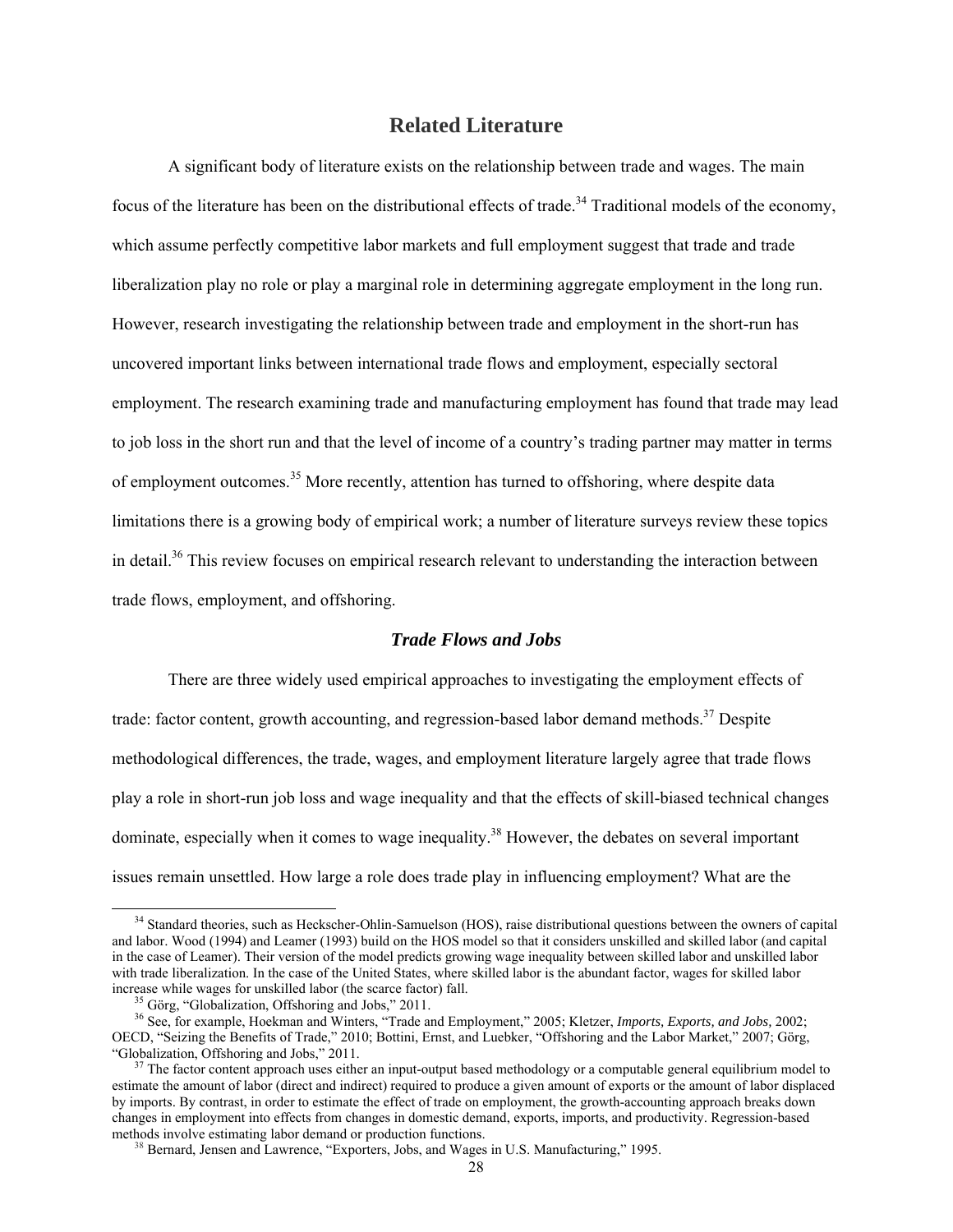#### **Related Literature**

A significant body of literature exists on the relationship between trade and wages. The main focus of the literature has been on the distributional effects of trade.<sup>34</sup> Traditional models of the economy, which assume perfectly competitive labor markets and full employment suggest that trade and trade liberalization play no role or play a marginal role in determining aggregate employment in the long run. However, research investigating the relationship between trade and employment in the short-run has uncovered important links between international trade flows and employment, especially sectoral employment. The research examining trade and manufacturing employment has found that trade may lead to job loss in the short run and that the level of income of a country's trading partner may matter in terms of employment outcomes.<sup>35</sup> More recently, attention has turned to offshoring, where despite data limitations there is a growing body of empirical work; a number of literature surveys review these topics in detail.<sup>36</sup> This review focuses on empirical research relevant to understanding the interaction between trade flows, employment, and offshoring.

#### *Trade Flows and Jobs*

There are three widely used empirical approaches to investigating the employment effects of trade: factor content, growth accounting, and regression-based labor demand methods.<sup>37</sup> Despite methodological differences, the trade, wages, and employment literature largely agree that trade flows play a role in short-run job loss and wage inequality and that the effects of skill-biased technical changes dominate, especially when it comes to wage inequality.<sup>38</sup> However, the debates on several important issues remain unsettled. How large a role does trade play in influencing employment? What are the

<sup>&</sup>lt;sup>34</sup> Standard theories, such as Heckscher-Ohlin-Samuelson (HOS), raise distributional questions between the owners of capital and labor. Wood (1994) and Leamer (1993) build on the HOS model so that it considers unskilled and skilled labor (and capital in the case of Leamer). Their version of the model predicts growing wage inequality between skilled labor and unskilled labor with trade liberalization. In the case of the United States, where skilled labor is the abundant factor, wages for skilled labor increase while wages for unskilled labor (the scarce factor) fall. 35 Görg, "Globalization, Offshoring and Jobs," 2011.

<sup>36</sup> See, for example, Hoekman and Winters, "Trade and Employment," 2005; Kletzer, *Imports, Exports, and Jobs,* 2002; OECD, "Seizing the Benefits of Trade," 2010; Bottini, Ernst, and Luebker, "Offshoring and the Labor Market," 2007; Görg, "Globalization, Offshoring and Jobs," 2011.

The factor content approach uses either an input-output based methodology or a computable general equilibrium model to estimate the amount of labor (direct and indirect) required to produce a given amount of exports or the amount of labor displaced by imports. By contrast, in order to estimate the effect of trade on employment, the growth-accounting approach breaks down changes in employment into effects from changes in domestic demand, exports, imports, and productivity. Regression-based methods involve estimating labor demand or production functions.<br><sup>38</sup> Bernard, Jensen and Lawrence, "Exporters, Jobs, and Wages in U.S. Manufacturing," 1995.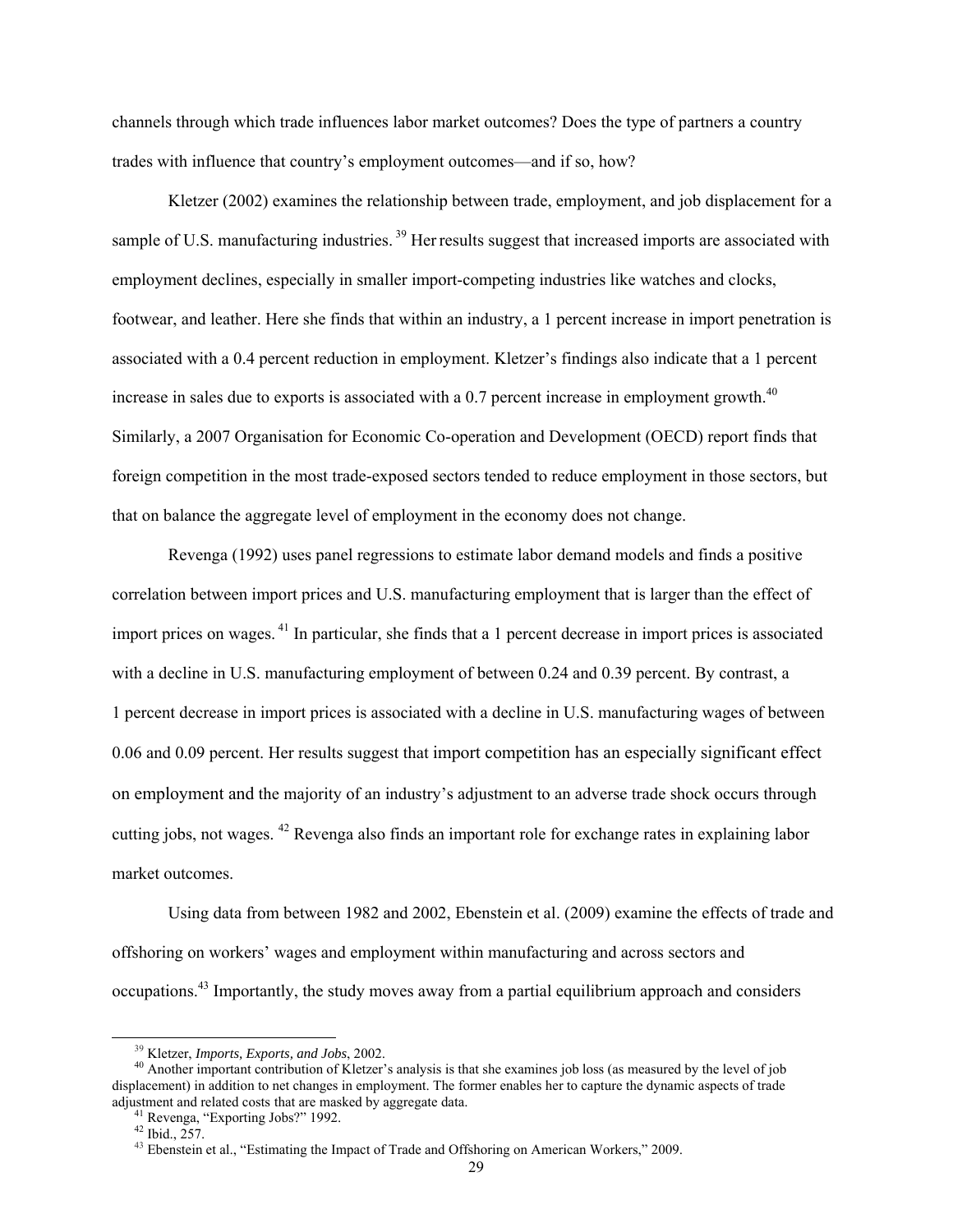channels through which trade influences labor market outcomes? Does the type of partners a country trades with influence that country's employment outcomes—and if so, how?

Kletzer (2002) examines the relationship between trade, employment, and job displacement for a sample of U.S. manufacturing industries.<sup>39</sup> Her results suggest that increased imports are associated with employment declines, especially in smaller import-competing industries like watches and clocks, footwear, and leather. Here she finds that within an industry, a 1 percent increase in import penetration is associated with a 0.4 percent reduction in employment. Kletzer's findings also indicate that a 1 percent increase in sales due to exports is associated with a  $0.7$  percent increase in employment growth.<sup>40</sup> Similarly, a 2007 Organisation for Economic Co-operation and Development (OECD) report finds that foreign competition in the most trade-exposed sectors tended to reduce employment in those sectors, but that on balance the aggregate level of employment in the economy does not change.

Revenga (1992) uses panel regressions to estimate labor demand models and finds a positive correlation between import prices and U.S. manufacturing employment that is larger than the effect of import prices on wages. 41 In particular, she finds that a 1 percent decrease in import prices is associated with a decline in U.S. manufacturing employment of between 0.24 and 0.39 percent. By contrast, a 1 percent decrease in import prices is associated with a decline in U.S. manufacturing wages of between 0.06 and 0.09 percent. Her results suggest that import competition has an especially significant effect on employment and the majority of an industry's adjustment to an adverse trade shock occurs through cutting jobs, not wages. 42 Revenga also finds an important role for exchange rates in explaining labor market outcomes.

Using data from between 1982 and 2002, Ebenstein et al. (2009) examine the effects of trade and offshoring on workers' wages and employment within manufacturing and across sectors and occupations.43 Importantly, the study moves away from a partial equilibrium approach and considers

<sup>&</sup>lt;sup>39</sup> Kletzer, *Imports, Exports, and Jobs*, 2002.<br><sup>40</sup> Another important contribution of Kletzer's analysis is that she examines job loss (as measured by the level of job displacement) in addition to net changes in employment. The former enables her to capture the dynamic aspects of trade adjustment and related costs that are masked by aggregate data. 41 Revenga, "Exporting Jobs?" 1992.

<sup>42</sup> Ibid., 257.

<sup>&</sup>lt;sup>43</sup> Ebenstein et al., "Estimating the Impact of Trade and Offshoring on American Workers," 2009.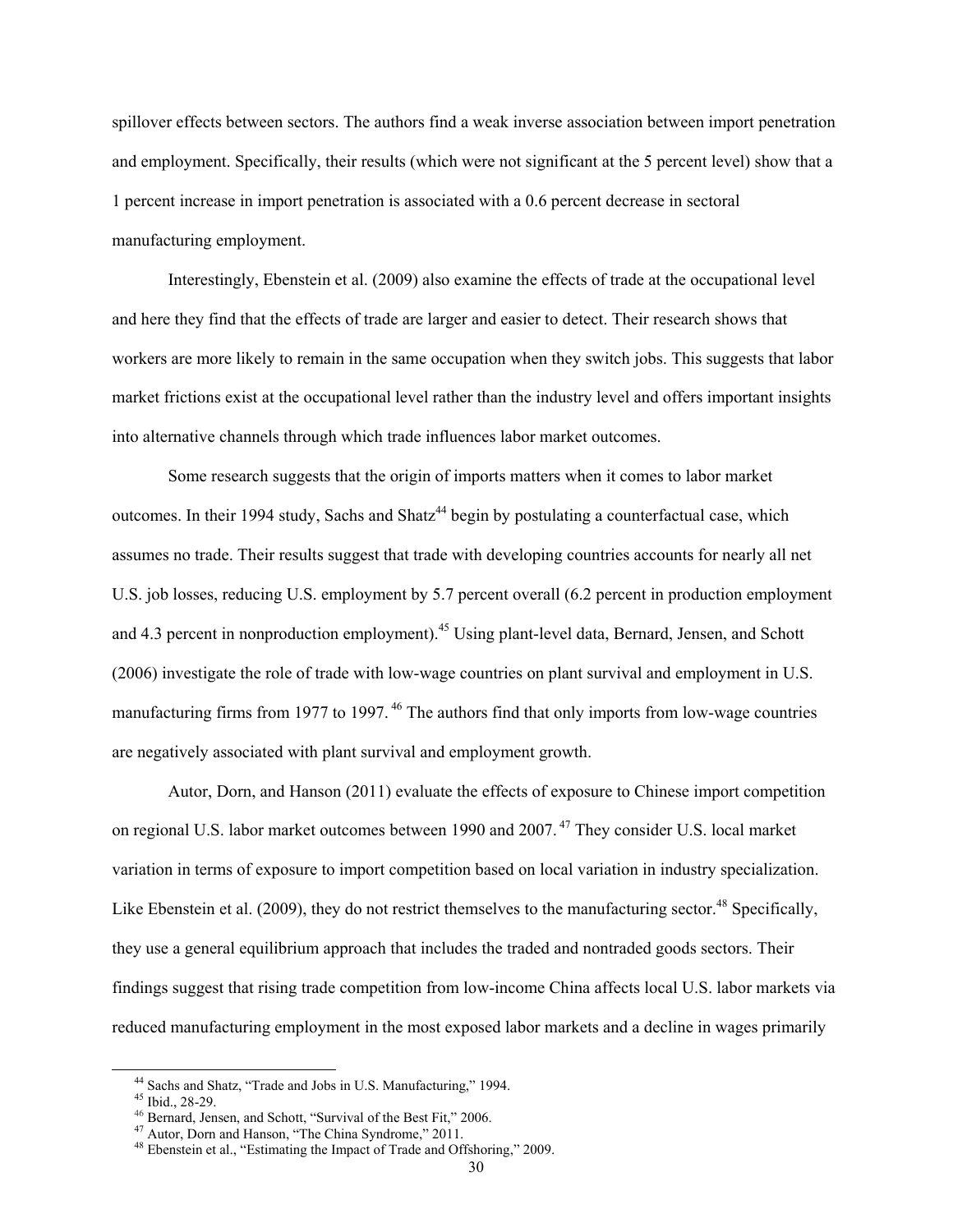spillover effects between sectors. The authors find a weak inverse association between import penetration and employment. Specifically, their results (which were not significant at the 5 percent level) show that a 1 percent increase in import penetration is associated with a 0.6 percent decrease in sectoral manufacturing employment.

Interestingly, Ebenstein et al. (2009) also examine the effects of trade at the occupational level and here they find that the effects of trade are larger and easier to detect. Their research shows that workers are more likely to remain in the same occupation when they switch jobs. This suggests that labor market frictions exist at the occupational level rather than the industry level and offers important insights into alternative channels through which trade influences labor market outcomes.

Some research suggests that the origin of imports matters when it comes to labor market outcomes. In their 1994 study, Sachs and Shatz<sup>44</sup> begin by postulating a counterfactual case, which assumes no trade. Their results suggest that trade with developing countries accounts for nearly all net U.S. job losses, reducing U.S. employment by 5.7 percent overall (6.2 percent in production employment and 4.3 percent in nonproduction employment).<sup>45</sup> Using plant-level data, Bernard, Jensen, and Schott (2006) investigate the role of trade with low-wage countries on plant survival and employment in U.S. manufacturing firms from 1977 to 1997.<sup>46</sup> The authors find that only imports from low-wage countries are negatively associated with plant survival and employment growth.

Autor, Dorn, and Hanson (2011) evaluate the effects of exposure to Chinese import competition on regional U.S. labor market outcomes between 1990 and 2007. 47 They consider U.S. local market variation in terms of exposure to import competition based on local variation in industry specialization. Like Ebenstein et al. (2009), they do not restrict themselves to the manufacturing sector.<sup>48</sup> Specifically, they use a general equilibrium approach that includes the traded and nontraded goods sectors. Their findings suggest that rising trade competition from low-income China affects local U.S. labor markets via reduced manufacturing employment in the most exposed labor markets and a decline in wages primarily

 <sup>44</sup> Sachs and Shatz, "Trade and Jobs in U.S. Manufacturing," 1994. 45 Ibid., 28-29.

<sup>&</sup>lt;sup>46</sup> Bernard, Jensen, and Schott, "Survival of the Best Fit," 2006.<br><sup>47</sup> Autor, Dorn and Hanson, "The China Syndrome," 2011.

<sup>&</sup>lt;sup>48</sup> Ebenstein et al., "Estimating the Impact of Trade and Offshoring," 2009.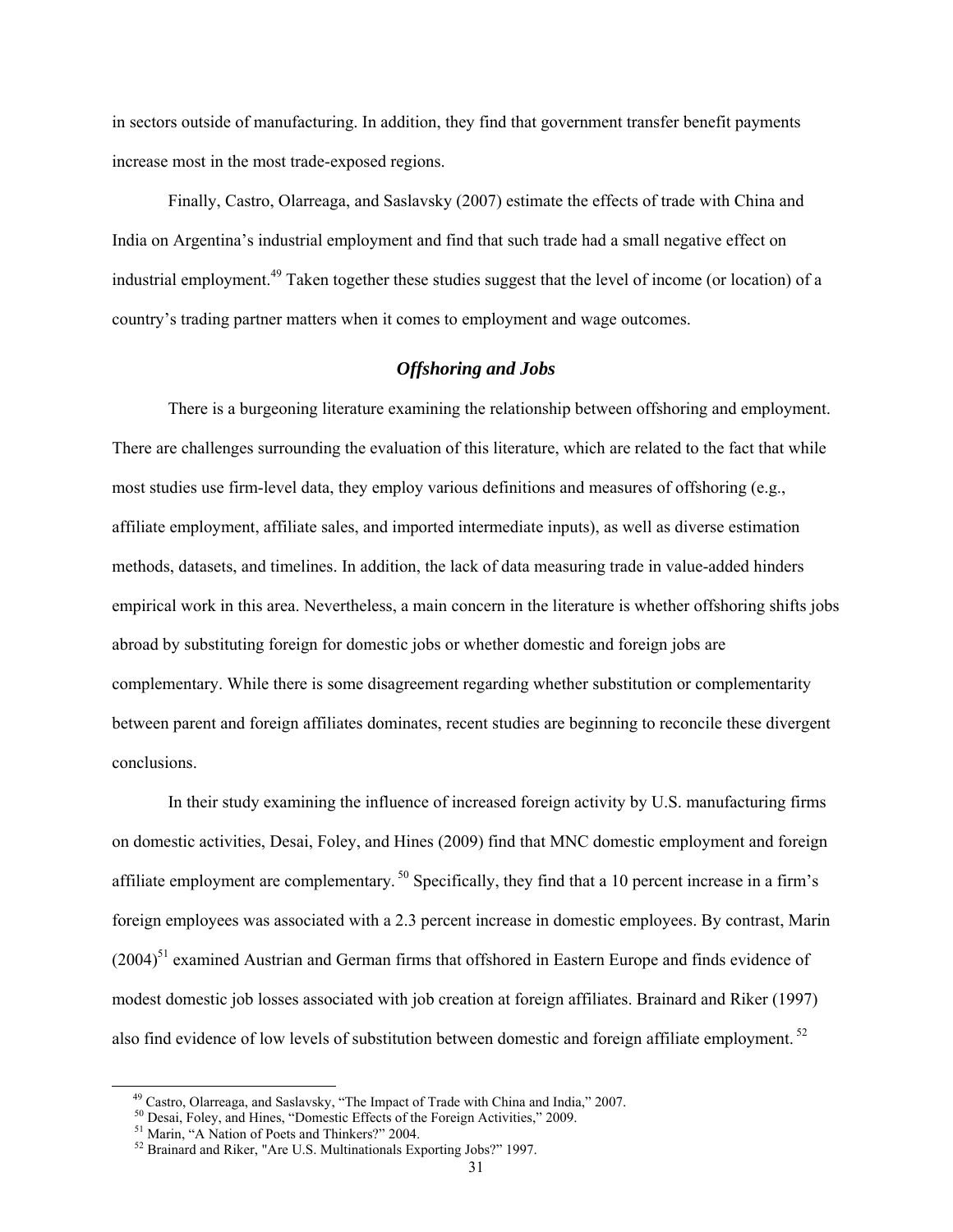in sectors outside of manufacturing. In addition, they find that government transfer benefit payments increase most in the most trade-exposed regions.

Finally, Castro, Olarreaga, and Saslavsky (2007) estimate the effects of trade with China and India on Argentina's industrial employment and find that such trade had a small negative effect on industrial employment.<sup>49</sup> Taken together these studies suggest that the level of income (or location) of a country's trading partner matters when it comes to employment and wage outcomes.

## *Offshoring and Jobs*

There is a burgeoning literature examining the relationship between offshoring and employment. There are challenges surrounding the evaluation of this literature, which are related to the fact that while most studies use firm-level data, they employ various definitions and measures of offshoring (e.g., affiliate employment, affiliate sales, and imported intermediate inputs), as well as diverse estimation methods, datasets, and timelines. In addition, the lack of data measuring trade in value-added hinders empirical work in this area. Nevertheless, a main concern in the literature is whether offshoring shifts jobs abroad by substituting foreign for domestic jobs or whether domestic and foreign jobs are complementary. While there is some disagreement regarding whether substitution or complementarity between parent and foreign affiliates dominates, recent studies are beginning to reconcile these divergent conclusions.

In their study examining the influence of increased foreign activity by U.S. manufacturing firms on domestic activities, Desai, Foley, and Hines (2009) find that MNC domestic employment and foreign affiliate employment are complementary. 50 Specifically, they find that a 10 percent increase in a firm's foreign employees was associated with a 2.3 percent increase in domestic employees. By contrast, Marin  $(2004)^{51}$  examined Austrian and German firms that offshored in Eastern Europe and finds evidence of modest domestic job losses associated with job creation at foreign affiliates. Brainard and Riker (1997) also find evidence of low levels of substitution between domestic and foreign affiliate employment. 52

<sup>&</sup>lt;sup>49</sup> Castro, Olarreaga, and Saslavsky, "The Impact of Trade with China and India," 2007.<br><sup>50</sup> Desai, Foley, and Hines, "Domestic Effects of the Foreign Activities," 2009.<br><sup>51</sup> Marin, "A Nation of Poets and Thinkers?" 2004

<sup>52</sup> Brainard and Riker, "Are U.S. Multinationals Exporting Jobs?" 1997.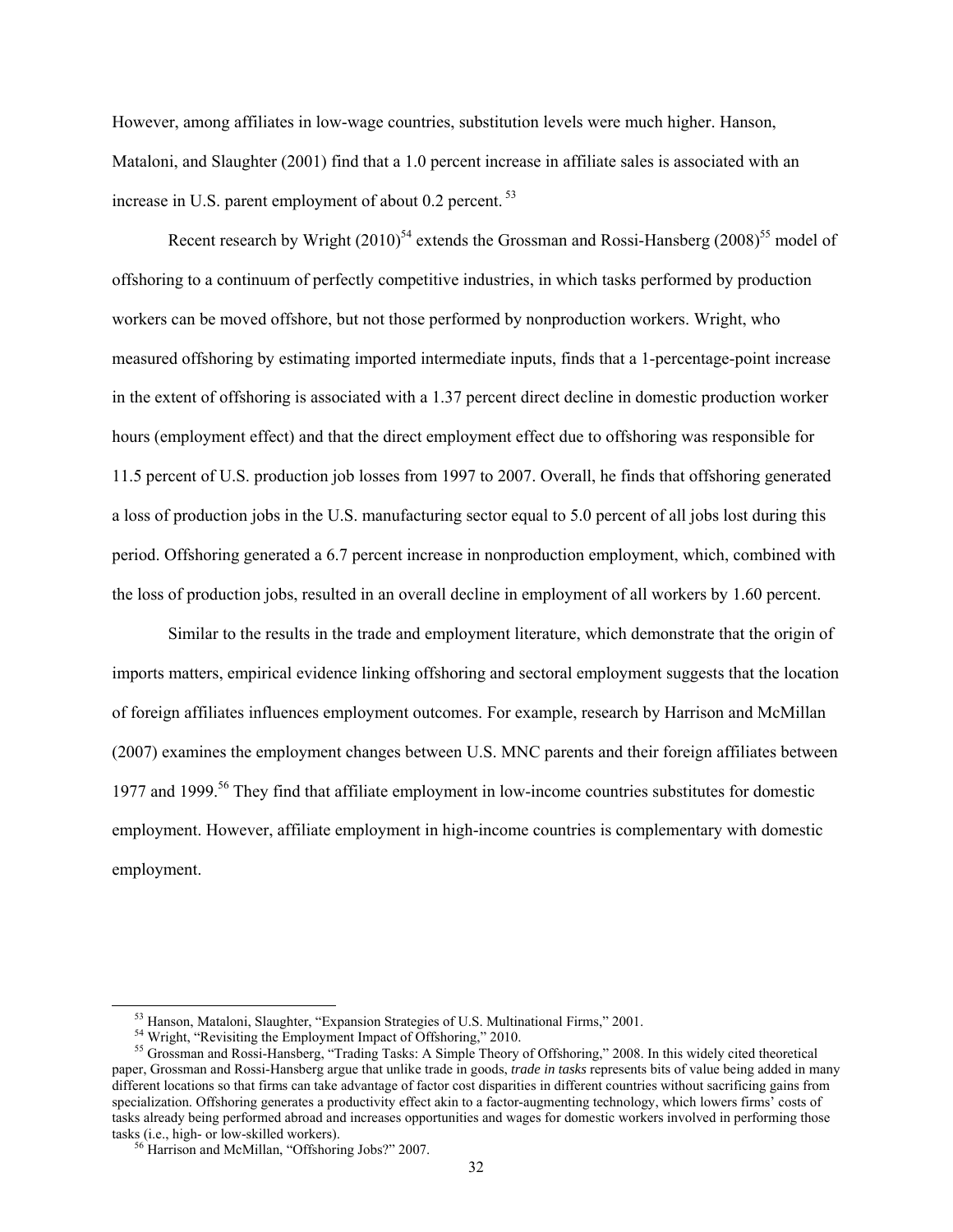However, among affiliates in low-wage countries, substitution levels were much higher. Hanson, Mataloni, and Slaughter (2001) find that a 1.0 percent increase in affiliate sales is associated with an increase in U.S. parent employment of about  $0.2$  percent.<sup>53</sup>

Recent research by Wright  $(2010)^{54}$  extends the Grossman and Rossi-Hansberg  $(2008)^{55}$  model of offshoring to a continuum of perfectly competitive industries, in which tasks performed by production workers can be moved offshore, but not those performed by nonproduction workers. Wright, who measured offshoring by estimating imported intermediate inputs, finds that a 1-percentage-point increase in the extent of offshoring is associated with a 1.37 percent direct decline in domestic production worker hours (employment effect) and that the direct employment effect due to offshoring was responsible for 11.5 percent of U.S. production job losses from 1997 to 2007. Overall, he finds that offshoring generated a loss of production jobs in the U.S. manufacturing sector equal to 5.0 percent of all jobs lost during this period. Offshoring generated a 6.7 percent increase in nonproduction employment, which, combined with the loss of production jobs, resulted in an overall decline in employment of all workers by 1.60 percent.

Similar to the results in the trade and employment literature, which demonstrate that the origin of imports matters, empirical evidence linking offshoring and sectoral employment suggests that the location of foreign affiliates influences employment outcomes. For example, research by Harrison and McMillan (2007) examines the employment changes between U.S. MNC parents and their foreign affiliates between 1977 and 1999.<sup>56</sup> They find that affiliate employment in low-income countries substitutes for domestic employment. However, affiliate employment in high-income countries is complementary with domestic employment.

<sup>&</sup>lt;sup>53</sup> Hanson, Mataloni, Slaughter, "Expansion Strategies of U.S. Multinational Firms," 2001.<br><sup>54</sup> Wright, "Revisiting the Employment Impact of Offshoring," 2010.<br><sup>55</sup> Grossman and Rossi-Hansberg, "Trading Tasks: A Simple T paper, Grossman and Rossi-Hansberg argue that unlike trade in goods, *trade in tasks* represents bits of value being added in many different locations so that firms can take advantage of factor cost disparities in different countries without sacrificing gains from specialization. Offshoring generates a productivity effect akin to a factor-augmenting technology, which lowers firms' costs of tasks already being performed abroad and increases opportunities and wages for domestic workers involved in performing those tasks (i.e., high- or low-skilled workers). 56 Harrison and McMillan, "Offshoring Jobs?" 2007.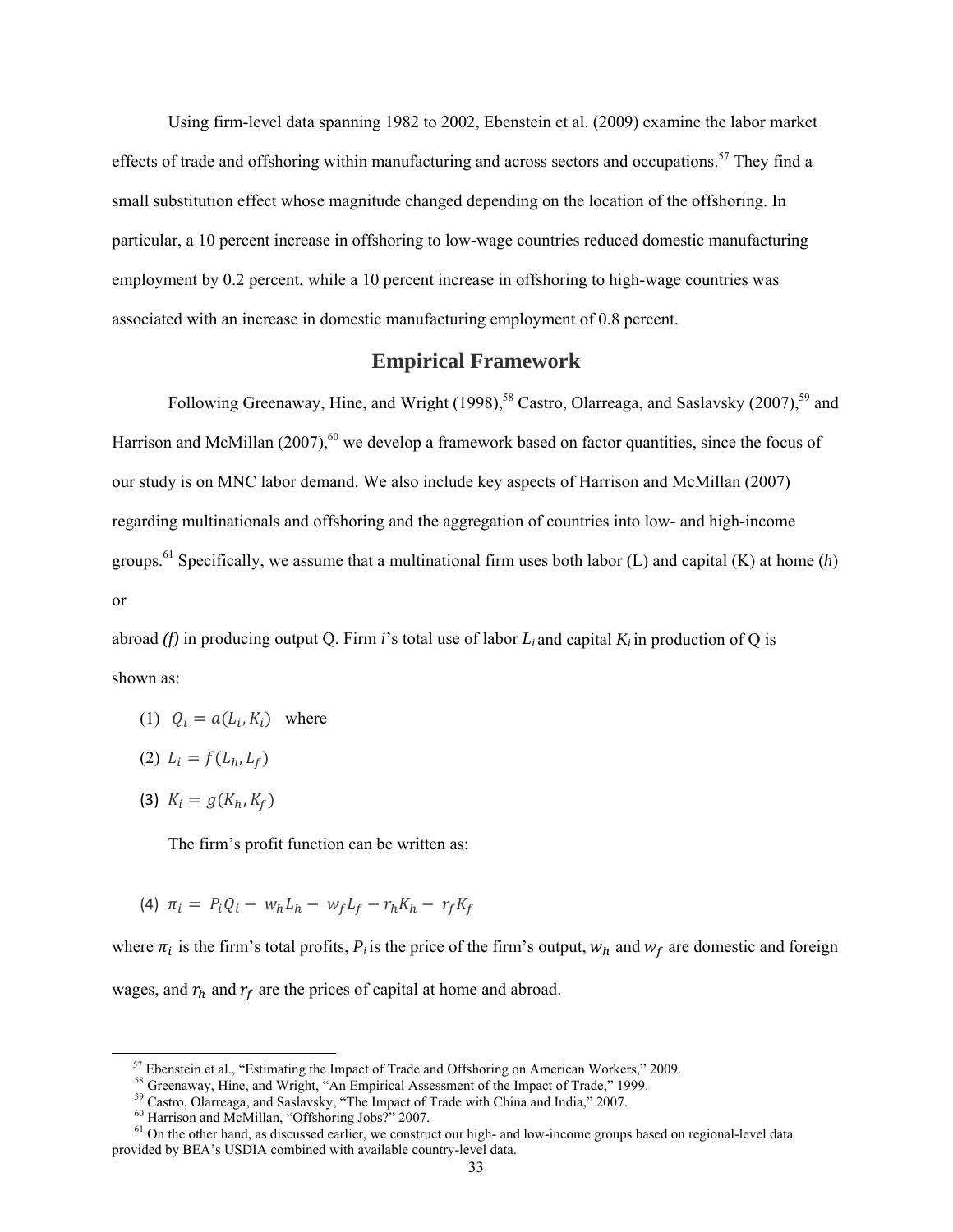Using firm-level data spanning 1982 to 2002, Ebenstein et al. (2009) examine the labor market effects of trade and offshoring within manufacturing and across sectors and occupations.<sup>57</sup> They find a small substitution effect whose magnitude changed depending on the location of the offshoring. In particular, a 10 percent increase in offshoring to low-wage countries reduced domestic manufacturing employment by 0.2 percent, while a 10 percent increase in offshoring to high-wage countries was associated with an increase in domestic manufacturing employment of 0.8 percent.

## **Empirical Framework**

Following Greenaway, Hine, and Wright (1998),<sup>58</sup> Castro, Olarreaga, and Saslavsky (2007),<sup>59</sup> and Harrison and McMillan  $(2007)$ ,<sup>60</sup> we develop a framework based on factor quantities, since the focus of our study is on MNC labor demand. We also include key aspects of Harrison and McMillan (2007) regarding multinationals and offshoring and the aggregation of countries into low- and high-income groups.<sup>61</sup> Specifically, we assume that a multinational firm uses both labor (L) and capital (K) at home  $(h)$ or

abroad (f) in producing output Q. Firm *i*'s total use of labor  $L_i$  and capital  $K_i$  in production of Q is shown as:

- (1)  $Q_i = a(L_i, K_i)$  where
- $(L_i) L_i = f(L_h, L_f)$
- (3)  $K_i = g(K_h, K_f)$

The firm's profit function can be written as:

(4)  $\pi_i = P_i Q_i - w_h L_h - w_f L_f - r_h K_h - r_f K_f$ 

where  $\pi_i$  is the firm's total profits,  $P_i$  is the price of the firm's output,  $w_h$  and  $w_f$  are domestic and foreign wages, and  $r_h$  and  $r_f$  are the prices of capital at home and abroad.

<sup>&</sup>lt;sup>57</sup> Ebenstein et al., "Estimating the Impact of Trade and Offshoring on American Workers," 2009.<br><sup>58</sup> Greenaway, Hine, and Wright, "An Empirical Assessment of the Impact of Trade," 1999.<br><sup>59</sup> Castro, Olarreaga, and Sasla

 $61$  On the other hand, as discussed earlier, we construct our high- and low-income groups based on regional-level data provided by BEA's USDIA combined with available country-level data.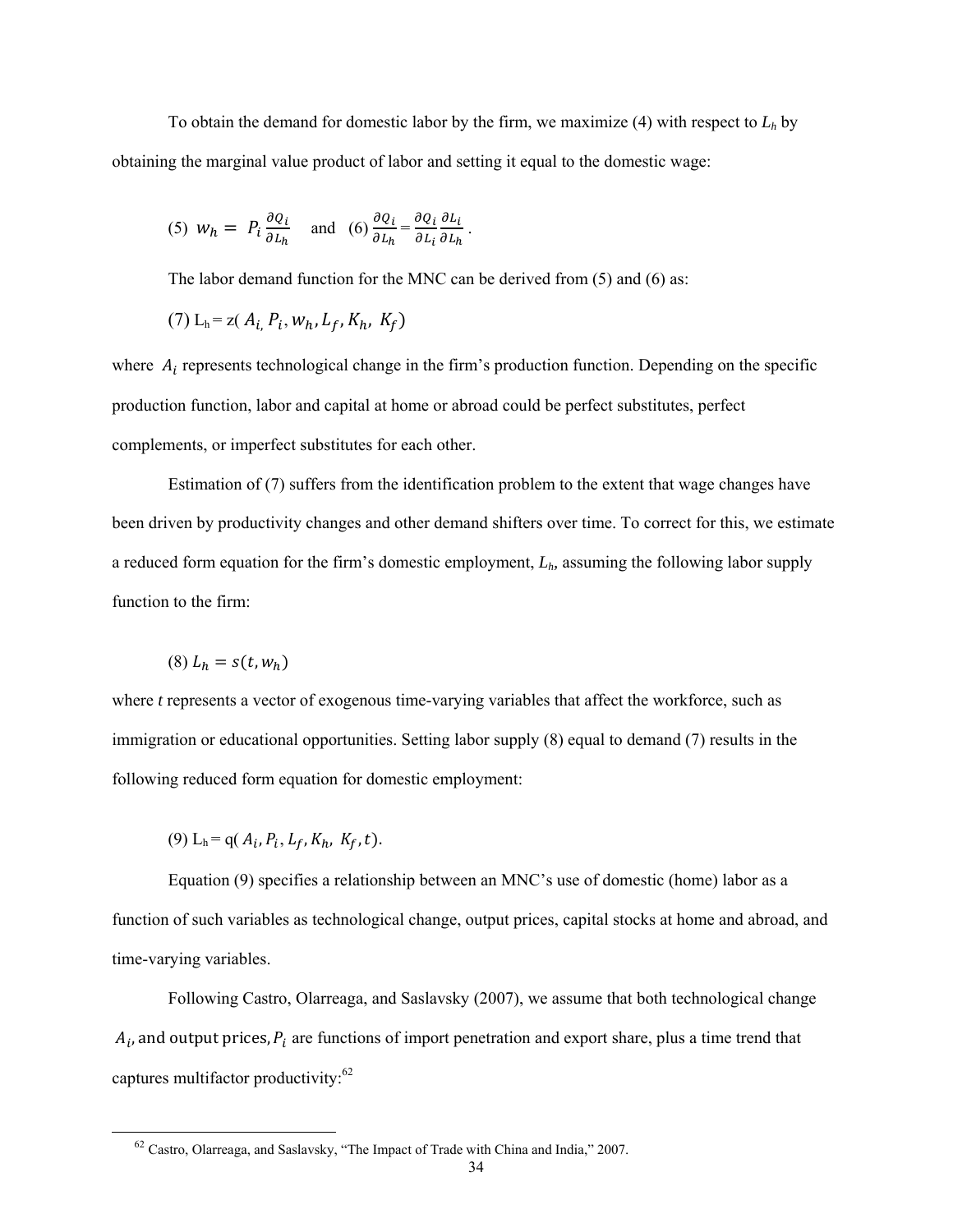To obtain the demand for domestic labor by the firm, we maximize  $(4)$  with respect to  $L<sub>h</sub>$  by obtaining the marginal value product of labor and setting it equal to the domestic wage:

(5) 
$$
w_h = P_i \frac{\partial q_i}{\partial L_h} \quad \text{and} \quad (6) \frac{\partial q_i}{\partial L_h} = \frac{\partial q_i}{\partial L_i} \frac{\partial L_i}{\partial L_h}.
$$

The labor demand function for the MNC can be derived from (5) and (6) as:

(7) 
$$
L_h = z(A_i, P_i, w_h, L_f, K_h, K_f)
$$

where  $A_i$  represents technological change in the firm's production function. Depending on the specific production function, labor and capital at home or abroad could be perfect substitutes, perfect complements, or imperfect substitutes for each other.

Estimation of (7) suffers from the identification problem to the extent that wage changes have been driven by productivity changes and other demand shifters over time. To correct for this, we estimate a reduced form equation for the firm's domestic employment, *Lh,* assuming the following labor supply function to the firm:

$$
(8) L_h = s(t, w_h)
$$

where *t* represents a vector of exogenous time-varying variables that affect the workforce, such as immigration or educational opportunities. Setting labor supply (8) equal to demand (7) results in the following reduced form equation for domestic employment:

 $(9) L_h = q(A_i, P_i, L_f, K_h, K_f, t).$ 

Equation (9) specifies a relationship between an MNC's use of domestic (home) labor as a function of such variables as technological change, output prices, capital stocks at home and abroad, and time-varying variables.

Following Castro, Olarreaga, and Saslavsky (2007), we assume that both technological change  $A_i$ , and output prices,  $P_i$  are functions of import penetration and export share, plus a time trend that captures multifactor productivity:<sup>62</sup>

 <sup>62</sup> Castro, Olarreaga, and Saslavsky, "The Impact of Trade with China and India," 2007.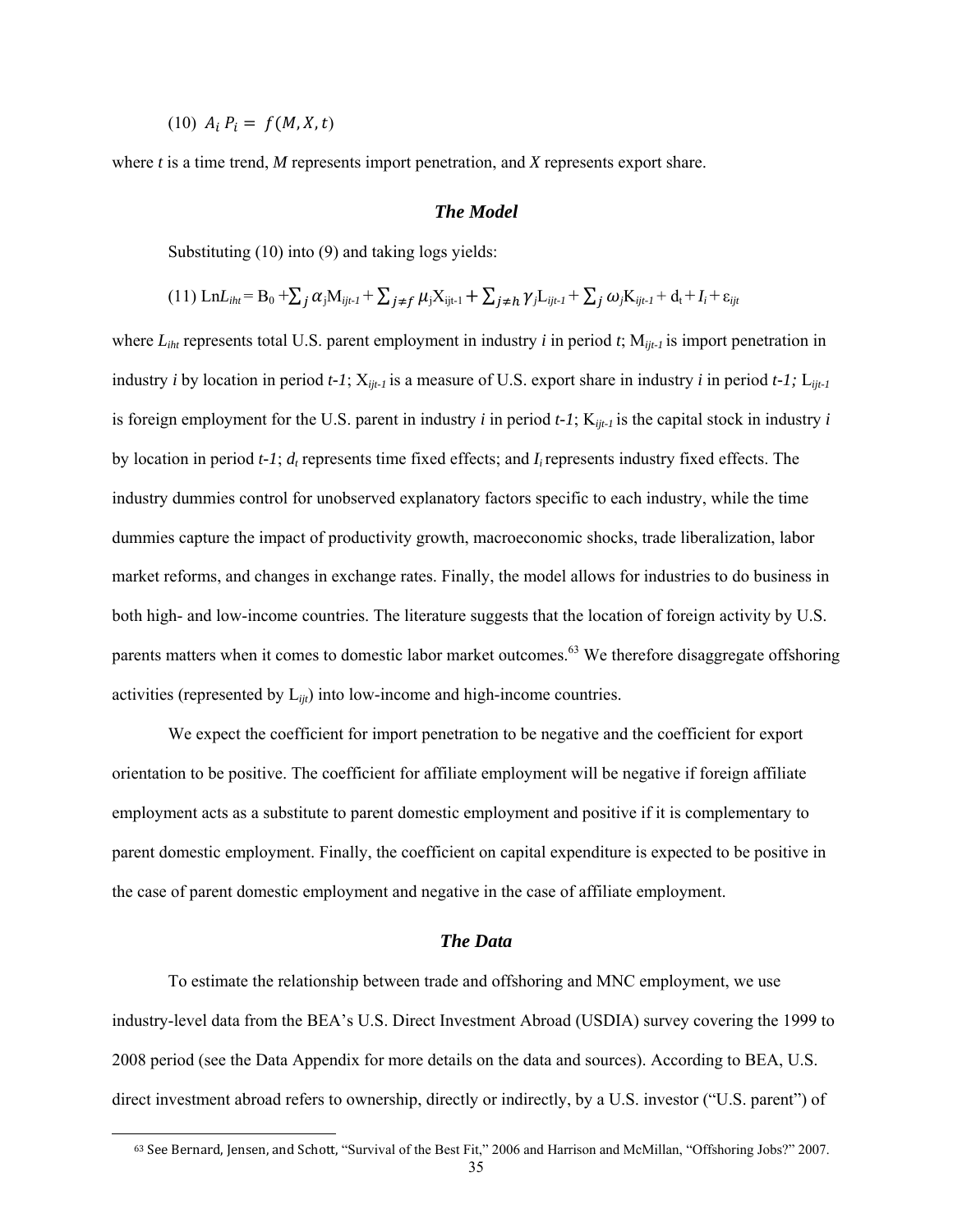$(10)$   $A_i$   $P_i = f(M, X, t)$ 

 $\overline{a}$ 

where *t* is a time trend, *M* represents import penetration, and *X* represents export share.

#### *The Model*

Substituting (10) into (9) and taking logs yields:

$$
(11)\ \text{Ln}L_{iht} = B_0 + \sum_j \alpha_j M_{ijt-1} + \sum_{j \neq f} \mu_j X_{ijt-1} + \sum_{j \neq h} \gamma_j L_{ijt-1} + \sum_j \omega_j K_{ijt-1} + d_t + I_i + \varepsilon_{ijt}
$$

where  $L_{iht}$  represents total U.S. parent employment in industry *i* in period *t*;  $M_{ijt-1}$  is import penetration in industry *i* by location in period *t-1*; X*ijt-1* is a measure of U.S. export share in industry *i* in period *t-1;* L*ijt-1*  is foreign employment for the U.S. parent in industry *i* in period  $t$ -1;  $K_{iit-1}$  is the capital stock in industry *i* by location in period *t-1*;  $d_t$  represents time fixed effects; and *I<sub>i</sub>* represents industry fixed effects. The industry dummies control for unobserved explanatory factors specific to each industry, while the time dummies capture the impact of productivity growth, macroeconomic shocks, trade liberalization, labor market reforms, and changes in exchange rates. Finally, the model allows for industries to do business in both high- and low-income countries. The literature suggests that the location of foreign activity by U.S. parents matters when it comes to domestic labor market outcomes.<sup>63</sup> We therefore disaggregate offshoring activities (represented by L*ijt*) into low-income and high-income countries.

We expect the coefficient for import penetration to be negative and the coefficient for export orientation to be positive. The coefficient for affiliate employment will be negative if foreign affiliate employment acts as a substitute to parent domestic employment and positive if it is complementary to parent domestic employment. Finally, the coefficient on capital expenditure is expected to be positive in the case of parent domestic employment and negative in the case of affiliate employment.

#### *The Data*

To estimate the relationship between trade and offshoring and MNC employment, we use industry-level data from the BEA's U.S. Direct Investment Abroad (USDIA) survey covering the 1999 to 2008 period (see the Data Appendix for more details on the data and sources). According to BEA, U.S. direct investment abroad refers to ownership, directly or indirectly, by a U.S. investor ("U.S. parent") of

<sup>63</sup> See Bernard, Jensen, and Schott, "Survival of the Best Fit," 2006 and Harrison and McMillan, "Offshoring Jobs?" 2007.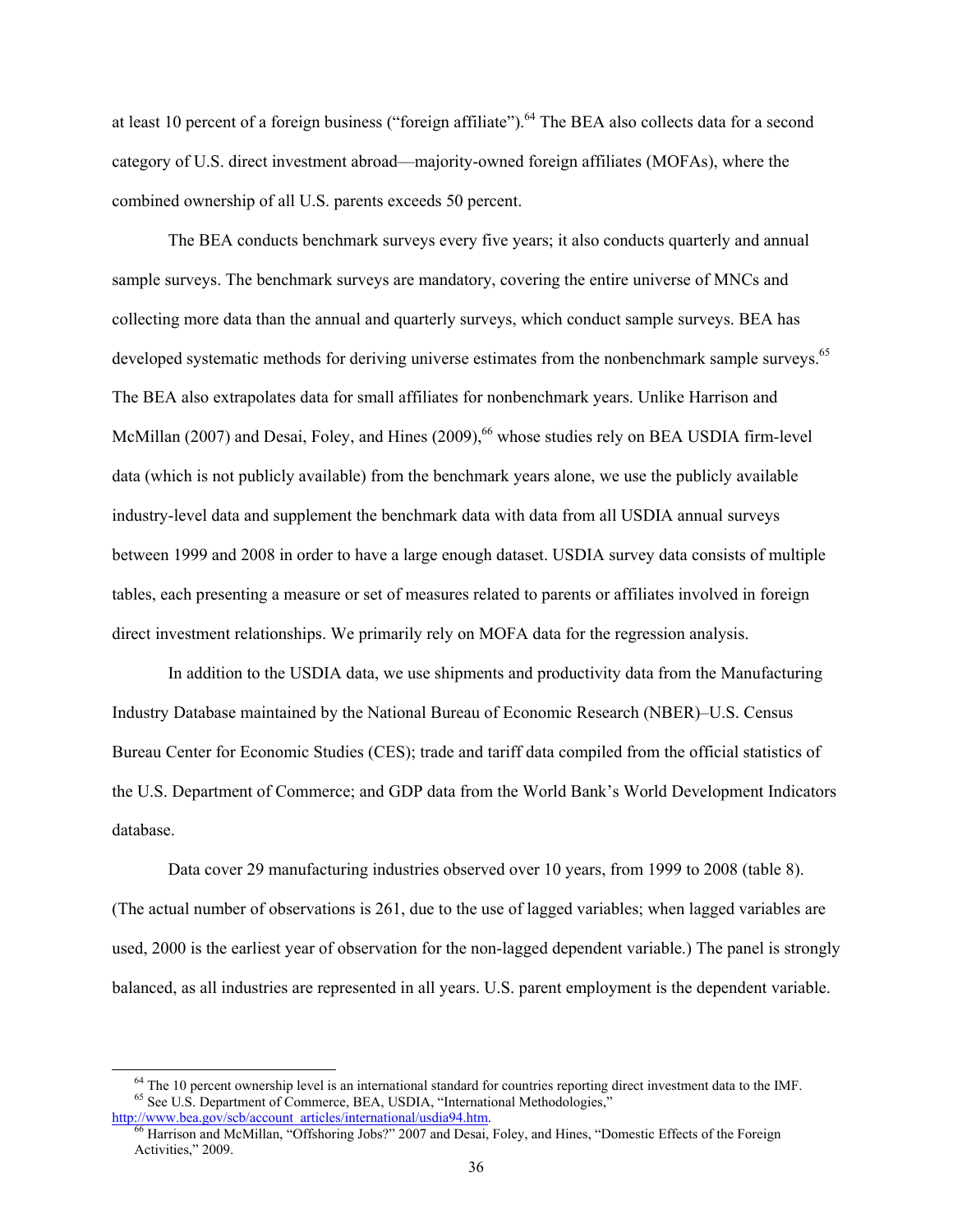at least 10 percent of a foreign business ("foreign affiliate").<sup>64</sup> The BEA also collects data for a second category of U.S. direct investment abroad—majority-owned foreign affiliates (MOFAs), where the combined ownership of all U.S. parents exceeds 50 percent.

The BEA conducts benchmark surveys every five years; it also conducts quarterly and annual sample surveys. The benchmark surveys are mandatory, covering the entire universe of MNCs and collecting more data than the annual and quarterly surveys, which conduct sample surveys. BEA has developed systematic methods for deriving universe estimates from the nonbenchmark sample surveys.<sup>65</sup> The BEA also extrapolates data for small affiliates for nonbenchmark years. Unlike Harrison and McMillan (2007) and Desai, Foley, and Hines (2009),<sup>66</sup> whose studies rely on BEA USDIA firm-level data (which is not publicly available) from the benchmark years alone, we use the publicly available industry-level data and supplement the benchmark data with data from all USDIA annual surveys between 1999 and 2008 in order to have a large enough dataset. USDIA survey data consists of multiple tables, each presenting a measure or set of measures related to parents or affiliates involved in foreign direct investment relationships. We primarily rely on MOFA data for the regression analysis.

In addition to the USDIA data, we use shipments and productivity data from the Manufacturing Industry Database maintained by the National Bureau of Economic Research (NBER)–U.S. Census Bureau Center for Economic Studies (CES); trade and tariff data compiled from the official statistics of the U.S. Department of Commerce; and GDP data from the World Bank's World Development Indicators database.

Data cover 29 manufacturing industries observed over 10 years, from 1999 to 2008 (table 8). (The actual number of observations is 261, due to the use of lagged variables; when lagged variables are used, 2000 is the earliest year of observation for the non-lagged dependent variable.) The panel is strongly balanced, as all industries are represented in all years. U.S. parent employment is the dependent variable.

<sup>&</sup>lt;sup>64</sup> The 10 percent ownership level is an international standard for countries reporting direct investment data to the IMF.<br><sup>65</sup> See U.S. Department of Commerce, BEA, USDIA, "International Methodologies,"

http://www.bea.gov/scb/account\_articles/international/usdia94.htm.<br><sup>66</sup> Harrison and McMillan, "Offshoring Jobs?" 2007 and Desai, Foley, and Hines, "Domestic Effects of the Foreign Activities," 2009.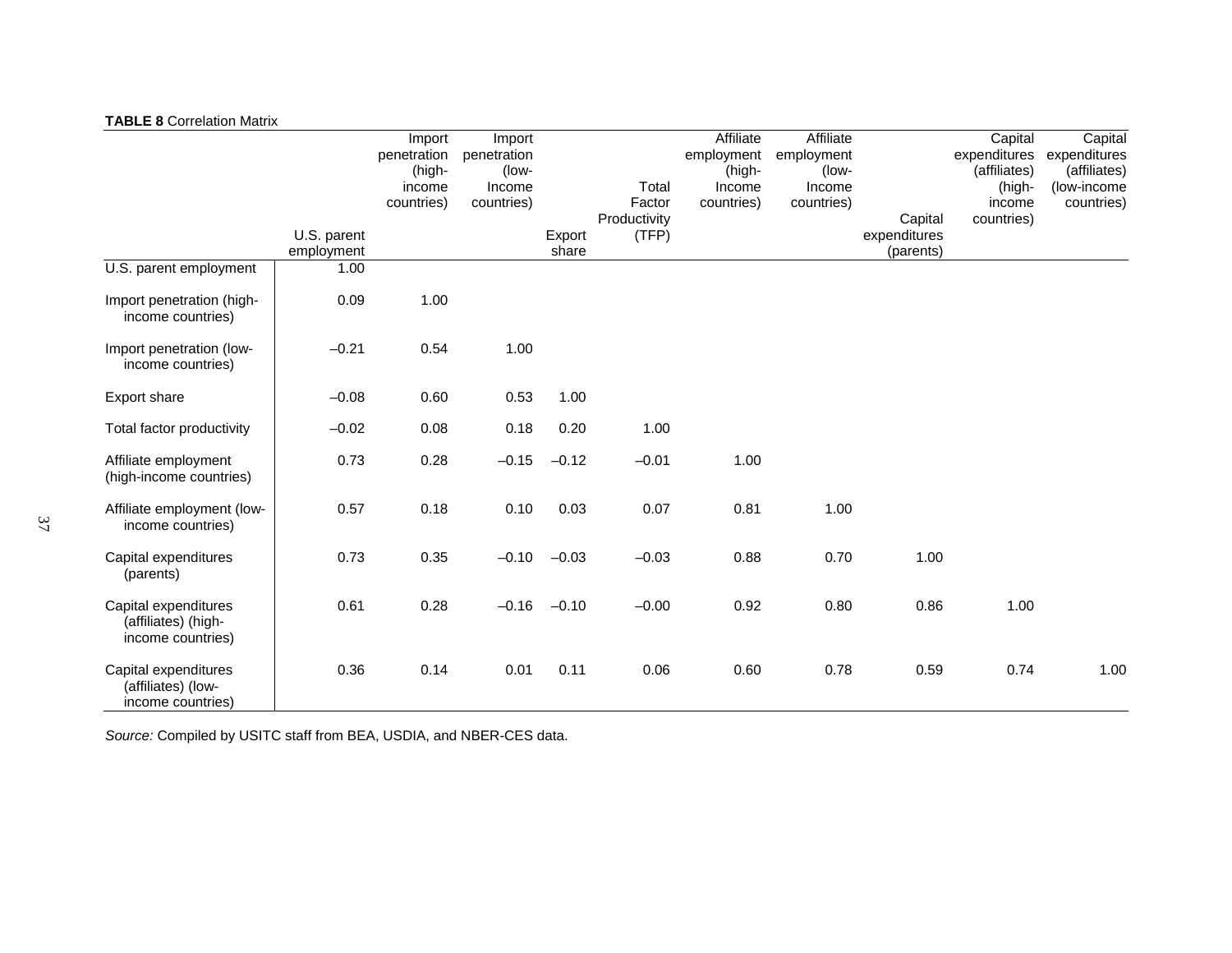#### **TABLE 8** Correlation Matrix

|                                                                  |             | Import      | Import      |         |              | Affiliate  | Affiliate  |              | Capital      | Capital      |
|------------------------------------------------------------------|-------------|-------------|-------------|---------|--------------|------------|------------|--------------|--------------|--------------|
|                                                                  |             | penetration | penetration |         |              | employment | employment |              | expenditures | expenditures |
|                                                                  |             | (high-      | (low-       |         |              | (high-     | (low-      |              | (affiliates) | (affiliates) |
|                                                                  |             | income      | Income      |         | Total        | Income     | Income     |              | (high-       | (low-income  |
|                                                                  |             | countries)  | countries)  |         | Factor       | countries) | countries) |              | income       | countries)   |
|                                                                  |             |             |             |         | Productivity |            |            | Capital      | countries)   |              |
|                                                                  | U.S. parent |             |             | Export  | (TFP)        |            |            | expenditures |              |              |
|                                                                  | employment  |             |             | share   |              |            |            | (parents)    |              |              |
| U.S. parent employment                                           | 1.00        |             |             |         |              |            |            |              |              |              |
| Import penetration (high-<br>income countries)                   | 0.09        | 1.00        |             |         |              |            |            |              |              |              |
| Import penetration (low-<br>income countries)                    | $-0.21$     | 0.54        | 1.00        |         |              |            |            |              |              |              |
| <b>Export share</b>                                              | $-0.08$     | 0.60        | 0.53        | 1.00    |              |            |            |              |              |              |
| Total factor productivity                                        | $-0.02$     | 0.08        | 0.18        | 0.20    | 1.00         |            |            |              |              |              |
| Affiliate employment<br>(high-income countries)                  | 0.73        | 0.28        | $-0.15$     | $-0.12$ | $-0.01$      | 1.00       |            |              |              |              |
| Affiliate employment (low-<br>income countries)                  | 0.57        | 0.18        | 0.10        | 0.03    | 0.07         | 0.81       | 1.00       |              |              |              |
| Capital expenditures<br>(parents)                                | 0.73        | 0.35        | $-0.10$     | $-0.03$ | $-0.03$      | 0.88       | 0.70       | 1.00         |              |              |
| Capital expenditures<br>(affiliates) (high-<br>income countries) | 0.61        | 0.28        | $-0.16$     | $-0.10$ | $-0.00$      | 0.92       | 0.80       | 0.86         | 1.00         |              |
| Capital expenditures<br>(affiliates) (low-<br>income countries)  | 0.36        | 0.14        | 0.01        | 0.11    | 0.06         | 0.60       | 0.78       | 0.59         | 0.74         | 1.00         |

*Source:* Compiled by USITC staff from BEA, USDIA, and NBER-CES data.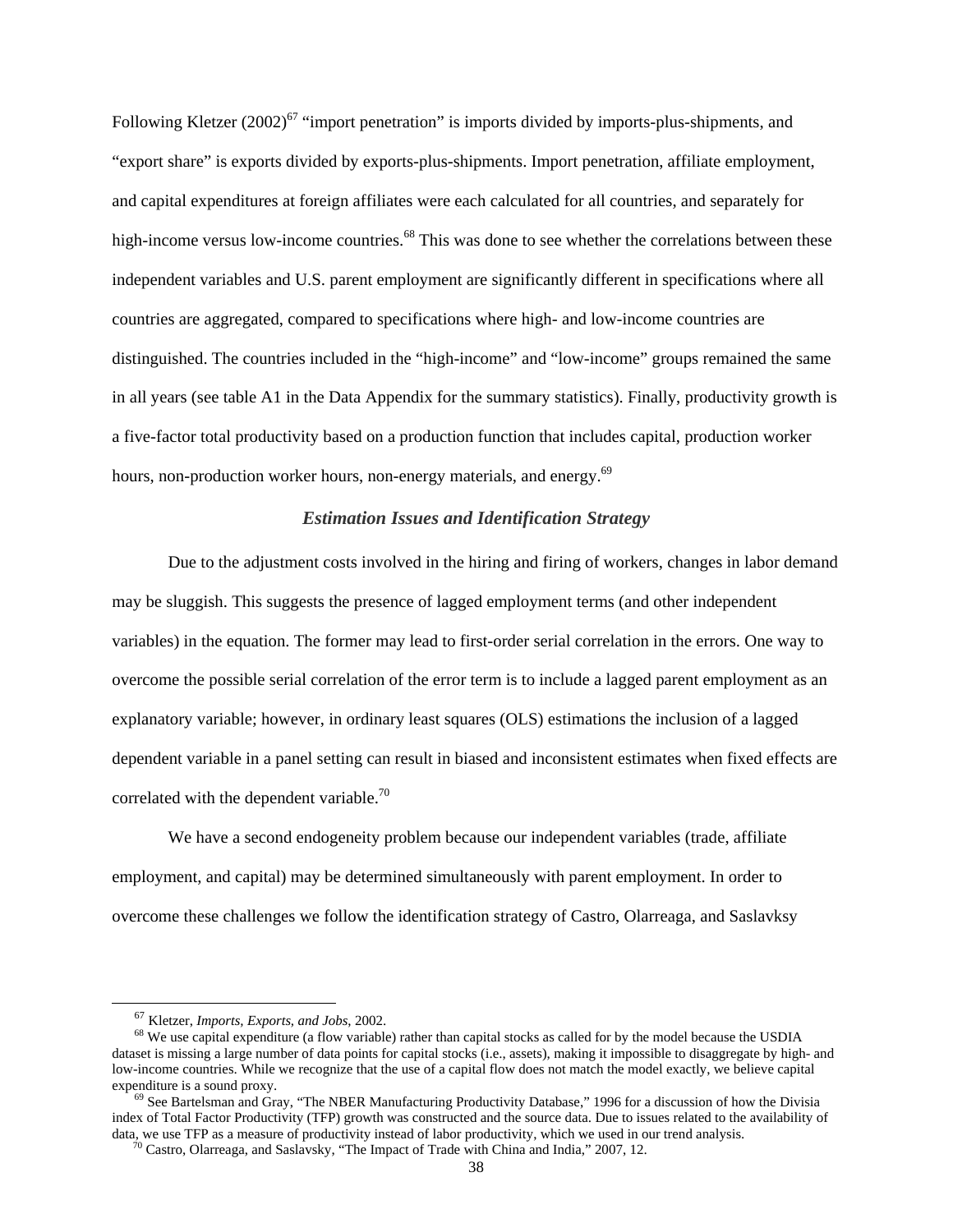Following Kletzer  $(2002)^{67}$  "import penetration" is imports divided by imports-plus-shipments, and "export share" is exports divided by exports-plus-shipments. Import penetration, affiliate employment, and capital expenditures at foreign affiliates were each calculated for all countries, and separately for high-income versus low-income countries.<sup>68</sup> This was done to see whether the correlations between these independent variables and U.S. parent employment are significantly different in specifications where all countries are aggregated, compared to specifications where high- and low-income countries are distinguished. The countries included in the "high-income" and "low-income" groups remained the same in all years (see table A1 in the Data Appendix for the summary statistics). Finally, productivity growth is a five-factor total productivity based on a production function that includes capital, production worker hours, non-production worker hours, non-energy materials, and energy.<sup>69</sup>

#### *Estimation Issues and Identification Strategy*

 Due to the adjustment costs involved in the hiring and firing of workers, changes in labor demand may be sluggish. This suggests the presence of lagged employment terms (and other independent variables) in the equation. The former may lead to first-order serial correlation in the errors. One way to overcome the possible serial correlation of the error term is to include a lagged parent employment as an explanatory variable; however, in ordinary least squares (OLS) estimations the inclusion of a lagged dependent variable in a panel setting can result in biased and inconsistent estimates when fixed effects are correlated with the dependent variable.<sup>70</sup>

We have a second endogeneity problem because our independent variables (trade, affiliate employment, and capital) may be determined simultaneously with parent employment. In order to overcome these challenges we follow the identification strategy of Castro, Olarreaga, and Saslavksy

<sup>&</sup>lt;sup>67</sup> Kletzer, *Imports, Exports, and Jobs*, 2002.<br><sup>68</sup> We use capital expenditure (a flow variable) rather than capital stocks as called for by the model because the USDIA dataset is missing a large number of data points for capital stocks (i.e., assets), making it impossible to disaggregate by high- and low-income countries. While we recognize that the use of a capital flow does not match the model exactly, we believe capital expenditure is a sound proxy.

 $^{69}$  See Bartelsman and Gray, "The NBER Manufacturing Productivity Database," 1996 for a discussion of how the Divisia index of Total Factor Productivity (TFP) growth was constructed and the source data. Due to issues related to the availability of data, we use TFP as a measure of productivity instead of labor productivity, which we used i

 $\frac{70}{20}$  Castro, Olarreaga, and Saslavsky, "The Impact of Trade with China and India," 2007, 12.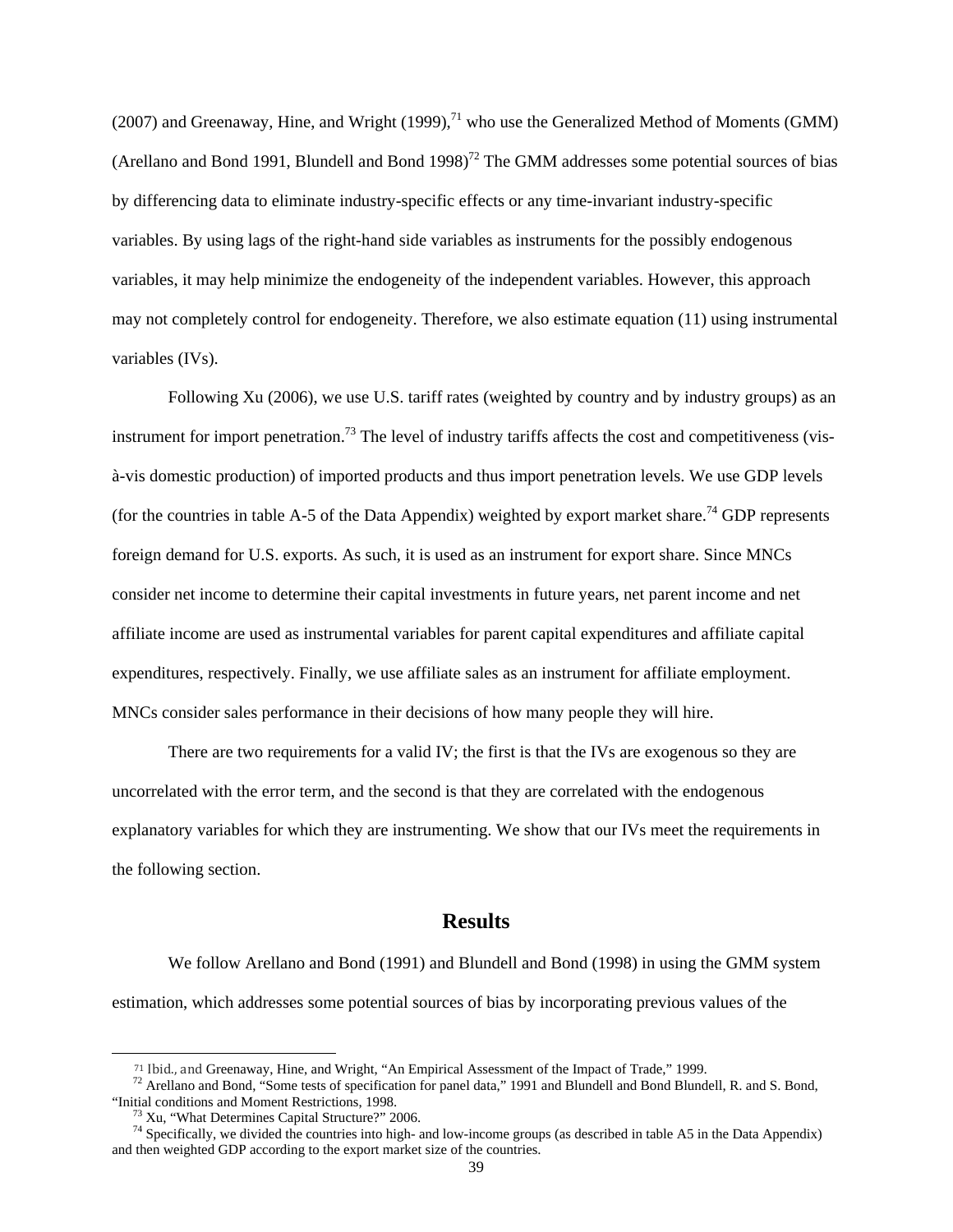(2007) and Greenaway, Hine, and Wright (1999),<sup>71</sup> who use the Generalized Method of Moments (GMM) (Arellano and Bond 1991, Blundell and Bond 1998)<sup>72</sup> The GMM addresses some potential sources of bias by differencing data to eliminate industry-specific effects or any time-invariant industry-specific variables. By using lags of the right-hand side variables as instruments for the possibly endogenous variables, it may help minimize the endogeneity of the independent variables. However, this approach may not completely control for endogeneity. Therefore, we also estimate equation (11) using instrumental variables (IVs).

Following Xu (2006), we use U.S. tariff rates (weighted by country and by industry groups) as an instrument for import penetration.<sup>73</sup> The level of industry tariffs affects the cost and competitiveness (visà-vis domestic production) of imported products and thus import penetration levels. We use GDP levels (for the countries in table A-5 of the Data Appendix) weighted by export market share.<sup>74</sup> GDP represents foreign demand for U.S. exports. As such, it is used as an instrument for export share. Since MNCs consider net income to determine their capital investments in future years, net parent income and net affiliate income are used as instrumental variables for parent capital expenditures and affiliate capital expenditures, respectively. Finally, we use affiliate sales as an instrument for affiliate employment. MNCs consider sales performance in their decisions of how many people they will hire.

There are two requirements for a valid IV; the first is that the IVs are exogenous so they are uncorrelated with the error term, and the second is that they are correlated with the endogenous explanatory variables for which they are instrumenting. We show that our IVs meet the requirements in the following section.

## **Results**

We follow Arellano and Bond (1991) and Blundell and Bond (1998) in using the GMM system estimation, which addresses some potential sources of bias by incorporating previous values of the

 $\overline{a}$ 

<sup>&</sup>lt;sup>71</sup> Ibid., and Greenaway, Hine, and Wright, "An Empirical Assessment of the Impact of Trade," 1999.<br><sup>72</sup> Arellano and Bond, "Some tests of specification for panel data," 1991 and Blundell and Bond Blundell, R. and S. Bon "Initial conditions and Moment Restrictions, 1998. 73 Xu, "What Determines Capital Structure?" 2006.

 $74$  Specifically, we divided the countries into high- and low-income groups (as described in table A5 in the Data Appendix) and then weighted GDP according to the export market size of the countries.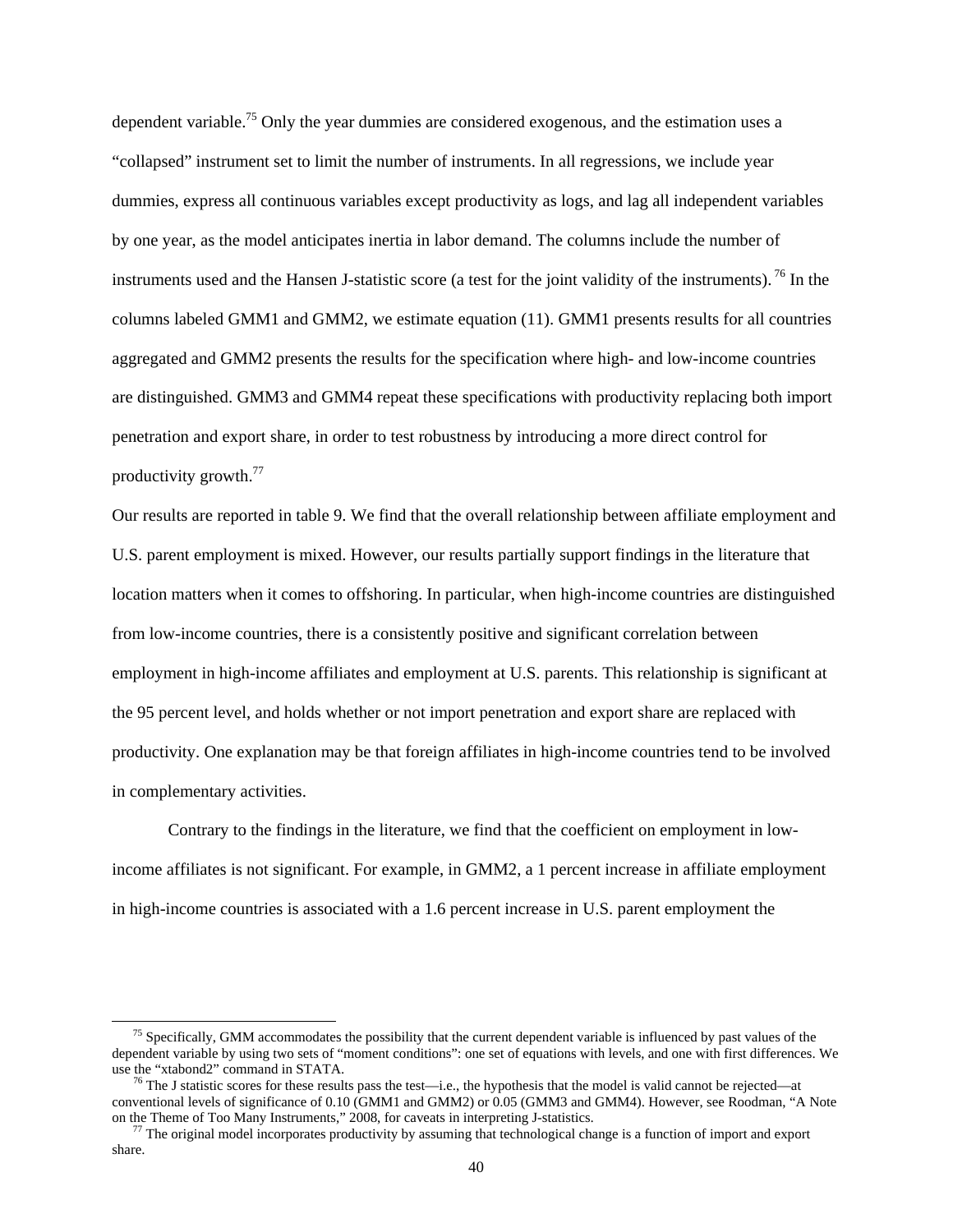dependent variable.<sup>75</sup> Only the year dummies are considered exogenous, and the estimation uses a "collapsed" instrument set to limit the number of instruments. In all regressions, we include year dummies, express all continuous variables except productivity as logs, and lag all independent variables by one year, as the model anticipates inertia in labor demand. The columns include the number of instruments used and the Hansen J-statistic score (a test for the joint validity of the instruments). 76 In the columns labeled GMM1 and GMM2, we estimate equation (11). GMM1 presents results for all countries aggregated and GMM2 presents the results for the specification where high- and low-income countries are distinguished. GMM3 and GMM4 repeat these specifications with productivity replacing both import penetration and export share, in order to test robustness by introducing a more direct control for productivity growth.<sup>77</sup>

Our results are reported in table 9. We find that the overall relationship between affiliate employment and U.S. parent employment is mixed. However, our results partially support findings in the literature that location matters when it comes to offshoring. In particular, when high-income countries are distinguished from low-income countries, there is a consistently positive and significant correlation between employment in high-income affiliates and employment at U.S. parents. This relationship is significant at the 95 percent level, and holds whether or not import penetration and export share are replaced with productivity. One explanation may be that foreign affiliates in high-income countries tend to be involved in complementary activities.

Contrary to the findings in the literature, we find that the coefficient on employment in lowincome affiliates is not significant. For example, in GMM2, a 1 percent increase in affiliate employment in high-income countries is associated with a 1.6 percent increase in U.S. parent employment the

 $<sup>75</sup>$  Specifically, GMM accommodates the possibility that the current dependent variable is influenced by past values of the</sup> dependent variable by using two sets of "moment conditions": one set of equations with levels, and one with first differences. We

 $<sup>6</sup>$  The J statistic scores for these results pass the test—i.e., the hypothesis that the model is valid cannot be rejected—at</sup> conventional levels of significance of 0.10 (GMM1 and GMM2) or 0.05 (GMM3 and GMM4). However, see Roodman, "A Note on the Theme of Too Many Instruments," 2008, for caveats in interpreting J-statistics.

 $^{77}$  The original model incorporates productivity by assuming that technological change is a function of import and export share.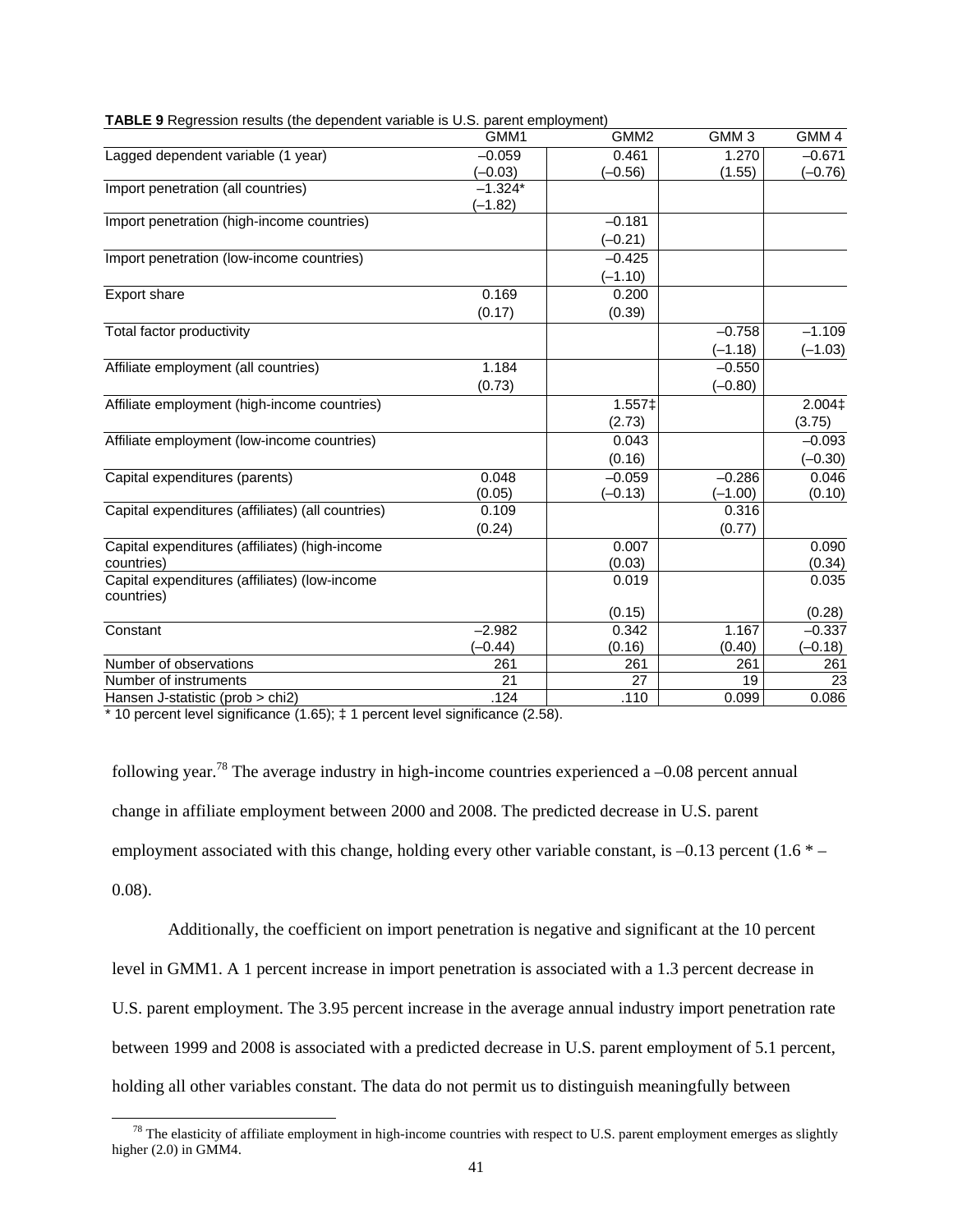|                                                             | GMM1      | GMM <sub>2</sub> | GMM <sub>3</sub> | GMM <sub>4</sub> |
|-------------------------------------------------------------|-----------|------------------|------------------|------------------|
| Lagged dependent variable (1 year)                          | $-0.059$  | 0.461            | 1.270            | $-0.671$         |
|                                                             | $(-0.03)$ | $(-0.56)$        | (1.55)           | $(-0.76)$        |
| Import penetration (all countries)                          | $-1.324*$ |                  |                  |                  |
|                                                             | $-1.82$   |                  |                  |                  |
| Import penetration (high-income countries)                  |           | $-0.181$         |                  |                  |
|                                                             |           | $(-0.21)$        |                  |                  |
| Import penetration (low-income countries)                   |           | $-0.425$         |                  |                  |
|                                                             |           | $(-1.10)$        |                  |                  |
| Export share                                                | 0.169     | 0.200            |                  |                  |
|                                                             | (0.17)    | (0.39)           |                  |                  |
| Total factor productivity                                   |           |                  | $-0.758$         | $-1.109$         |
|                                                             |           |                  | $(-1.18)$        | $(-1.03)$        |
| Affiliate employment (all countries)                        | 1.184     |                  | $-0.550$         |                  |
|                                                             | (0.73)    |                  | $(-0.80)$        |                  |
| Affiliate employment (high-income countries)                |           | 1.557‡           |                  | 2.004‡           |
|                                                             |           | (2.73)           |                  | (3.75)           |
| Affiliate employment (low-income countries)                 |           | 0.043            |                  | $-0.093$         |
|                                                             |           | (0.16)           |                  | $(-0.30)$        |
| Capital expenditures (parents)                              | 0.048     | $-0.059$         | $-0.286$         | 0.046            |
|                                                             | (0.05)    | $(-0.13)$        | $(-1.00)$        | (0.10)           |
| Capital expenditures (affiliates) (all countries)           | 0.109     |                  | 0.316            |                  |
|                                                             | (0.24)    |                  | (0.77)           |                  |
| Capital expenditures (affiliates) (high-income              |           | 0.007            |                  | 0.090            |
| countries)                                                  |           | (0.03)           |                  | (0.34)           |
| Capital expenditures (affiliates) (low-income<br>countries) |           | 0.019            |                  | 0.035            |
|                                                             |           | (0.15)           |                  | (0.28)           |
| Constant                                                    | $-2.982$  | 0.342            | 1.167            | $-0.337$         |
|                                                             | $(-0.44)$ | (0.16)           | (0.40)           | $(-0.18)$        |
| Number of observations                                      | 261       | 261              | 261              | 261              |
| Number of instruments                                       | 21        | 27               | 19               | 23               |
| Hansen J-statistic (prob > chi2)                            | .124      | .110             | 0.099            | 0.086            |

| <b>TABLE 9</b> Regression results (the dependent variable is U.S. parent employment) |  |
|--------------------------------------------------------------------------------------|--|
|                                                                                      |  |

\* 10 percent level significance (1.65); ‡ 1 percent level significance (2.58).

following year.<sup>78</sup> The average industry in high-income countries experienced a  $-0.08$  percent annual change in affiliate employment between 2000 and 2008. The predicted decrease in U.S. parent employment associated with this change, holding every other variable constant, is  $-0.13$  percent (1.6  $*$  – 0.08).

Additionally, the coefficient on import penetration is negative and significant at the 10 percent level in GMM1. A 1 percent increase in import penetration is associated with a 1.3 percent decrease in U.S. parent employment. The 3.95 percent increase in the average annual industry import penetration rate between 1999 and 2008 is associated with a predicted decrease in U.S. parent employment of 5.1 percent, holding all other variables constant. The data do not permit us to distinguish meaningfully between

 $<sup>78</sup>$  The elasticity of affiliate employment in high-income countries with respect to U.S. parent employment emerges as slightly</sup> higher  $(2.0)$  in GMM4.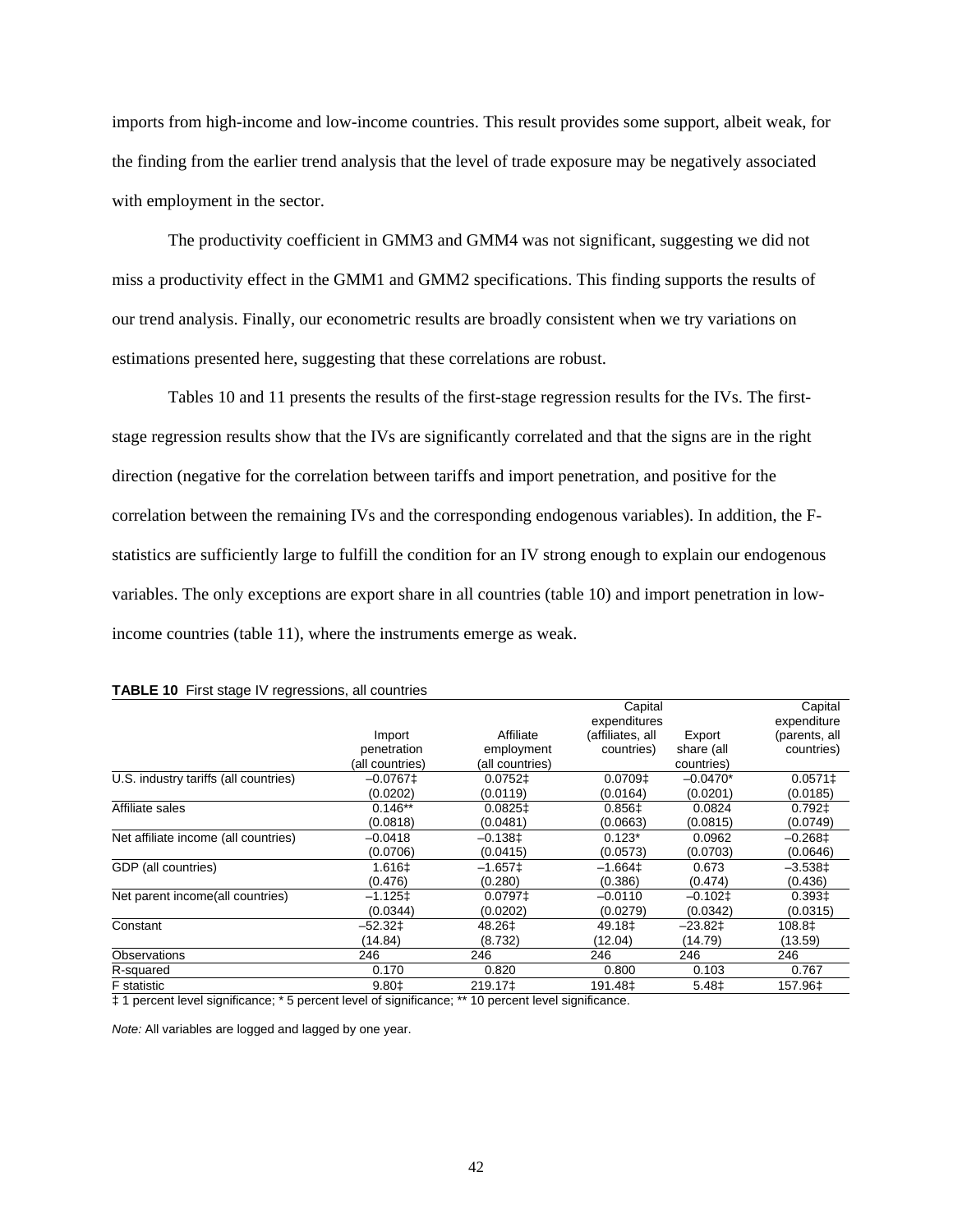imports from high-income and low-income countries. This result provides some support, albeit weak, for the finding from the earlier trend analysis that the level of trade exposure may be negatively associated with employment in the sector.

The productivity coefficient in GMM3 and GMM4 was not significant, suggesting we did not miss a productivity effect in the GMM1 and GMM2 specifications. This finding supports the results of our trend analysis. Finally, our econometric results are broadly consistent when we try variations on estimations presented here, suggesting that these correlations are robust.

 Tables 10 and 11 presents the results of the first-stage regression results for the IVs. The firststage regression results show that the IVs are significantly correlated and that the signs are in the right direction (negative for the correlation between tariffs and import penetration, and positive for the correlation between the remaining IVs and the corresponding endogenous variables). In addition, the Fstatistics are sufficiently large to fulfill the condition for an IV strong enough to explain our endogenous variables. The only exceptions are export share in all countries (table 10) and import penetration in lowincome countries (table 11), where the instruments emerge as weak.

|                                       |                 |                       | Capital               |            | Capital       |
|---------------------------------------|-----------------|-----------------------|-----------------------|------------|---------------|
|                                       |                 |                       | expenditures          |            | expenditure   |
|                                       | Import          | Affiliate             | (affiliates, all      | Export     | (parents, all |
|                                       | penetration     | employment            | countries)            | share (all | countries)    |
|                                       | (all countries) | (all countries)       |                       | countries) |               |
| U.S. industry tariffs (all countries) | $-0.0767$       | 0.0752‡               | $0.0709$ <sup>±</sup> | $-0.0470*$ | $0.0571 \pm$  |
|                                       | (0.0202)        | (0.0119)              | (0.0164)              | (0.0201)   | (0.0185)      |
| Affiliate sales                       | $0.146**$       | $0.0825$ <sup>±</sup> | 0.856‡                | 0.0824     | $0.792 \pm$   |
|                                       | (0.0818)        | (0.0481)              | (0.0663)              | (0.0815)   | (0.0749)      |
| Net affiliate income (all countries)  | $-0.0418$       | $-0.138$ <sup>±</sup> | $0.123*$              | 0.0962     | $-0.268$ ‡    |
|                                       | (0.0706)        | (0.0415)              | (0.0573)              | (0.0703)   | (0.0646)      |
| GDP (all countries)                   | 1.616‡          | $-1.657\pm$           | $-1.664\pm$           | 0.673      | $-3.538\pm$   |
|                                       | (0.476)         | (0.280)               | (0.386)               | (0.474)    | (0.436)       |
| Net parent income(all countries)      | -1.125‡         | $0.0797 \pm$          | $-0.0110$             | $-0.102$ ‡ | 0.3931        |
|                                       | (0.0344)        | (0.0202)              | (0.0279)              | (0.0342)   | (0.0315)      |
| Constant                              | $-52.32$        | 48.26‡                | 49.18‡                | $-23.82$   | 108.8‡        |
|                                       | (14.84)         | (8.732)               | (12.04)               | (14.79)    | (13.59)       |
| Observations                          | 246             | 246                   | 246                   | 246        | 246           |
| R-squared                             | 0.170           | 0.820                 | 0.800                 | 0.103      | 0.767         |
| <b>F</b> statistic                    | 9.80‡           | 219.17‡               | 191.48 <sup>±</sup>   | 5.48‡      | 157.96±       |
|                                       |                 |                       |                       |            |               |

|  |  |  | TABLE 10 First stage IV regressions, all countries |  |  |
|--|--|--|----------------------------------------------------|--|--|
|--|--|--|----------------------------------------------------|--|--|

‡ 1 percent level significance; \* 5 percent level of significance; \*\* 10 percent level significance.

*Note:* All variables are logged and lagged by one year.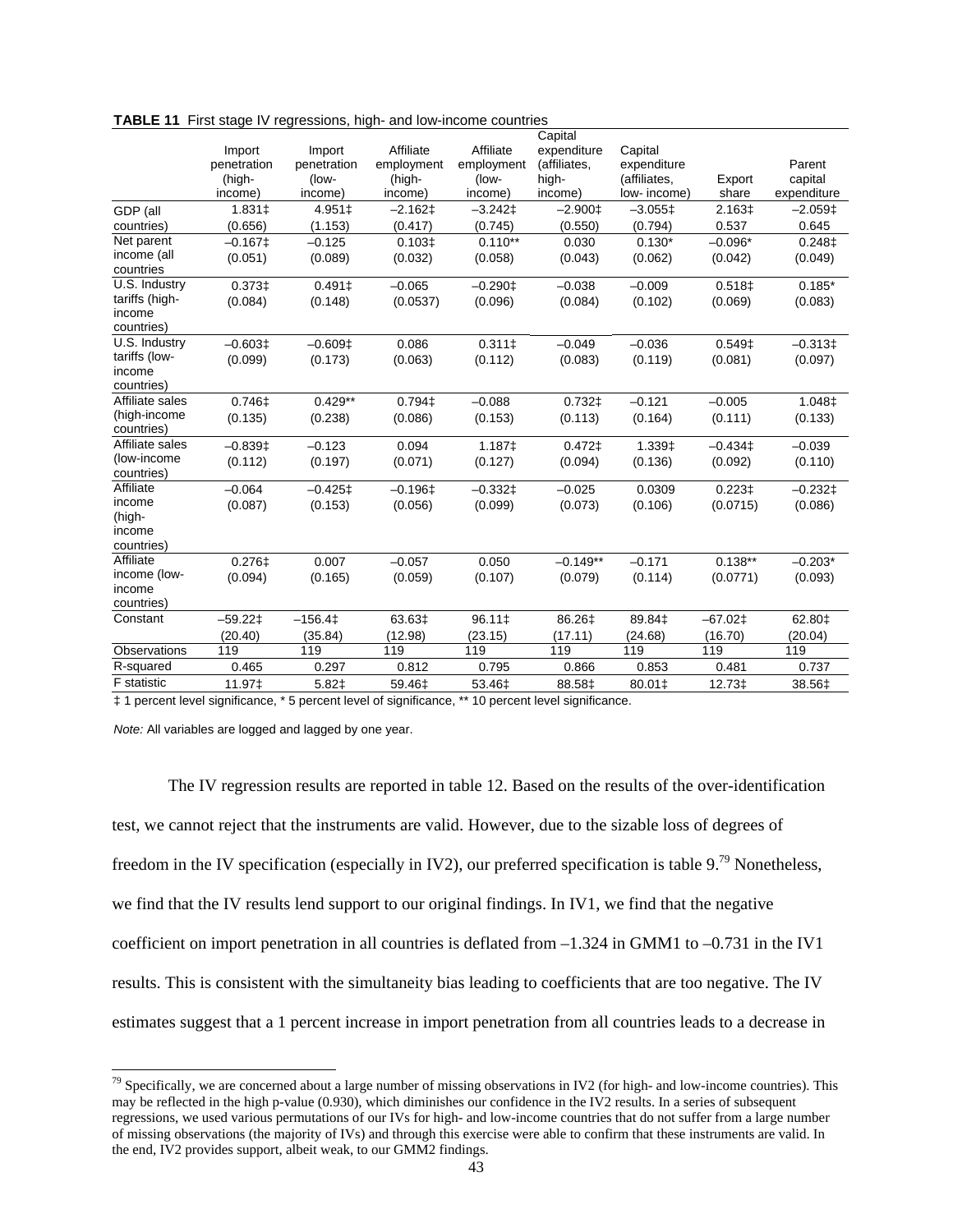|                               |             |             |                    |                  | Capital           |                                    |                      |                       |
|-------------------------------|-------------|-------------|--------------------|------------------|-------------------|------------------------------------|----------------------|-----------------------|
|                               | Import      | Import      | Affiliate          | Affiliate        | expenditure       | Capital                            |                      |                       |
|                               | penetration | penetration | employment         | employment       | (affiliates,      | expenditure                        |                      | Parent                |
|                               | (high-      | (low-       | (high-             | (low-            | high-             | (affiliates,                       | Export               | capital               |
|                               | income)     | income)     | income)            | income)          | income)           | low- income)                       | share                | expenditure           |
| GDP (all                      | 1.831‡      | 4.951‡      | $-2.162 \pm$       | $-3.242$         | $-2.900 \ddagger$ | $-3.055$ <sup><math>+</math></sup> | 2.163‡               | $-2.059$ <sup>±</sup> |
| countries)                    | (0.656)     | (1.153)     | (0.417)            | (0.745)          | (0.550)           | (0.794)                            | 0.537                | 0.645                 |
| Net parent                    | $-0.167$ ±  | $-0.125$    | 0.103 <sup>‡</sup> | $0.110**$        | 0.030             | $0.130*$                           | $-0.096*$            | 0.248‡                |
| income (all                   | (0.051)     | (0.089)     | (0.032)            | (0.058)          | (0.043)           | (0.062)                            | (0.042)              | (0.049)               |
| countries                     |             |             |                    |                  |                   |                                    |                      |                       |
| U.S. Industry                 | 0.373‡      | $0.491 \pm$ | $-0.065$           | $-0.290$         | $-0.038$          | $-0.009$                           | 0.518‡               | $0.185*$              |
| tariffs (high-                | (0.084)     | (0.148)     | (0.0537)           | (0.096)          | (0.084)           | (0.102)                            | (0.069)              | (0.083)               |
| income                        |             |             |                    |                  |                   |                                    |                      |                       |
| countries)                    |             |             |                    |                  |                   |                                    |                      |                       |
| U.S. Industry                 | $-0.603t$   | $-0.609$ ±  | 0.086              | 0.3111           | $-0.049$          | $-0.036$                           | $0.549$ <sup>±</sup> | $-0.313\pm$           |
| tariffs (low-                 | (0.099)     | (0.173)     | (0.063)            | (0.112)          | (0.083)           | (0.119)                            | (0.081)              | (0.097)               |
| income                        |             |             |                    |                  |                   |                                    |                      |                       |
| countries)                    |             |             |                    |                  |                   |                                    |                      |                       |
| Affiliate sales               | 0.746±      | $0.429**$   | 0.794‡             | $-0.088$         | 0.732‡            | $-0.121$                           | $-0.005$             | 1.048±                |
| (high-income                  | (0.135)     | (0.238)     | (0.086)            | (0.153)          | (0.113)           | (0.164)                            | (0.111)              | (0.133)               |
| countries)<br>Affiliate sales |             |             |                    |                  |                   |                                    |                      |                       |
| (low-income                   | $-0.839$    | $-0.123$    | 0.094              | 1.187‡           | $0.472$ ‡         | 1.339‡                             | $-0.434\pm$          | $-0.039$              |
| countries)                    | (0.112)     | (0.197)     | (0.071)            | (0.127)          | (0.094)           | (0.136)                            | (0.092)              | (0.110)               |
| Affiliate                     | $-0.064$    | $-0.425$ ‡  | $-0.196$ ‡         | $-0.332 \pm 1.5$ | $-0.025$          | 0.0309                             | 0.2231               | $-0.232$ ‡            |
| income                        |             |             |                    |                  |                   |                                    |                      |                       |
| (high-                        | (0.087)     | (0.153)     | (0.056)            | (0.099)          | (0.073)           | (0.106)                            | (0.0715)             | (0.086)               |
| income                        |             |             |                    |                  |                   |                                    |                      |                       |
| countries)                    |             |             |                    |                  |                   |                                    |                      |                       |
| Affiliate                     | 0.276‡      | 0.007       | $-0.057$           | 0.050            | $-0.149**$        | $-0.171$                           | $0.138**$            | $-0.203*$             |
| income (low-                  | (0.094)     | (0.165)     | (0.059)            | (0.107)          | (0.079)           | (0.114)                            | (0.0771)             | (0.093)               |
| income                        |             |             |                    |                  |                   |                                    |                      |                       |
| countries)                    |             |             |                    |                  |                   |                                    |                      |                       |
| Constant                      | $-59.22$    | $-156.4$    | 63.63‡             | 96.11‡           | 86.26‡            | 89.84‡                             | $-67.02$ $\pm$       | 62.80‡                |
|                               | (20.40)     | (35.84)     | (12.98)            | (23.15)          | (17.11)           | (24.68)                            | (16.70)              | (20.04)               |
| <b>Observations</b>           | 119         | 119         | 119                | 119              | 119               | 119                                | 119                  | 119                   |
| R-squared                     | 0.465       | 0.297       | 0.812              | 0.795            | 0.866             | 0.853                              | 0.481                | 0.737                 |
| <b>F</b> statistic            | 11.97±      | 5.82‡       | 59.46±             | 53.46‡           | 88.58±            | 80.01±                             | 12.73‡               | 38.56±                |

**TABLE 11** First stage IV regressions, high- and low-income countries

‡ 1 percent level significance, \* 5 percent level of significance, \*\* 10 percent level significance.

*Note:* All variables are logged and lagged by one year.

l

 The IV regression results are reported in table 12. Based on the results of the over-identification test, we cannot reject that the instruments are valid. However, due to the sizable loss of degrees of freedom in the IV specification (especially in IV2), our preferred specification is table 9.79 Nonetheless, we find that the IV results lend support to our original findings. In IV1, we find that the negative coefficient on import penetration in all countries is deflated from  $-1.324$  in GMM1 to  $-0.731$  in the IV1 results. This is consistent with the simultaneity bias leading to coefficients that are too negative. The IV estimates suggest that a 1 percent increase in import penetration from all countries leads to a decrease in

 $^{79}$  Specifically, we are concerned about a large number of missing observations in IV2 (for high- and low-income countries). This may be reflected in the high p-value (0.930), which diminishes our confidence in the IV2 results. In a series of subsequent regressions, we used various permutations of our IVs for high- and low-income countries that do not suffer from a large number of missing observations (the majority of IVs) and through this exercise were able to confirm that these instruments are valid. In the end, IV2 provides support, albeit weak, to our GMM2 findings.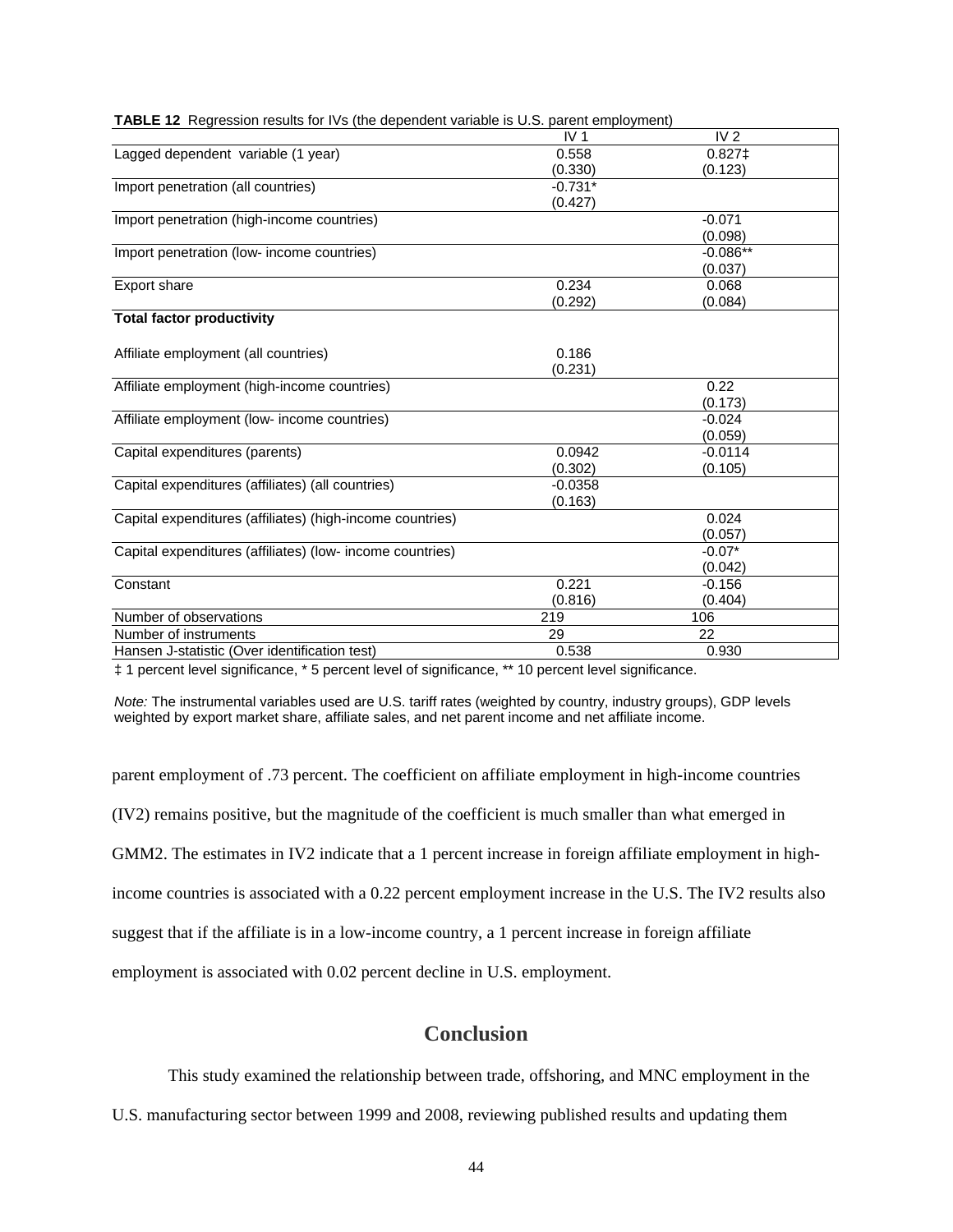|                                                           | IV <sub>1</sub> | IV <sub>2</sub> |
|-----------------------------------------------------------|-----------------|-----------------|
| Lagged dependent variable (1 year)                        | 0.558           | $0.827$ ‡       |
|                                                           | (0.330)         | (0.123)         |
| Import penetration (all countries)                        | $-0.731*$       |                 |
|                                                           | (0.427)         |                 |
| Import penetration (high-income countries)                |                 | $-0.071$        |
|                                                           |                 | (0.098)         |
| Import penetration (low- income countries)                |                 | $-0.086**$      |
|                                                           |                 | (0.037)         |
| <b>Export share</b>                                       | 0.234           | 0.068           |
|                                                           | (0.292)         | (0.084)         |
| <b>Total factor productivity</b>                          |                 |                 |
|                                                           |                 |                 |
| Affiliate employment (all countries)                      | 0.186           |                 |
|                                                           | (0.231)         |                 |
| Affiliate employment (high-income countries)              |                 | 0.22            |
|                                                           |                 | (0.173)         |
| Affiliate employment (low- income countries)              |                 | $-0.024$        |
|                                                           |                 | (0.059)         |
| Capital expenditures (parents)                            | 0.0942          | $-0.0114$       |
|                                                           | (0.302)         | (0.105)         |
| Capital expenditures (affiliates) (all countries)         | $-0.0358$       |                 |
|                                                           | (0.163)         |                 |
| Capital expenditures (affiliates) (high-income countries) |                 | 0.024           |
|                                                           |                 | (0.057)         |
| Capital expenditures (affiliates) (low- income countries) |                 | $-0.07*$        |
|                                                           |                 | (0.042)         |
| Constant                                                  | 0.221           | $-0.156$        |
|                                                           | (0.816)         | (0.404)         |
| Number of observations                                    | 219             | 106             |
| Number of instruments                                     | 29              | 22              |
| Hansen J-statistic (Over identification test)             | 0.538           | 0.930           |

|  | <b>TABLE 12</b> Regression results for IVs (the dependent variable is U.S. parent employment) |  |  |  |  |  |
|--|-----------------------------------------------------------------------------------------------|--|--|--|--|--|
|--|-----------------------------------------------------------------------------------------------|--|--|--|--|--|

‡ 1 percent level significance, \* 5 percent level of significance, \*\* 10 percent level significance.

*Note:* The instrumental variables used are U.S. tariff rates (weighted by country, industry groups), GDP levels weighted by export market share, affiliate sales, and net parent income and net affiliate income.

parent employment of .73 percent. The coefficient on affiliate employment in high-income countries (IV2) remains positive, but the magnitude of the coefficient is much smaller than what emerged in GMM2. The estimates in IV2 indicate that a 1 percent increase in foreign affiliate employment in highincome countries is associated with a 0.22 percent employment increase in the U.S. The IV2 results also suggest that if the affiliate is in a low-income country, a 1 percent increase in foreign affiliate employment is associated with 0.02 percent decline in U.S. employment.

# **Conclusion**

This study examined the relationship between trade, offshoring, and MNC employment in the

U.S. manufacturing sector between 1999 and 2008, reviewing published results and updating them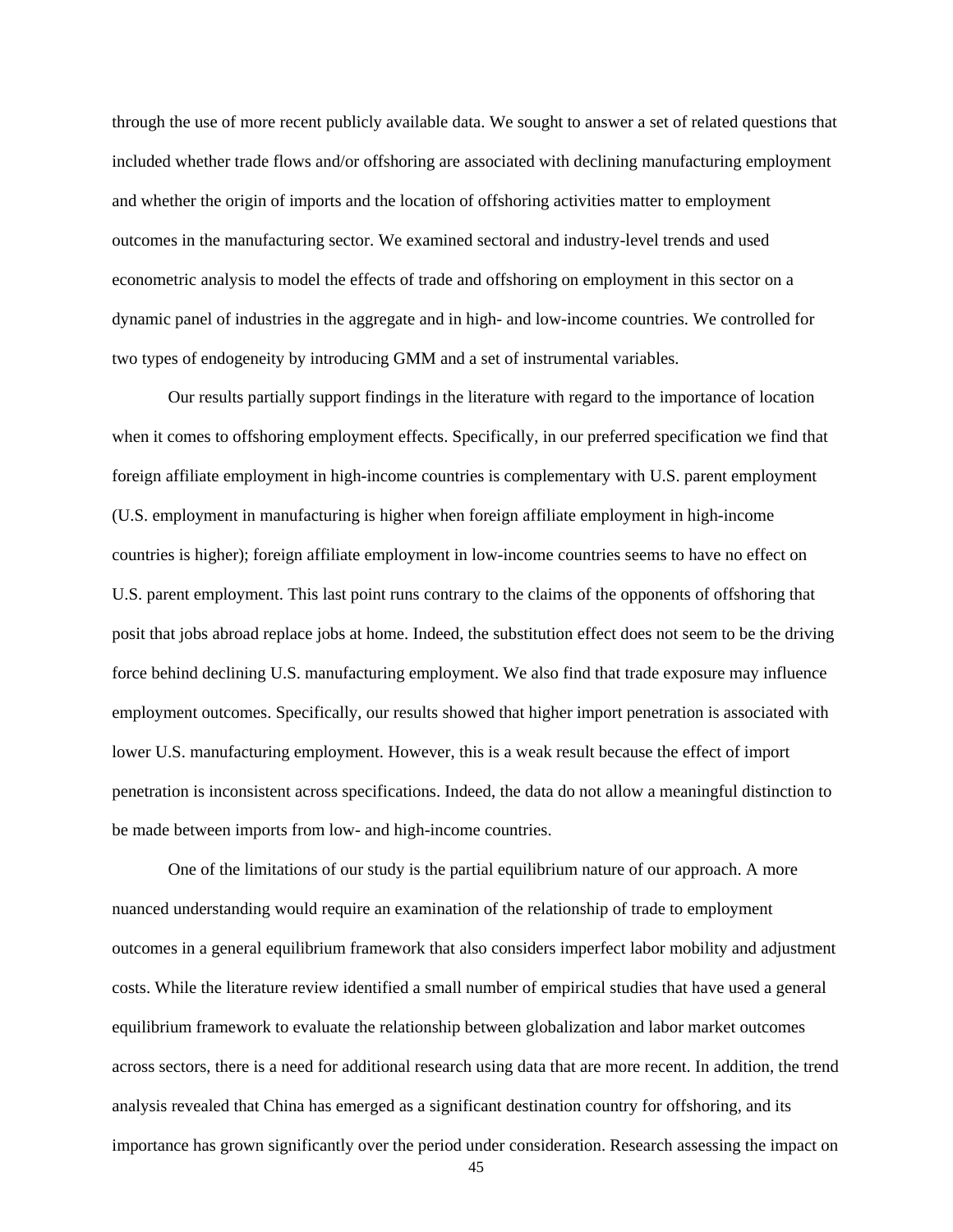through the use of more recent publicly available data. We sought to answer a set of related questions that included whether trade flows and/or offshoring are associated with declining manufacturing employment and whether the origin of imports and the location of offshoring activities matter to employment outcomes in the manufacturing sector. We examined sectoral and industry-level trends and used econometric analysis to model the effects of trade and offshoring on employment in this sector on a dynamic panel of industries in the aggregate and in high- and low-income countries. We controlled for two types of endogeneity by introducing GMM and a set of instrumental variables.

Our results partially support findings in the literature with regard to the importance of location when it comes to offshoring employment effects. Specifically, in our preferred specification we find that foreign affiliate employment in high-income countries is complementary with U.S. parent employment (U.S. employment in manufacturing is higher when foreign affiliate employment in high-income countries is higher); foreign affiliate employment in low-income countries seems to have no effect on U.S. parent employment. This last point runs contrary to the claims of the opponents of offshoring that posit that jobs abroad replace jobs at home. Indeed, the substitution effect does not seem to be the driving force behind declining U.S. manufacturing employment. We also find that trade exposure may influence employment outcomes. Specifically, our results showed that higher import penetration is associated with lower U.S. manufacturing employment. However, this is a weak result because the effect of import penetration is inconsistent across specifications. Indeed, the data do not allow a meaningful distinction to be made between imports from low- and high-income countries.

One of the limitations of our study is the partial equilibrium nature of our approach. A more nuanced understanding would require an examination of the relationship of trade to employment outcomes in a general equilibrium framework that also considers imperfect labor mobility and adjustment costs. While the literature review identified a small number of empirical studies that have used a general equilibrium framework to evaluate the relationship between globalization and labor market outcomes across sectors, there is a need for additional research using data that are more recent. In addition, the trend analysis revealed that China has emerged as a significant destination country for offshoring, and its importance has grown significantly over the period under consideration. Research assessing the impact on

45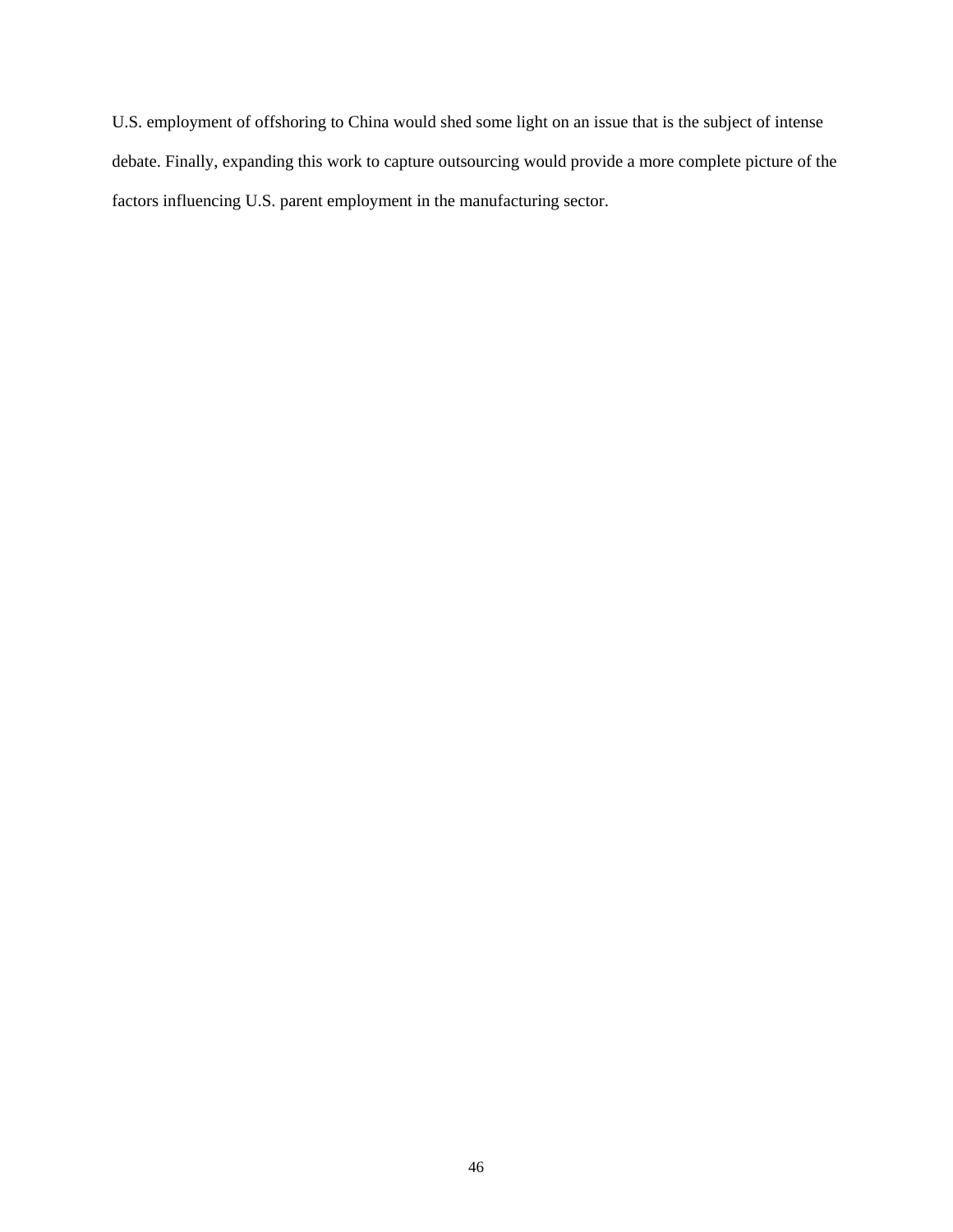U.S. employment of offshoring to China would shed some light on an issue that is the subject of intense debate. Finally, expanding this work to capture outsourcing would provide a more complete picture of the factors influencing U.S. parent employment in the manufacturing sector.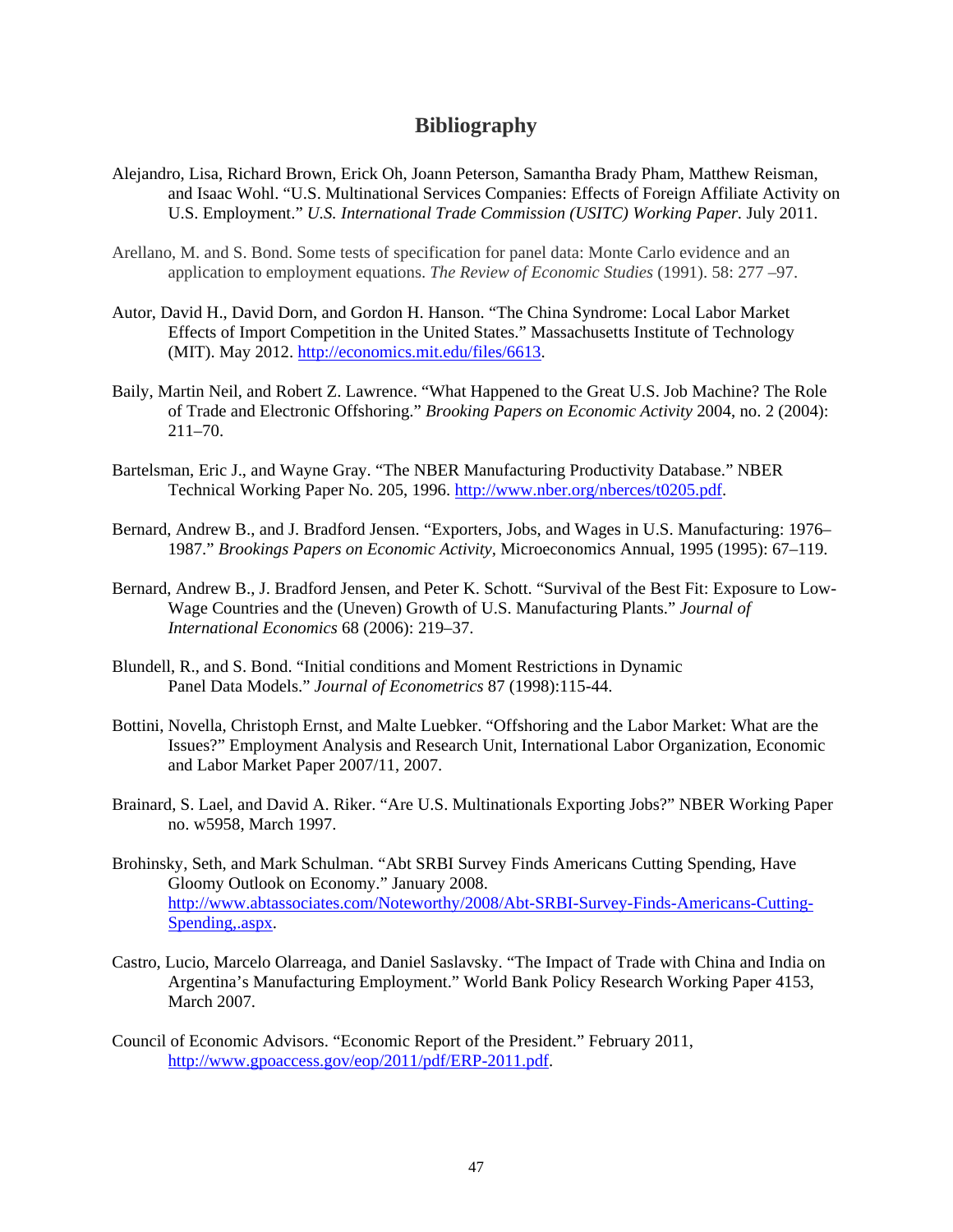## **Bibliography**

- Alejandro, Lisa, Richard Brown, Erick Oh, Joann Peterson, Samantha Brady Pham, Matthew Reisman, and Isaac Wohl. "U.S. Multinational Services Companies: Effects of Foreign Affiliate Activity on U.S. Employment." *U.S. International Trade Commission (USITC) Working Paper. July 2011.*
- Arellano, M. and S. Bond. Some tests of specification for panel data: Monte Carlo evidence and an application to employment equations. *The Review of Economic Studies* (1991). 58: 277 –97.
- Autor, David H., David Dorn, and Gordon H. Hanson. "The China Syndrome: Local Labor Market Effects of Import Competition in the United States." Massachusetts Institute of Technology (MIT). May 2012. http://economics.mit.edu/files/6613.
- Baily, Martin Neil, and Robert Z. Lawrence. "What Happened to the Great U.S. Job Machine? The Role of Trade and Electronic Offshoring." *Brooking Papers on Economic Activity* 2004, no. 2 (2004): 211–70.
- Bartelsman, Eric J., and Wayne Gray. "The NBER Manufacturing Productivity Database." NBER Technical Working Paper No. 205, 1996. http://www.nber.org/nberces/t0205.pdf.
- Bernard, Andrew B., and J. Bradford Jensen. "Exporters, Jobs, and Wages in U.S. Manufacturing: 1976– 1987." *Brookings Papers on Economic Activity,* Microeconomics Annual, 1995 (1995): 67–119.
- Bernard, Andrew B., J. Bradford Jensen, and Peter K. Schott. "Survival of the Best Fit: Exposure to Low-Wage Countries and the (Uneven) Growth of U.S. Manufacturing Plants." *Journal of International Economics* 68 (2006): 219–37.
- Blundell, R., and S. Bond. "Initial conditions and Moment Restrictions in Dynamic Panel Data Models." *Journal of Econometrics* 87 (1998):115-44.
- Bottini, Novella, Christoph Ernst, and Malte Luebker. "Offshoring and the Labor Market: What are the Issues?" Employment Analysis and Research Unit, International Labor Organization, Economic and Labor Market Paper 2007/11, 2007.
- Brainard, S. Lael, and David A. Riker. "Are U.S. Multinationals Exporting Jobs?" NBER Working Paper no. w5958, March 1997.
- Brohinsky, Seth, and Mark Schulman. "Abt SRBI Survey Finds Americans Cutting Spending, Have Gloomy Outlook on Economy." January 2008. http://www.abtassociates.com/Noteworthy/2008/Abt-SRBI-Survey-Finds-Americans-Cutting-Spending,.aspx.
- Castro, Lucio, Marcelo Olarreaga, and Daniel Saslavsky. "The Impact of Trade with China and India on Argentina's Manufacturing Employment." World Bank Policy Research Working Paper 4153, March 2007.
- Council of Economic Advisors. "Economic Report of the President." February 2011, http://www.gpoaccess.gov/eop/2011/pdf/ERP-2011.pdf.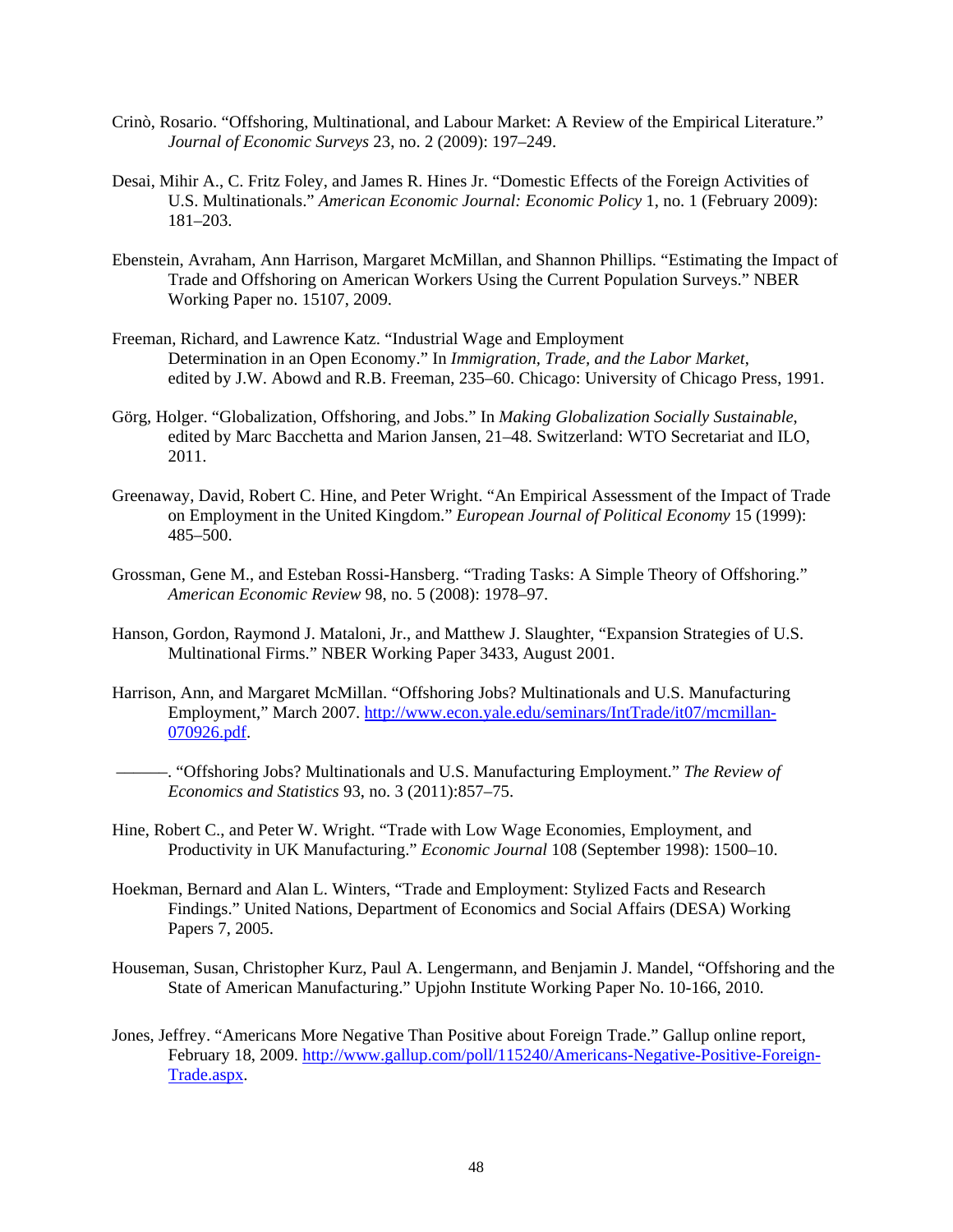- Crinò, Rosario. "Offshoring, Multinational, and Labour Market: A Review of the Empirical Literature." *Journal of Economic Surveys* 23, no. 2 (2009): 197–249.
- Desai, Mihir A., C. Fritz Foley, and James R. Hines Jr. "Domestic Effects of the Foreign Activities of U.S. Multinationals." *American Economic Journal: Economic Policy* 1, no. 1 (February 2009): 181–203.
- Ebenstein, Avraham, Ann Harrison, Margaret McMillan, and Shannon Phillips. "Estimating the Impact of Trade and Offshoring on American Workers Using the Current Population Surveys." NBER Working Paper no. 15107, 2009.
- Freeman, Richard, and Lawrence Katz. "Industrial Wage and Employment Determination in an Open Economy." In *Immigration, Trade, and the Labor Market*, edited by J.W. Abowd and R.B. Freeman, 235–60. Chicago: University of Chicago Press, 1991.
- Görg, Holger. "Globalization, Offshoring, and Jobs." In *Making Globalization Socially Sustainable*, edited by Marc Bacchetta and Marion Jansen, 21–48. Switzerland: WTO Secretariat and ILO, 2011.
- Greenaway, David, Robert C. Hine, and Peter Wright. "An Empirical Assessment of the Impact of Trade on Employment in the United Kingdom." *European Journal of Political Economy* 15 (1999): 485–500.
- Grossman, Gene M., and Esteban Rossi-Hansberg. "Trading Tasks: A Simple Theory of Offshoring." *American Economic Review* 98, no. 5 (2008): 1978–97.
- Hanson, Gordon, Raymond J. Mataloni, Jr., and Matthew J. Slaughter, "Expansion Strategies of U.S. Multinational Firms." NBER Working Paper 3433, August 2001.
- Harrison, Ann, and Margaret McMillan. "Offshoring Jobs? Multinationals and U.S. Manufacturing Employment," March 2007. http://www.econ.yale.edu/seminars/IntTrade/it07/mcmillan-070926.pdf.
- ––––––. "Offshoring Jobs? Multinationals and U.S. Manufacturing Employment." *The Review of Economics and Statistics* 93, no. 3 (2011):857–75.
- Hine, Robert C., and Peter W. Wright. "Trade with Low Wage Economies, Employment, and Productivity in UK Manufacturing." *Economic Journal* 108 (September 1998): 1500–10.
- Hoekman, Bernard and Alan L. Winters, "Trade and Employment: Stylized Facts and Research Findings." United Nations, Department of Economics and Social Affairs (DESA) Working Papers 7, 2005.
- Houseman, Susan, Christopher Kurz, Paul A. Lengermann, and Benjamin J. Mandel, "Offshoring and the State of American Manufacturing." Upjohn Institute Working Paper No. 10-166, 2010.
- Jones, Jeffrey. "Americans More Negative Than Positive about Foreign Trade." Gallup online report, February 18, 2009. http://www.gallup.com/poll/115240/Americans-Negative-Positive-Foreign-Trade.aspx.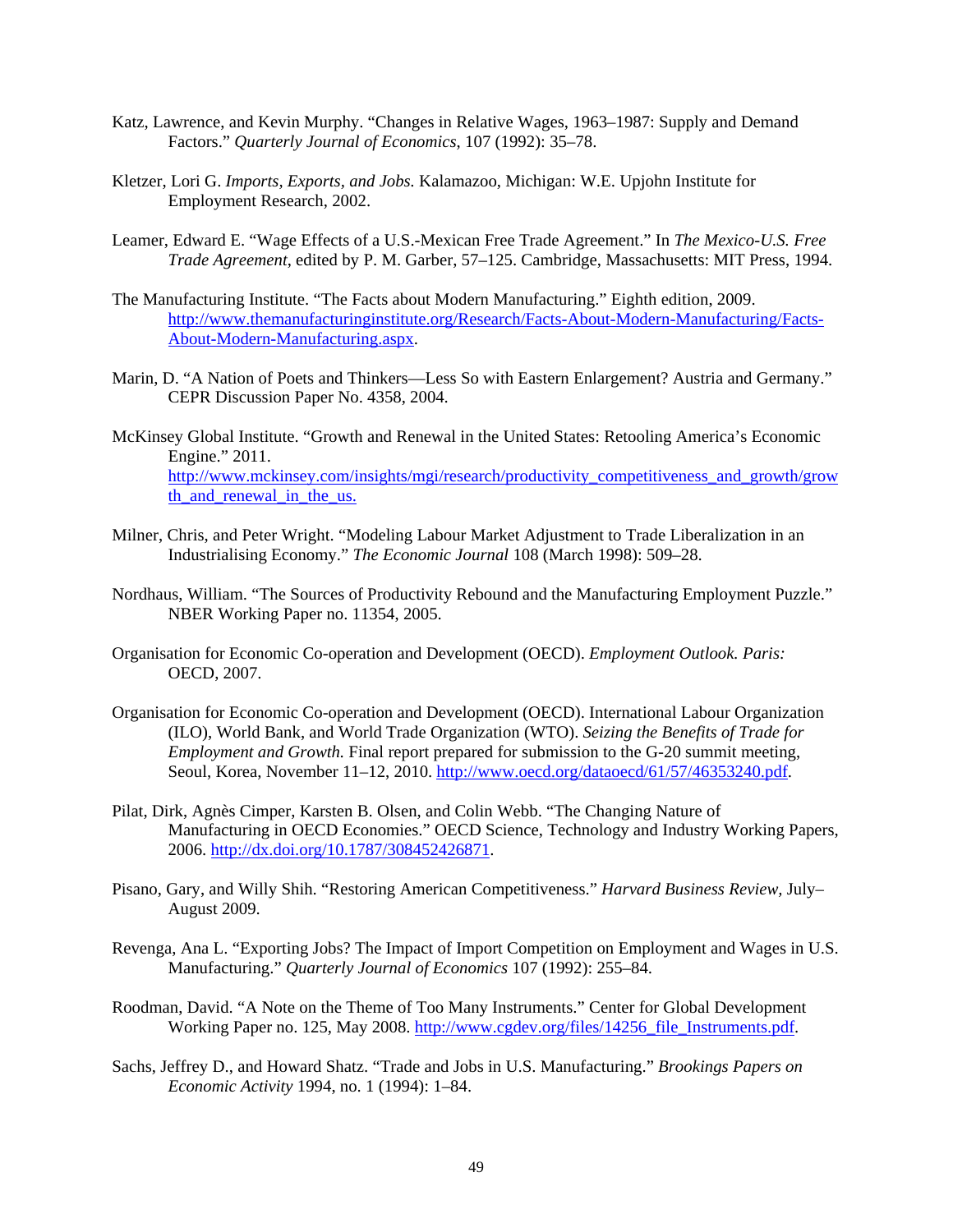- Katz, Lawrence, and Kevin Murphy. "Changes in Relative Wages, 1963–1987: Supply and Demand Factors." *Quarterly Journal of Economics*, 107 (1992): 35–78.
- Kletzer, Lori G. *Imports, Exports, and Jobs.* Kalamazoo, Michigan: W.E. Upjohn Institute for Employment Research, 2002.
- Leamer, Edward E. "Wage Effects of a U.S.-Mexican Free Trade Agreement." In *The Mexico-U.S. Free Trade Agreement*, edited by P. M. Garber, 57–125. Cambridge, Massachusetts: MIT Press, 1994.
- The Manufacturing Institute. "The Facts about Modern Manufacturing." Eighth edition, 2009. http://www.themanufacturinginstitute.org/Research/Facts-About-Modern-Manufacturing/Facts-About-Modern-Manufacturing.aspx.
- Marin, D. "A Nation of Poets and Thinkers—Less So with Eastern Enlargement? Austria and Germany." CEPR Discussion Paper No. 4358, 2004.
- McKinsey Global Institute. "Growth and Renewal in the United States: Retooling America's Economic Engine." 2011. http://www.mckinsey.com/insights/mgi/research/productivity\_competitiveness\_and\_growth/grow th and renewal in the us.
- Milner, Chris, and Peter Wright. "Modeling Labour Market Adjustment to Trade Liberalization in an Industrialising Economy." *The Economic Journal* 108 (March 1998): 509–28.
- Nordhaus, William. "The Sources of Productivity Rebound and the Manufacturing Employment Puzzle." NBER Working Paper no. 11354, 2005.
- Organisation for Economic Co-operation and Development (OECD). *Employment Outlook. Paris:*  OECD, 2007.
- Organisation for Economic Co-operation and Development (OECD). International Labour Organization (ILO), World Bank, and World Trade Organization (WTO). *Seizing the Benefits of Trade for Employment and Growth.* Final report prepared for submission to the G-20 summit meeting, Seoul, Korea, November 11–12, 2010. http://www.oecd.org/dataoecd/61/57/46353240.pdf.
- Pilat, Dirk, Agnès Cimper, Karsten B. Olsen, and Colin Webb. "The Changing Nature of Manufacturing in OECD Economies." OECD Science, Technology and Industry Working Papers, 2006. http://dx.doi.org/10.1787/308452426871.
- Pisano, Gary, and Willy Shih. "Restoring American Competitiveness." *Harvard Business Review,* July– August 2009.
- Revenga, Ana L. "Exporting Jobs? The Impact of Import Competition on Employment and Wages in U.S. Manufacturing." *Quarterly Journal of Economics* 107 (1992): 255–84.
- Roodman, David. "A Note on the Theme of Too Many Instruments." Center for Global Development Working Paper no. 125, May 2008. http://www.cgdev.org/files/14256\_file\_Instruments.pdf.
- Sachs, Jeffrey D., and Howard Shatz. "Trade and Jobs in U.S. Manufacturing." *Brookings Papers on Economic Activity* 1994, no. 1 (1994): 1–84.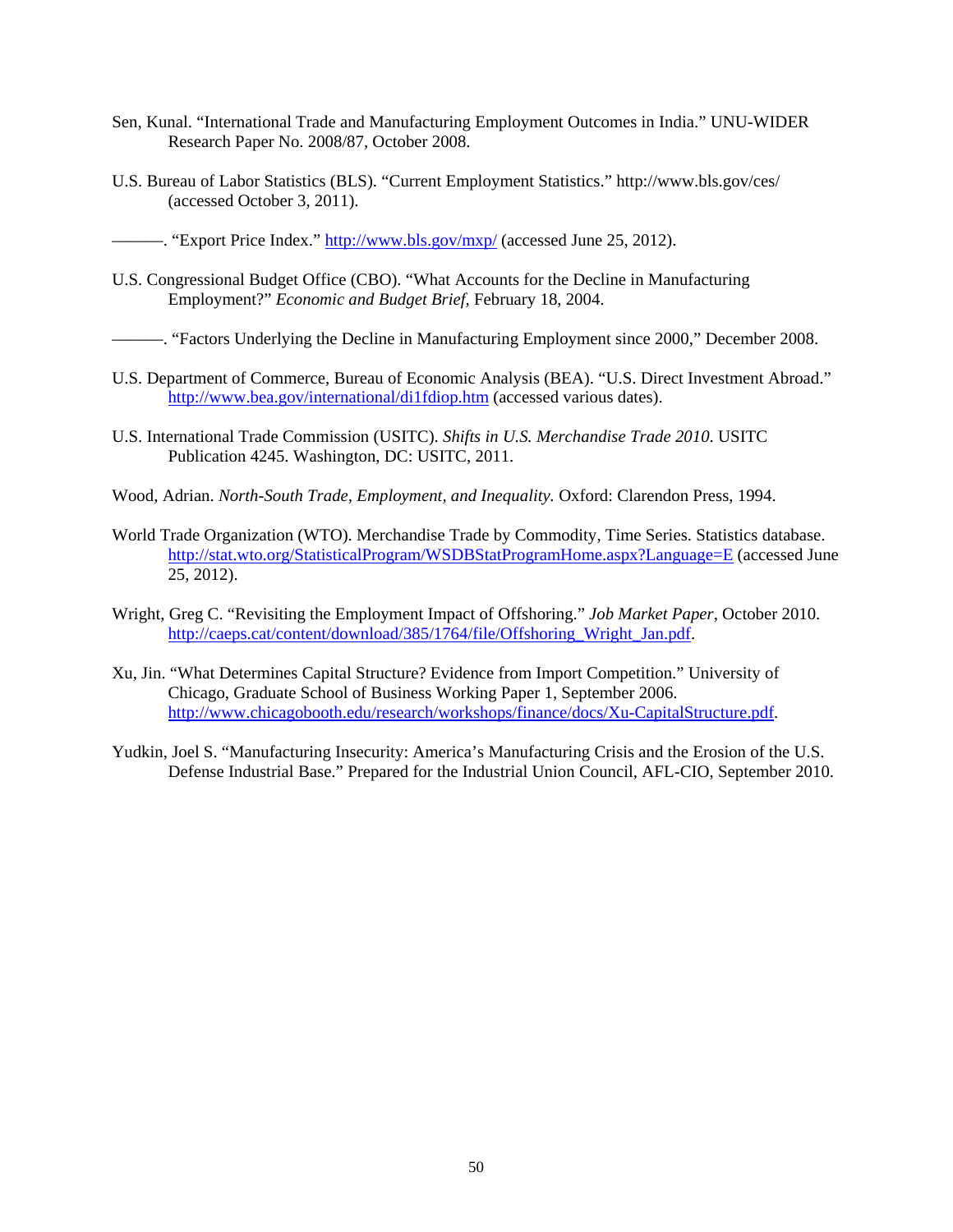- Sen, Kunal. "International Trade and Manufacturing Employment Outcomes in India." UNU-WIDER Research Paper No. 2008/87, October 2008.
- U.S. Bureau of Labor Statistics (BLS). "Current Employment Statistics." http://www.bls.gov/ces/ (accessed October 3, 2011).

––––––. "Export Price Index." http://www.bls.gov/mxp/ (accessed June 25, 2012).

- U.S. Congressional Budget Office (CBO). "What Accounts for the Decline in Manufacturing Employment?" *Economic and Budget Brief,* February 18, 2004.
- ––––––. "Factors Underlying the Decline in Manufacturing Employment since 2000," December 2008.
- U.S. Department of Commerce, Bureau of Economic Analysis (BEA). "U.S. Direct Investment Abroad." http://www.bea.gov/international/di1fdiop.htm (accessed various dates).
- U.S. International Trade Commission (USITC). *Shifts in U.S. Merchandise Trade 2010*. USITC Publication 4245. Washington, DC: USITC, 2011.
- Wood, Adrian. *North-South Trade, Employment, and Inequality.* Oxford: Clarendon Press, 1994.
- World Trade Organization (WTO). Merchandise Trade by Commodity, Time Series. Statistics database. http://stat.wto.org/StatisticalProgram/WSDBStatProgramHome.aspx?Language=E (accessed June 25, 2012).
- Wright, Greg C. "Revisiting the Employment Impact of Offshoring." *Job Market Paper*, October 2010. http://caeps.cat/content/download/385/1764/file/Offshoring\_Wright\_Jan.pdf.
- Xu, Jin. "What Determines Capital Structure? Evidence from Import Competition." University of Chicago, Graduate School of Business Working Paper 1, September 2006. http://www.chicagobooth.edu/research/workshops/finance/docs/Xu-CapitalStructure.pdf.
- Yudkin, Joel S. "Manufacturing Insecurity: America's Manufacturing Crisis and the Erosion of the U.S. Defense Industrial Base." Prepared for the Industrial Union Council, AFL-CIO, September 2010.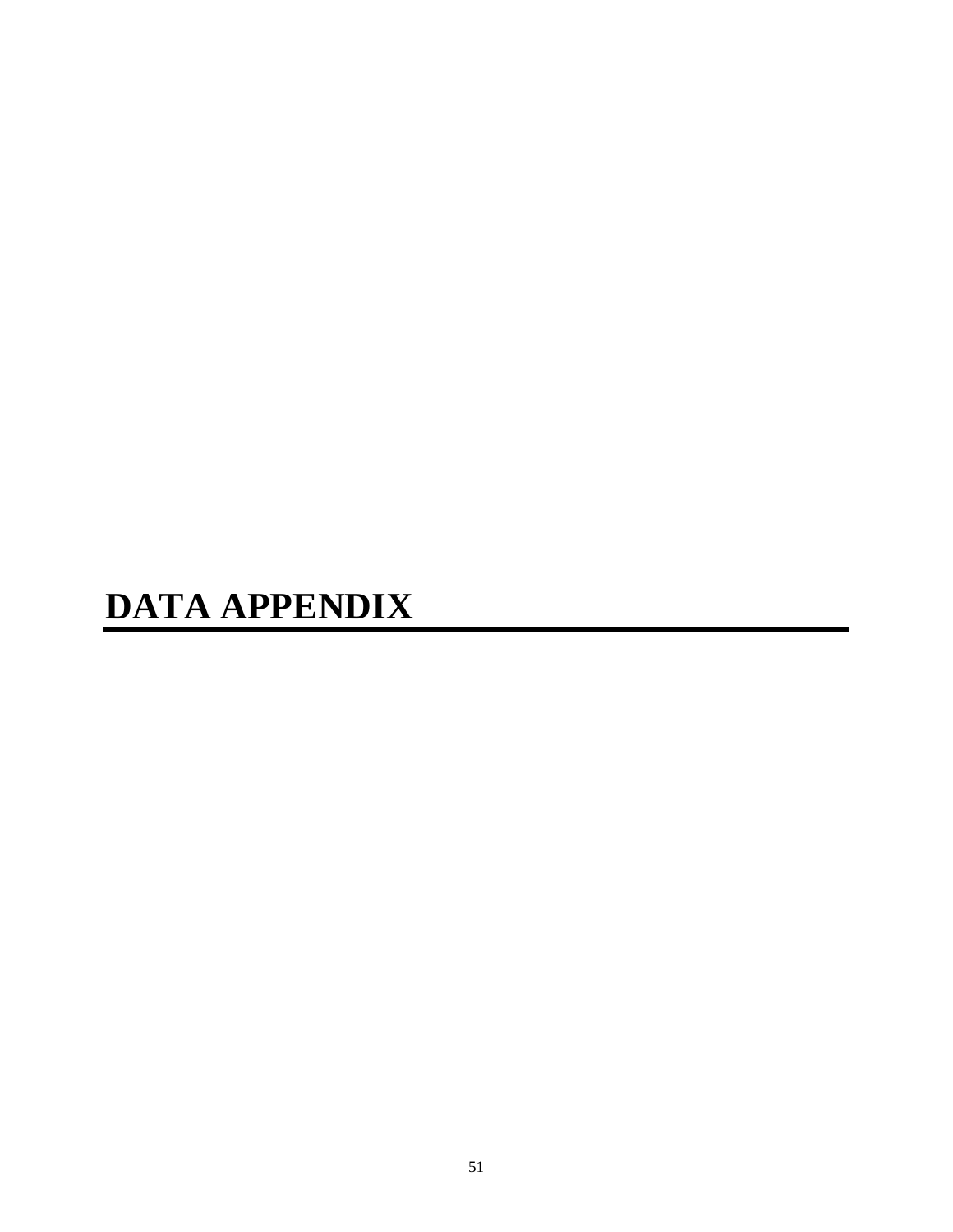# **DATA APPENDIX**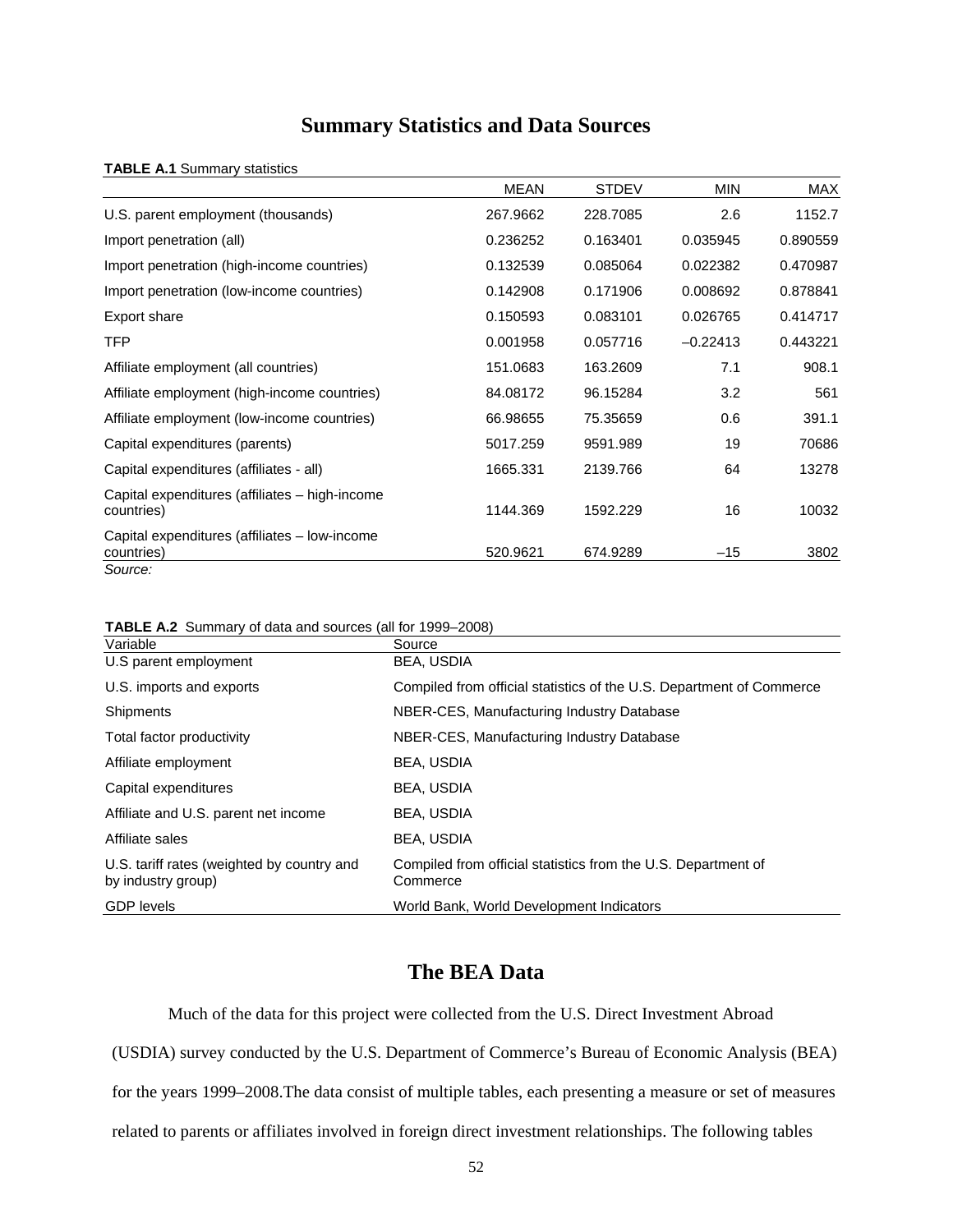# **Summary Statistics and Data Sources**

#### **TABLE A.1** Summary statistics

|                                                              | <b>MEAN</b> | <b>STDEV</b> | <b>MIN</b> | MAX      |
|--------------------------------------------------------------|-------------|--------------|------------|----------|
| U.S. parent employment (thousands)                           | 267.9662    | 228,7085     | 2.6        | 1152.7   |
| Import penetration (all)                                     | 0.236252    | 0.163401     | 0.035945   | 0.890559 |
| Import penetration (high-income countries)                   | 0.132539    | 0.085064     | 0.022382   | 0.470987 |
| Import penetration (low-income countries)                    | 0.142908    | 0.171906     | 0.008692   | 0.878841 |
| Export share                                                 | 0.150593    | 0.083101     | 0.026765   | 0.414717 |
| <b>TFP</b>                                                   | 0.001958    | 0.057716     | $-0.22413$ | 0.443221 |
| Affiliate employment (all countries)                         | 151.0683    | 163.2609     | 7.1        | 908.1    |
| Affiliate employment (high-income countries)                 | 84.08172    | 96.15284     | 3.2        | 561      |
| Affiliate employment (low-income countries)                  | 66.98655    | 75.35659     | 0.6        | 391.1    |
| Capital expenditures (parents)                               | 5017.259    | 9591.989     | 19         | 70686    |
| Capital expenditures (affiliates - all)                      | 1665.331    | 2139.766     | 64         | 13278    |
| Capital expenditures (affiliates - high-income<br>countries) | 1144.369    | 1592.229     | 16         | 10032    |
| Capital expenditures (affiliates – low-income<br>countries)  | 520.9621    | 674.9289     | $-15$      | 3802     |
| Source:                                                      |             |              |            |          |

| Variable                                                         | Source                                                                    |
|------------------------------------------------------------------|---------------------------------------------------------------------------|
| U.S parent employment                                            | <b>BEA, USDIA</b>                                                         |
| U.S. imports and exports                                         | Compiled from official statistics of the U.S. Department of Commerce      |
| Shipments                                                        | NBER-CES, Manufacturing Industry Database                                 |
| Total factor productivity                                        | NBER-CES, Manufacturing Industry Database                                 |
| Affiliate employment                                             | <b>BEA, USDIA</b>                                                         |
| Capital expenditures                                             | <b>BEA. USDIA</b>                                                         |
| Affiliate and U.S. parent net income                             | BEA, USDIA                                                                |
| Affiliate sales                                                  | <b>BEA. USDIA</b>                                                         |
| U.S. tariff rates (weighted by country and<br>by industry group) | Compiled from official statistics from the U.S. Department of<br>Commerce |
| <b>GDP</b> levels                                                | World Bank, World Development Indicators                                  |

# **The BEA Data**

Much of the data for this project were collected from the U.S. Direct Investment Abroad (USDIA) survey conducted by the U.S. Department of Commerce's Bureau of Economic Analysis (BEA) for the years 1999–2008.The data consist of multiple tables, each presenting a measure or set of measures related to parents or affiliates involved in foreign direct investment relationships. The following tables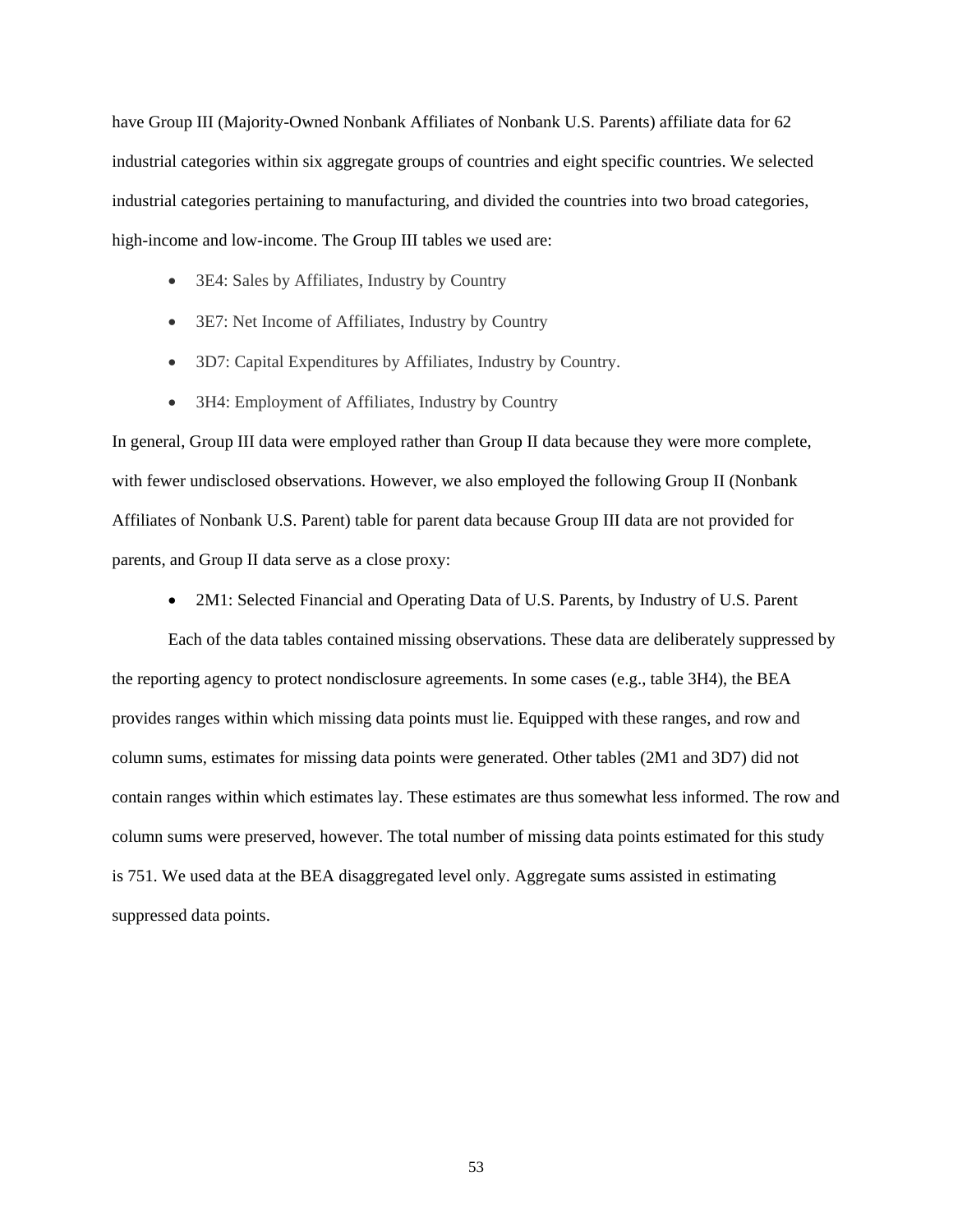have Group III (Majority-Owned Nonbank Affiliates of Nonbank U.S. Parents) affiliate data for 62 industrial categories within six aggregate groups of countries and eight specific countries. We selected industrial categories pertaining to manufacturing, and divided the countries into two broad categories, high-income and low-income. The Group III tables we used are:

- 3E4: Sales by Affiliates, Industry by Country
- 3E7: Net Income of Affiliates, Industry by Country
- 3D7: Capital Expenditures by Affiliates, Industry by Country.
- 3H4: Employment of Affiliates, Industry by Country

In general, Group III data were employed rather than Group II data because they were more complete, with fewer undisclosed observations. However, we also employed the following Group II (Nonbank Affiliates of Nonbank U.S. Parent) table for parent data because Group III data are not provided for parents, and Group II data serve as a close proxy:

• 2M1: Selected Financial and Operating Data of U.S. Parents, by Industry of U.S. Parent

Each of the data tables contained missing observations. These data are deliberately suppressed by the reporting agency to protect nondisclosure agreements. In some cases (e.g., table 3H4), the BEA provides ranges within which missing data points must lie. Equipped with these ranges, and row and column sums, estimates for missing data points were generated. Other tables (2M1 and 3D7) did not contain ranges within which estimates lay. These estimates are thus somewhat less informed. The row and column sums were preserved, however. The total number of missing data points estimated for this study is 751. We used data at the BEA disaggregated level only. Aggregate sums assisted in estimating suppressed data points.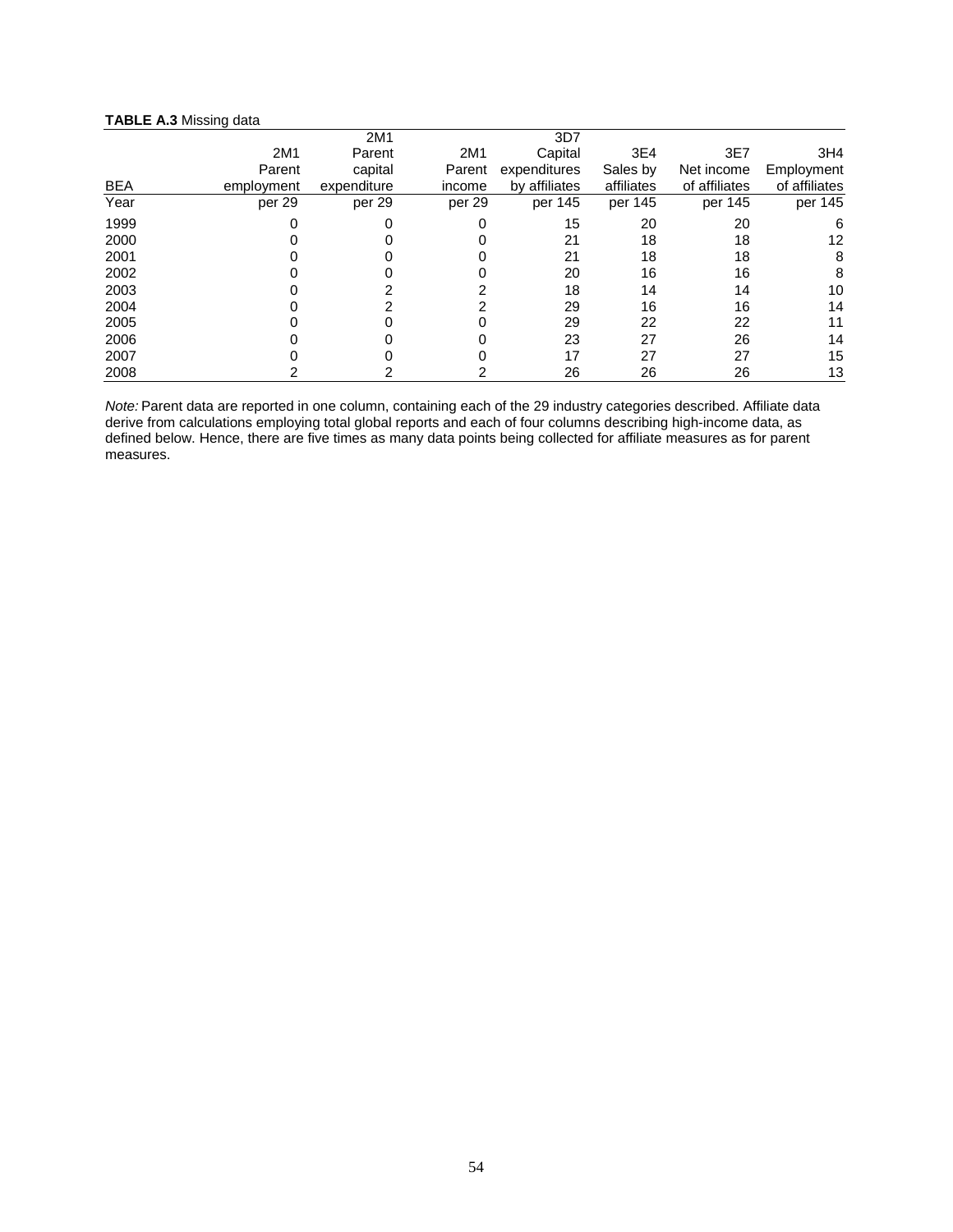#### **TABLE A.3** Missing data

|            |            | 2M1         |        | 3D7           |            |               |                 |
|------------|------------|-------------|--------|---------------|------------|---------------|-----------------|
|            | 2M1        | Parent      | 2M1    | Capital       | 3E4        | 3E7           | 3H <sub>4</sub> |
|            | Parent     | capital     | Parent | expenditures  | Sales by   | Net income    | Employment      |
| <b>BEA</b> | employment | expenditure | income | by affiliates | affiliates | of affiliates | of affiliates   |
| Year       | per 29     | per 29      | per 29 | per 145       | per 145    | per 145       | per 145         |
| 1999       |            | 0           |        | 15            | 20         | 20            | 6               |
| 2000       |            |             |        | 21            | 18         | 18            | 12              |
| 2001       |            |             | O      | 21            | 18         | 18            | 8               |
| 2002       |            |             |        | 20            | 16         | 16            | 8               |
| 2003       |            |             |        | 18            | 14         | 14            | 10              |
| 2004       |            |             |        | 29            | 16         | 16            | 14              |
| 2005       |            |             |        | 29            | 22         | 22            | 11              |
| 2006       |            |             |        | 23            | 27         | 26            | 14              |
| 2007       |            |             |        | 17            | 27         | 27            | 15              |
| 2008       |            |             |        | 26            | 26         | 26            | 13              |

*Note:* Parent data are reported in one column, containing each of the 29 industry categories described. Affiliate data derive from calculations employing total global reports and each of four columns describing high-income data, as defined below. Hence, there are five times as many data points being collected for affiliate measures as for parent measures.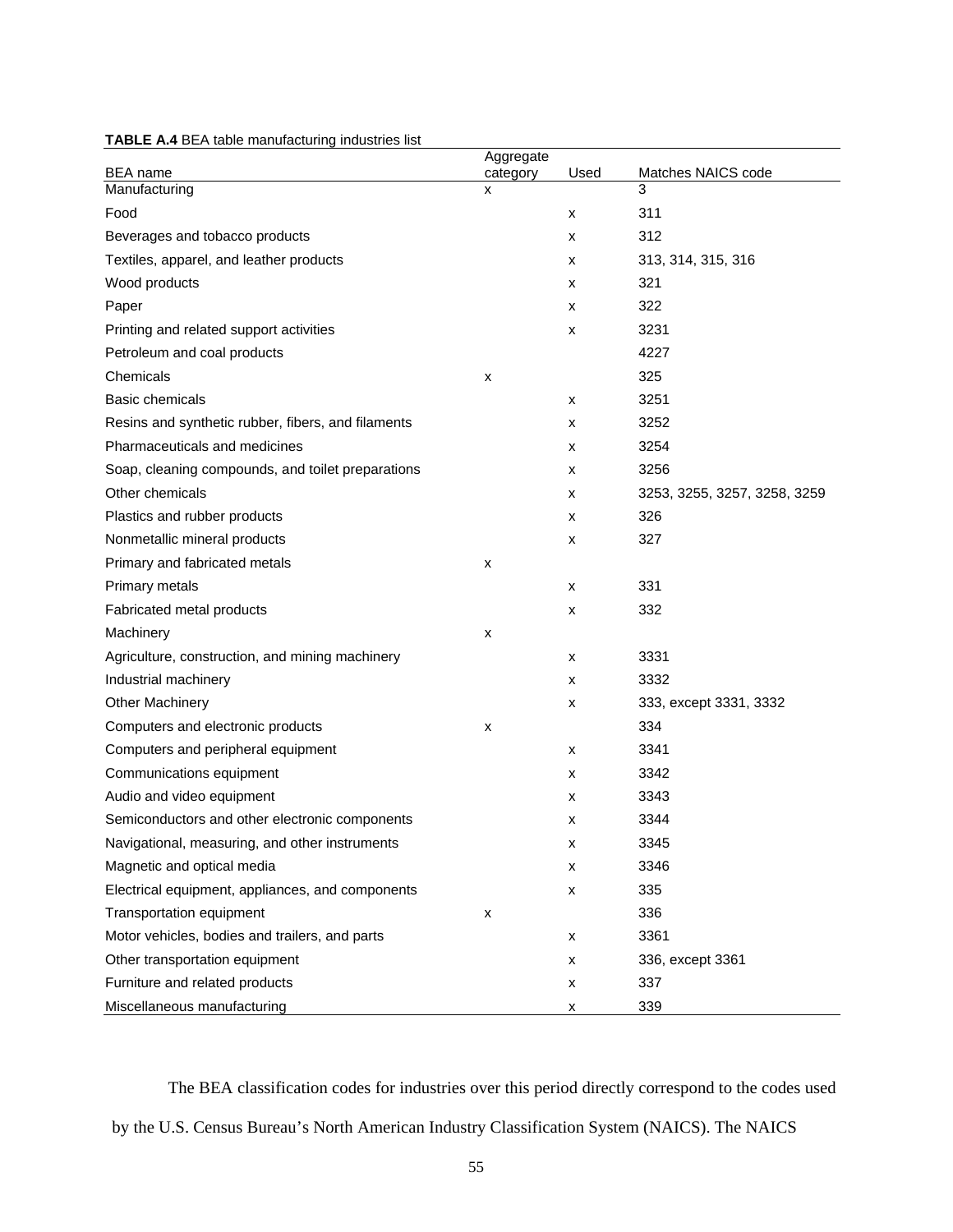|                                                    | Aggregate     |      |                              |
|----------------------------------------------------|---------------|------|------------------------------|
| <b>BEA</b> name<br>Manufacturing                   | category<br>x | Used | Matches NAICS code<br>3      |
| Food                                               |               | x    | 311                          |
| Beverages and tobacco products                     |               | x    | 312                          |
| Textiles, apparel, and leather products            |               | x    | 313, 314, 315, 316           |
| Wood products                                      |               | x    | 321                          |
| Paper                                              |               | x    | 322                          |
| Printing and related support activities            |               | x    | 3231                         |
| Petroleum and coal products                        |               |      | 4227                         |
| Chemicals                                          | x             |      | 325                          |
| Basic chemicals                                    |               | x    | 3251                         |
| Resins and synthetic rubber, fibers, and filaments |               | x    | 3252                         |
| Pharmaceuticals and medicines                      |               | x    | 3254                         |
| Soap, cleaning compounds, and toilet preparations  |               | x    | 3256                         |
| Other chemicals                                    |               | x    | 3253, 3255, 3257, 3258, 3259 |
| Plastics and rubber products                       |               | x    | 326                          |
| Nonmetallic mineral products                       |               | x    | 327                          |
| Primary and fabricated metals                      | x             |      |                              |
| Primary metals                                     |               | x    | 331                          |
| Fabricated metal products                          |               | x    | 332                          |
| Machinery                                          | x             |      |                              |
| Agriculture, construction, and mining machinery    |               | x    | 3331                         |
| Industrial machinery                               |               | x    | 3332                         |
| <b>Other Machinery</b>                             |               | x    | 333, except 3331, 3332       |
| Computers and electronic products                  | x             |      | 334                          |
| Computers and peripheral equipment                 |               | x    | 3341                         |
| Communications equipment                           |               | x    | 3342                         |
| Audio and video equipment                          |               | x    | 3343                         |
| Semiconductors and other electronic components     |               | x    | 3344                         |
| Navigational, measuring, and other instruments     |               | х    | 3345                         |
| Magnetic and optical media                         |               | x    | 3346                         |
| Electrical equipment, appliances, and components   |               | x    | 335                          |
| Transportation equipment                           | x             |      | 336                          |
| Motor vehicles, bodies and trailers, and parts     |               | x    | 3361                         |
| Other transportation equipment                     |               | x    | 336, except 3361             |
| Furniture and related products                     |               | x    | 337                          |
| Miscellaneous manufacturing                        |               | x    | 339                          |

**TABLE A.4** BEA table manufacturing industries list

The BEA classification codes for industries over this period directly correspond to the codes used by the U.S. Census Bureau's North American Industry Classification System (NAICS). The NAICS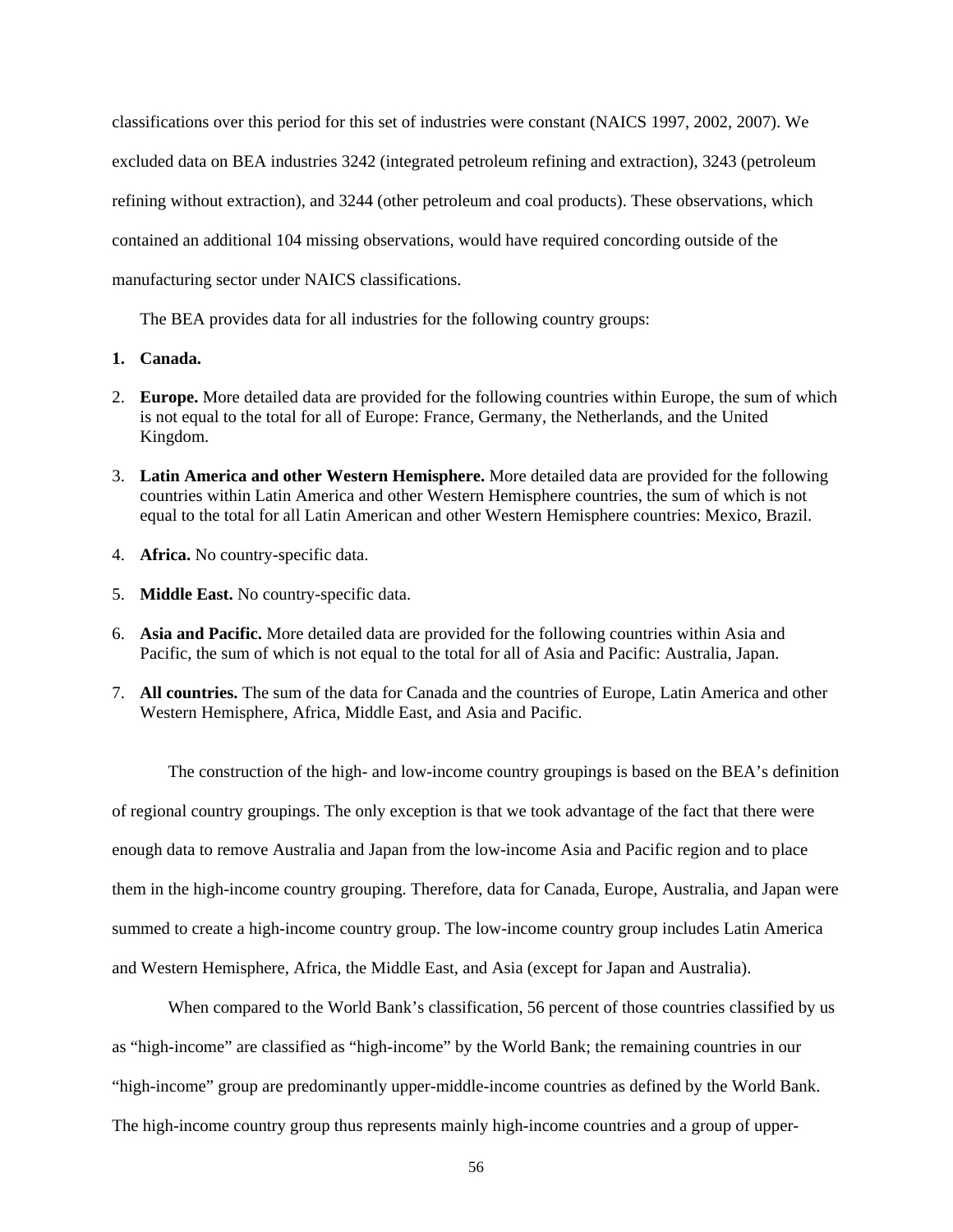classifications over this period for this set of industries were constant (NAICS 1997, 2002, 2007). We excluded data on BEA industries 3242 (integrated petroleum refining and extraction), 3243 (petroleum refining without extraction), and 3244 (other petroleum and coal products). These observations, which contained an additional 104 missing observations, would have required concording outside of the manufacturing sector under NAICS classifications.

The BEA provides data for all industries for the following country groups:

- **1. Canada.**
- 2. **Europe.** More detailed data are provided for the following countries within Europe, the sum of which is not equal to the total for all of Europe: France, Germany, the Netherlands, and the United Kingdom.
- 3. **Latin America and other Western Hemisphere.** More detailed data are provided for the following countries within Latin America and other Western Hemisphere countries, the sum of which is not equal to the total for all Latin American and other Western Hemisphere countries: Mexico, Brazil.
- 4. **Africa.** No country-specific data.
- 5. **Middle East.** No country-specific data.
- 6. **Asia and Pacific.** More detailed data are provided for the following countries within Asia and Pacific, the sum of which is not equal to the total for all of Asia and Pacific: Australia, Japan.
- 7. **All countries.** The sum of the data for Canada and the countries of Europe, Latin America and other Western Hemisphere, Africa, Middle East, and Asia and Pacific.

The construction of the high- and low-income country groupings is based on the BEA's definition of regional country groupings. The only exception is that we took advantage of the fact that there were enough data to remove Australia and Japan from the low-income Asia and Pacific region and to place them in the high-income country grouping. Therefore, data for Canada, Europe, Australia, and Japan were summed to create a high-income country group. The low-income country group includes Latin America and Western Hemisphere, Africa, the Middle East, and Asia (except for Japan and Australia).

When compared to the World Bank's classification, 56 percent of those countries classified by us as "high-income" are classified as "high-income" by the World Bank; the remaining countries in our "high-income" group are predominantly upper-middle-income countries as defined by the World Bank. The high-income country group thus represents mainly high-income countries and a group of upper